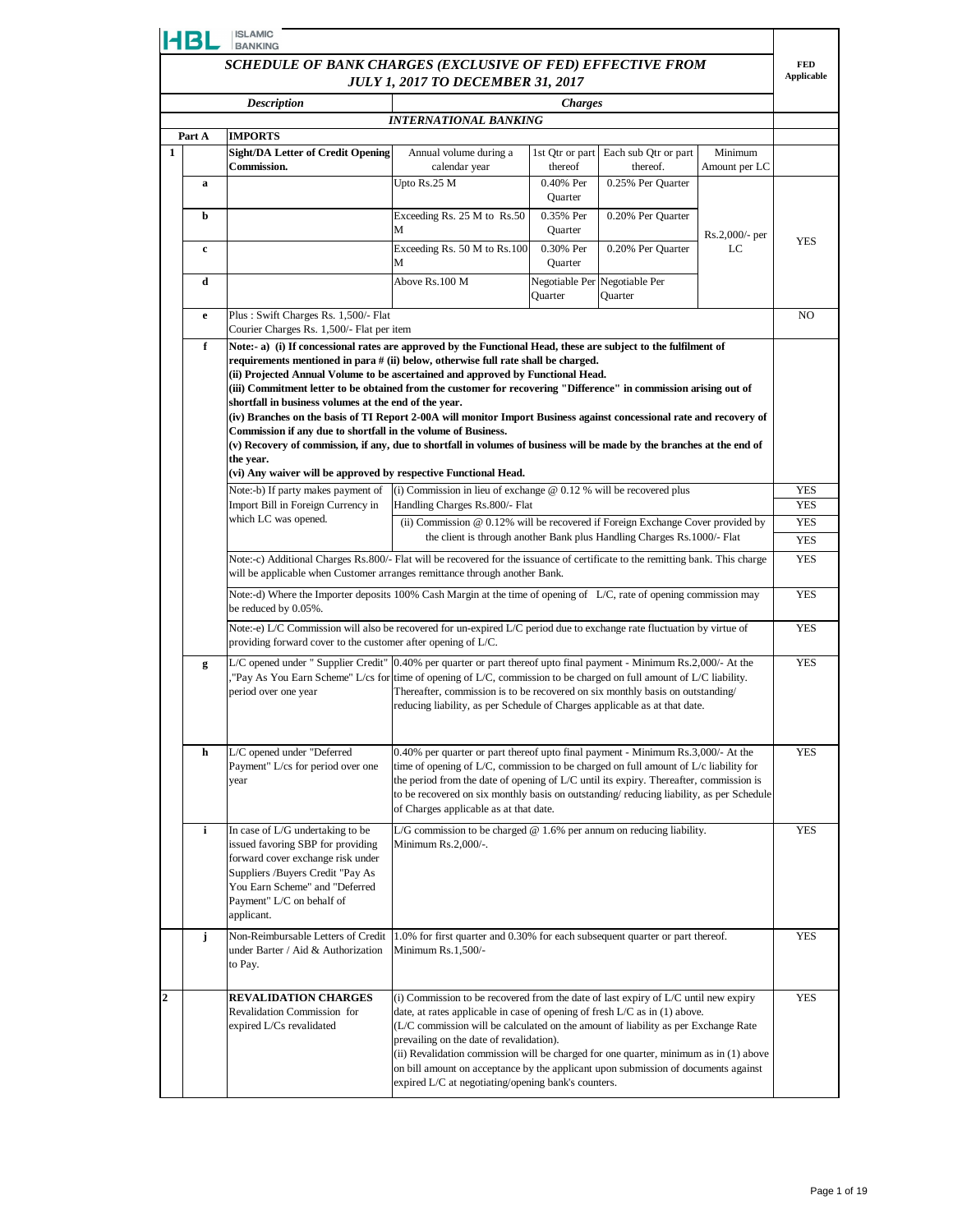|   | <b>HBL</b>                                                                                                                                                                                                                                                                                                                                                                                                                                                                                                                                                                                                                                                                                                                                                                                                                                                                     | <b>ISLAMIC</b><br><b>BANKING</b>                                                                                                                                                                                                                                                         |                                                                                                                                                                                                                                                                                                                                                                                                                                                                                                                                           |                                  |                                  |                |                                 |
|---|--------------------------------------------------------------------------------------------------------------------------------------------------------------------------------------------------------------------------------------------------------------------------------------------------------------------------------------------------------------------------------------------------------------------------------------------------------------------------------------------------------------------------------------------------------------------------------------------------------------------------------------------------------------------------------------------------------------------------------------------------------------------------------------------------------------------------------------------------------------------------------|------------------------------------------------------------------------------------------------------------------------------------------------------------------------------------------------------------------------------------------------------------------------------------------|-------------------------------------------------------------------------------------------------------------------------------------------------------------------------------------------------------------------------------------------------------------------------------------------------------------------------------------------------------------------------------------------------------------------------------------------------------------------------------------------------------------------------------------------|----------------------------------|----------------------------------|----------------|---------------------------------|
|   |                                                                                                                                                                                                                                                                                                                                                                                                                                                                                                                                                                                                                                                                                                                                                                                                                                                                                | SCHEDULE OF BANK CHARGES (EXCLUSIVE OF FED) EFFECTIVE FROM                                                                                                                                                                                                                               |                                                                                                                                                                                                                                                                                                                                                                                                                                                                                                                                           |                                  |                                  |                | <b>FED</b><br><b>Applicable</b> |
|   | <b>JULY 1, 2017 TO DECEMBER 31, 2017</b>                                                                                                                                                                                                                                                                                                                                                                                                                                                                                                                                                                                                                                                                                                                                                                                                                                       |                                                                                                                                                                                                                                                                                          |                                                                                                                                                                                                                                                                                                                                                                                                                                                                                                                                           |                                  |                                  |                |                                 |
|   |                                                                                                                                                                                                                                                                                                                                                                                                                                                                                                                                                                                                                                                                                                                                                                                                                                                                                | <b>Description</b>                                                                                                                                                                                                                                                                       | <b>INTERNATIONAL BANKING</b>                                                                                                                                                                                                                                                                                                                                                                                                                                                                                                              | <b>Charges</b>                   |                                  |                |                                 |
|   | Part A                                                                                                                                                                                                                                                                                                                                                                                                                                                                                                                                                                                                                                                                                                                                                                                                                                                                         | <b>IMPORTS</b>                                                                                                                                                                                                                                                                           |                                                                                                                                                                                                                                                                                                                                                                                                                                                                                                                                           |                                  |                                  |                |                                 |
| 1 |                                                                                                                                                                                                                                                                                                                                                                                                                                                                                                                                                                                                                                                                                                                                                                                                                                                                                | <b>Sight/DA Letter of Credit Opening</b>                                                                                                                                                                                                                                                 | Annual volume during a                                                                                                                                                                                                                                                                                                                                                                                                                                                                                                                    | 1st Qtr or part                  | Each sub Qtr or part             | Minimum        |                                 |
|   |                                                                                                                                                                                                                                                                                                                                                                                                                                                                                                                                                                                                                                                                                                                                                                                                                                                                                | <b>Commission.</b>                                                                                                                                                                                                                                                                       | calendar year<br>Upto Rs.25 M                                                                                                                                                                                                                                                                                                                                                                                                                                                                                                             | thereof<br>0.40% Per             | thereof.<br>0.25% Per Quarter    | Amount per LC  |                                 |
|   | a                                                                                                                                                                                                                                                                                                                                                                                                                                                                                                                                                                                                                                                                                                                                                                                                                                                                              |                                                                                                                                                                                                                                                                                          |                                                                                                                                                                                                                                                                                                                                                                                                                                                                                                                                           | Quarter                          |                                  |                |                                 |
|   | b                                                                                                                                                                                                                                                                                                                                                                                                                                                                                                                                                                                                                                                                                                                                                                                                                                                                              |                                                                                                                                                                                                                                                                                          | Exceeding Rs. 25 M to Rs.50<br>М                                                                                                                                                                                                                                                                                                                                                                                                                                                                                                          | 0.35% Per<br>Quarter             | 0.20% Per Quarter                | Rs.2,000/- per |                                 |
|   | c                                                                                                                                                                                                                                                                                                                                                                                                                                                                                                                                                                                                                                                                                                                                                                                                                                                                              |                                                                                                                                                                                                                                                                                          | Exceeding Rs. 50 M to Rs.100<br>М                                                                                                                                                                                                                                                                                                                                                                                                                                                                                                         | 0.30% Per<br>Quarter             | 0.20% Per Quarter                | LC             | <b>YES</b>                      |
|   | d                                                                                                                                                                                                                                                                                                                                                                                                                                                                                                                                                                                                                                                                                                                                                                                                                                                                              |                                                                                                                                                                                                                                                                                          | Above Rs.100 M                                                                                                                                                                                                                                                                                                                                                                                                                                                                                                                            | Negotiable Per<br><b>Ouarter</b> | Negotiable Per<br><b>Quarter</b> |                |                                 |
|   | e                                                                                                                                                                                                                                                                                                                                                                                                                                                                                                                                                                                                                                                                                                                                                                                                                                                                              | Plus: Swift Charges Rs. 1,500/- Flat<br>Courier Charges Rs. 1,500/- Flat per item                                                                                                                                                                                                        |                                                                                                                                                                                                                                                                                                                                                                                                                                                                                                                                           |                                  |                                  |                | NO.                             |
|   | f<br>Note:- a) (i) If concessional rates are approved by the Functional Head, these are subject to the fulfilment of<br>requirements mentioned in para # (ii) below, otherwise full rate shall be charged.<br>(ii) Projected Annual Volume to be ascertained and approved by Functional Head.<br>(iii) Commitment letter to be obtained from the customer for recovering "Difference" in commission arising out of<br>shortfall in business volumes at the end of the year.<br>(iv) Branches on the basis of TI Report 2-00A will monitor Import Business against concessional rate and recovery of<br>Commission if any due to shortfall in the volume of Business.<br>(v) Recovery of commission, if any, due to shortfall in volumes of business will be made by the branches at the end of<br>the year.<br>(vi) Any waiver will be approved by respective Functional Head. |                                                                                                                                                                                                                                                                                          |                                                                                                                                                                                                                                                                                                                                                                                                                                                                                                                                           |                                  |                                  |                |                                 |
|   |                                                                                                                                                                                                                                                                                                                                                                                                                                                                                                                                                                                                                                                                                                                                                                                                                                                                                | Note:-b) If party makes payment of                                                                                                                                                                                                                                                       | (i) Commission in lieu of exchange $@$ 0.12 % will be recovered plus                                                                                                                                                                                                                                                                                                                                                                                                                                                                      |                                  |                                  |                | <b>YES</b>                      |
|   |                                                                                                                                                                                                                                                                                                                                                                                                                                                                                                                                                                                                                                                                                                                                                                                                                                                                                | Import Bill in Foreign Currency in<br>which LC was opened.                                                                                                                                                                                                                               | Handling Charges Rs.800/- Flat                                                                                                                                                                                                                                                                                                                                                                                                                                                                                                            |                                  |                                  |                | <b>YES</b>                      |
|   |                                                                                                                                                                                                                                                                                                                                                                                                                                                                                                                                                                                                                                                                                                                                                                                                                                                                                |                                                                                                                                                                                                                                                                                          | (ii) Commission @ 0.12% will be recovered if Foreign Exchange Cover provided by                                                                                                                                                                                                                                                                                                                                                                                                                                                           |                                  |                                  |                | <b>YES</b><br><b>YES</b>        |
|   |                                                                                                                                                                                                                                                                                                                                                                                                                                                                                                                                                                                                                                                                                                                                                                                                                                                                                | the client is through another Bank plus Handling Charges Rs. 1000/- Flat<br>Note:-c) Additional Charges Rs.800/- Flat will be recovered for the issuance of certificate to the remitting bank. This charge<br>will be applicable when Customer arranges remittance through another Bank. |                                                                                                                                                                                                                                                                                                                                                                                                                                                                                                                                           |                                  |                                  |                |                                 |
|   | Note:-d) Where the Importer deposits 100% Cash Margin at the time of opening of L/C, rate of opening commission may<br>be reduced by 0.05%.                                                                                                                                                                                                                                                                                                                                                                                                                                                                                                                                                                                                                                                                                                                                    |                                                                                                                                                                                                                                                                                          |                                                                                                                                                                                                                                                                                                                                                                                                                                                                                                                                           |                                  |                                  |                | <b>YES</b>                      |
|   |                                                                                                                                                                                                                                                                                                                                                                                                                                                                                                                                                                                                                                                                                                                                                                                                                                                                                | Note:-e) L/C Commission will also be recovered for un-expired L/C period due to exchange rate fluctuation by virtue of<br>providing forward cover to the customer after opening of L/C.                                                                                                  |                                                                                                                                                                                                                                                                                                                                                                                                                                                                                                                                           |                                  |                                  |                | <b>YES</b>                      |
|   | g                                                                                                                                                                                                                                                                                                                                                                                                                                                                                                                                                                                                                                                                                                                                                                                                                                                                              | L/C opened under "Supplier Credit" 0.40% per quarter or part thereof upto final payment - Minimum Rs.2,000/- At the<br>"Pay As You Earn Scheme" L/cs for time of opening of L/C, commission to be charged on full amount of L/C liability.<br>period over one year                       | Thereafter, commission is to be recovered on six monthly basis on outstanding/<br>reducing liability, as per Schedule of Charges applicable as at that date.                                                                                                                                                                                                                                                                                                                                                                              |                                  |                                  |                | <b>YES</b>                      |
|   | h                                                                                                                                                                                                                                                                                                                                                                                                                                                                                                                                                                                                                                                                                                                                                                                                                                                                              | L/C opened under "Deferred<br>Payment" L/cs for period over one<br>year                                                                                                                                                                                                                  | 0.40% per quarter or part thereof upto final payment - Minimum Rs.3,000/- At the<br>time of opening of L/C, commission to be charged on full amount of L/c liability for<br>the period from the date of opening of L/C until its expiry. Thereafter, commission is<br>to be recovered on six monthly basis on outstanding/reducing liability, as per Schedule<br>of Charges applicable as at that date.                                                                                                                                   |                                  |                                  |                | <b>YES</b>                      |
|   | i                                                                                                                                                                                                                                                                                                                                                                                                                                                                                                                                                                                                                                                                                                                                                                                                                                                                              | In case of L/G undertaking to be<br>issued favoring SBP for providing<br>forward cover exchange risk under<br>Suppliers / Buyers Credit "Pay As<br>You Earn Scheme" and "Deferred<br>Payment" L/C on behalf of<br>applicant.                                                             | L/G commission to be charged $@$ 1.6% per annum on reducing liability.<br>Minimum Rs.2,000/-.                                                                                                                                                                                                                                                                                                                                                                                                                                             |                                  |                                  |                | <b>YES</b>                      |
|   | j                                                                                                                                                                                                                                                                                                                                                                                                                                                                                                                                                                                                                                                                                                                                                                                                                                                                              | Non-Reimbursable Letters of Credit<br>under Barter / Aid & Authorization<br>to Pay.                                                                                                                                                                                                      | 1.0% for first quarter and 0.30% for each subsequent quarter or part thereof.<br>Minimum $Rs.1,500/-$                                                                                                                                                                                                                                                                                                                                                                                                                                     |                                  |                                  |                | <b>YES</b>                      |
| 2 |                                                                                                                                                                                                                                                                                                                                                                                                                                                                                                                                                                                                                                                                                                                                                                                                                                                                                | <b>REVALIDATION CHARGES</b><br>Revalidation Commission for<br>expired L/Cs revalidated                                                                                                                                                                                                   | (i) Commission to be recovered from the date of last expiry of L/C until new expiry<br>date, at rates applicable in case of opening of fresh L/C as in (1) above.<br>(L/C commission will be calculated on the amount of liability as per Exchange Rate<br>prevailing on the date of revalidation).<br>(ii) Revalidation commission will be charged for one quarter, minimum as in (1) above<br>on bill amount on acceptance by the applicant upon submission of documents against<br>expired L/C at negotiating/opening bank's counters. |                                  |                                  |                | <b>YES</b>                      |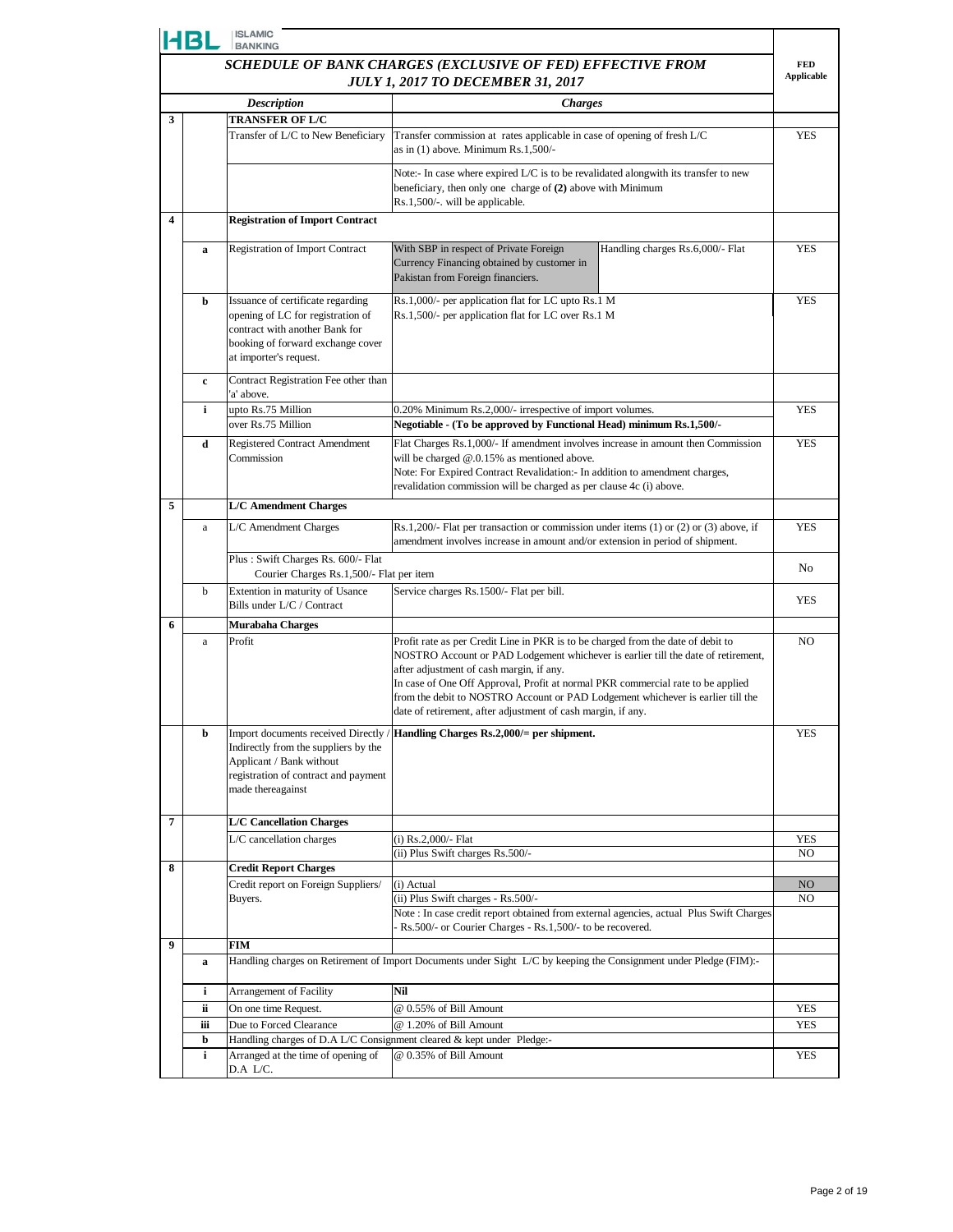|                                                            | HBL                                      | <b>ISLAMIC</b><br><b>BANKING</b>                                                                                                                                        |                                                                                                                                                                                                                                                                                                                                                                                                                                                         |                                 |  |
|------------------------------------------------------------|------------------------------------------|-------------------------------------------------------------------------------------------------------------------------------------------------------------------------|---------------------------------------------------------------------------------------------------------------------------------------------------------------------------------------------------------------------------------------------------------------------------------------------------------------------------------------------------------------------------------------------------------------------------------------------------------|---------------------------------|--|
| SCHEDULE OF BANK CHARGES (EXCLUSIVE OF FED) EFFECTIVE FROM |                                          |                                                                                                                                                                         |                                                                                                                                                                                                                                                                                                                                                                                                                                                         | <b>FED</b><br><b>Applicable</b> |  |
|                                                            | <b>JULY 1, 2017 TO DECEMBER 31, 2017</b> |                                                                                                                                                                         |                                                                                                                                                                                                                                                                                                                                                                                                                                                         |                                 |  |
|                                                            |                                          | <b>Description</b>                                                                                                                                                      | <b>Charges</b>                                                                                                                                                                                                                                                                                                                                                                                                                                          |                                 |  |
| 3                                                          |                                          | <b>TRANSFER OF L/C</b><br>Transfer of L/C to New Beneficiary                                                                                                            |                                                                                                                                                                                                                                                                                                                                                                                                                                                         |                                 |  |
|                                                            |                                          |                                                                                                                                                                         | Transfer commission at rates applicable in case of opening of fresh L/C<br>as in $(1)$ above. Minimum Rs.1,500/-                                                                                                                                                                                                                                                                                                                                        | <b>YES</b>                      |  |
|                                                            |                                          |                                                                                                                                                                         | Note:- In case where expired L/C is to be revalidated alongwith its transfer to new<br>beneficiary, then only one charge of (2) above with Minimum<br>Rs.1,500/-. will be applicable.                                                                                                                                                                                                                                                                   |                                 |  |
| $\overline{\mathbf{4}}$                                    |                                          | <b>Registration of Import Contract</b>                                                                                                                                  |                                                                                                                                                                                                                                                                                                                                                                                                                                                         |                                 |  |
|                                                            | a                                        | <b>Registration of Import Contract</b>                                                                                                                                  | With SBP in respect of Private Foreign<br>Handling charges Rs.6,000/- Flat<br>Currency Financing obtained by customer in<br>Pakistan from Foreign financiers.                                                                                                                                                                                                                                                                                           | <b>YES</b>                      |  |
|                                                            | b                                        | Issuance of certificate regarding<br>opening of LC for registration of<br>contract with another Bank for<br>booking of forward exchange cover<br>at importer's request. | Rs.1,000/- per application flat for LC upto Rs.1 M<br>Rs.1,500/- per application flat for LC over Rs.1 M                                                                                                                                                                                                                                                                                                                                                | <b>YES</b>                      |  |
|                                                            | c                                        | Contract Registration Fee other than<br>'a' above.                                                                                                                      |                                                                                                                                                                                                                                                                                                                                                                                                                                                         |                                 |  |
|                                                            | i                                        | upto Rs.75 Million<br>over Rs.75 Million                                                                                                                                | 0.20% Minimum Rs.2,000/- irrespective of import volumes.<br>Negotiable - (To be approved by Functional Head) minimum Rs.1,500/-                                                                                                                                                                                                                                                                                                                         | YES                             |  |
|                                                            | d                                        | <b>Registered Contract Amendment</b><br>Commission                                                                                                                      | Flat Charges Rs.1,000/- If amendment involves increase in amount then Commission<br>will be charged $@.0.15\%$ as mentioned above.<br>Note: For Expired Contract Revalidation:- In addition to amendment charges,<br>revalidation commission will be charged as per clause 4c (i) above.                                                                                                                                                                | <b>YES</b>                      |  |
| 5                                                          |                                          | <b>L/C Amendment Charges</b>                                                                                                                                            |                                                                                                                                                                                                                                                                                                                                                                                                                                                         |                                 |  |
|                                                            | a                                        | L/C Amendment Charges                                                                                                                                                   | Rs.1,200/- Flat per transaction or commission under items $(1)$ or $(2)$ or $(3)$ above, if<br>amendment involves increase in amount and/or extension in period of shipment.                                                                                                                                                                                                                                                                            | <b>YES</b>                      |  |
|                                                            |                                          | Plus: Swift Charges Rs. 600/- Flat<br>Courier Charges Rs.1,500/- Flat per item                                                                                          |                                                                                                                                                                                                                                                                                                                                                                                                                                                         | N <sub>0</sub>                  |  |
|                                                            | b                                        | Extention in maturity of Usance<br>Bills under L/C / Contract                                                                                                           | Service charges Rs.1500/- Flat per bill.                                                                                                                                                                                                                                                                                                                                                                                                                | <b>YES</b>                      |  |
| 6                                                          |                                          | <b>Murabaha Charges</b>                                                                                                                                                 |                                                                                                                                                                                                                                                                                                                                                                                                                                                         |                                 |  |
|                                                            | a                                        | Profit                                                                                                                                                                  | Profit rate as per Credit Line in PKR is to be charged from the date of debit to<br>NOSTRO Account or PAD Lodgement whichever is earlier till the date of retirement,<br>after adjustment of cash margin, if any.<br>In case of One Off Approval, Profit at normal PKR commercial rate to be applied<br>from the debit to NOSTRO Account or PAD Lodgement whichever is earlier till the<br>date of retirement, after adjustment of cash margin, if any. | NO.                             |  |
|                                                            | b                                        | Indirectly from the suppliers by the<br>Applicant / Bank without<br>registration of contract and payment<br>made thereagainst                                           | Import documents received Directly / Handling Charges Rs.2,000/= per shipment.                                                                                                                                                                                                                                                                                                                                                                          | <b>YES</b>                      |  |
| $\overline{7}$                                             |                                          | <b>L/C Cancellation Charges</b>                                                                                                                                         |                                                                                                                                                                                                                                                                                                                                                                                                                                                         |                                 |  |
|                                                            |                                          | L/C cancellation charges                                                                                                                                                | (i) Rs.2,000/- Flat<br>(ii) Plus Swift charges Rs.500/-                                                                                                                                                                                                                                                                                                                                                                                                 | YES<br>NO.                      |  |
| 8                                                          |                                          | <b>Credit Report Charges</b>                                                                                                                                            |                                                                                                                                                                                                                                                                                                                                                                                                                                                         |                                 |  |
|                                                            |                                          | Credit report on Foreign Suppliers/                                                                                                                                     | (i) Actual                                                                                                                                                                                                                                                                                                                                                                                                                                              | NO                              |  |
|                                                            |                                          | Buyers.                                                                                                                                                                 | (ii) Plus Swift charges - Rs.500/-<br>Note: In case credit report obtained from external agencies, actual Plus Swift Charges<br>Rs.500/- or Courier Charges - Rs.1,500/- to be recovered.                                                                                                                                                                                                                                                               | NO.                             |  |
| 9                                                          |                                          | FIM                                                                                                                                                                     |                                                                                                                                                                                                                                                                                                                                                                                                                                                         |                                 |  |
|                                                            | a                                        |                                                                                                                                                                         | Handling charges on Retirement of Import Documents under Sight L/C by keeping the Consignment under Pledge (FIM):-                                                                                                                                                                                                                                                                                                                                      |                                 |  |
|                                                            | i                                        | Arrangement of Facility                                                                                                                                                 | Nil                                                                                                                                                                                                                                                                                                                                                                                                                                                     |                                 |  |
|                                                            | ii                                       | On one time Request.                                                                                                                                                    | @ 0.55% of Bill Amount                                                                                                                                                                                                                                                                                                                                                                                                                                  | <b>YES</b>                      |  |
|                                                            | iii<br>b                                 | Due to Forced Clearance<br>Handling charges of D.A L/C Consignment cleared & kept under Pledge:-                                                                        | @ 1.20% of Bill Amount                                                                                                                                                                                                                                                                                                                                                                                                                                  | <b>YES</b>                      |  |
|                                                            | i                                        | Arranged at the time of opening of                                                                                                                                      | @ 0.35% of Bill Amount                                                                                                                                                                                                                                                                                                                                                                                                                                  | <b>YES</b>                      |  |
|                                                            |                                          | D.A L/C.                                                                                                                                                                |                                                                                                                                                                                                                                                                                                                                                                                                                                                         |                                 |  |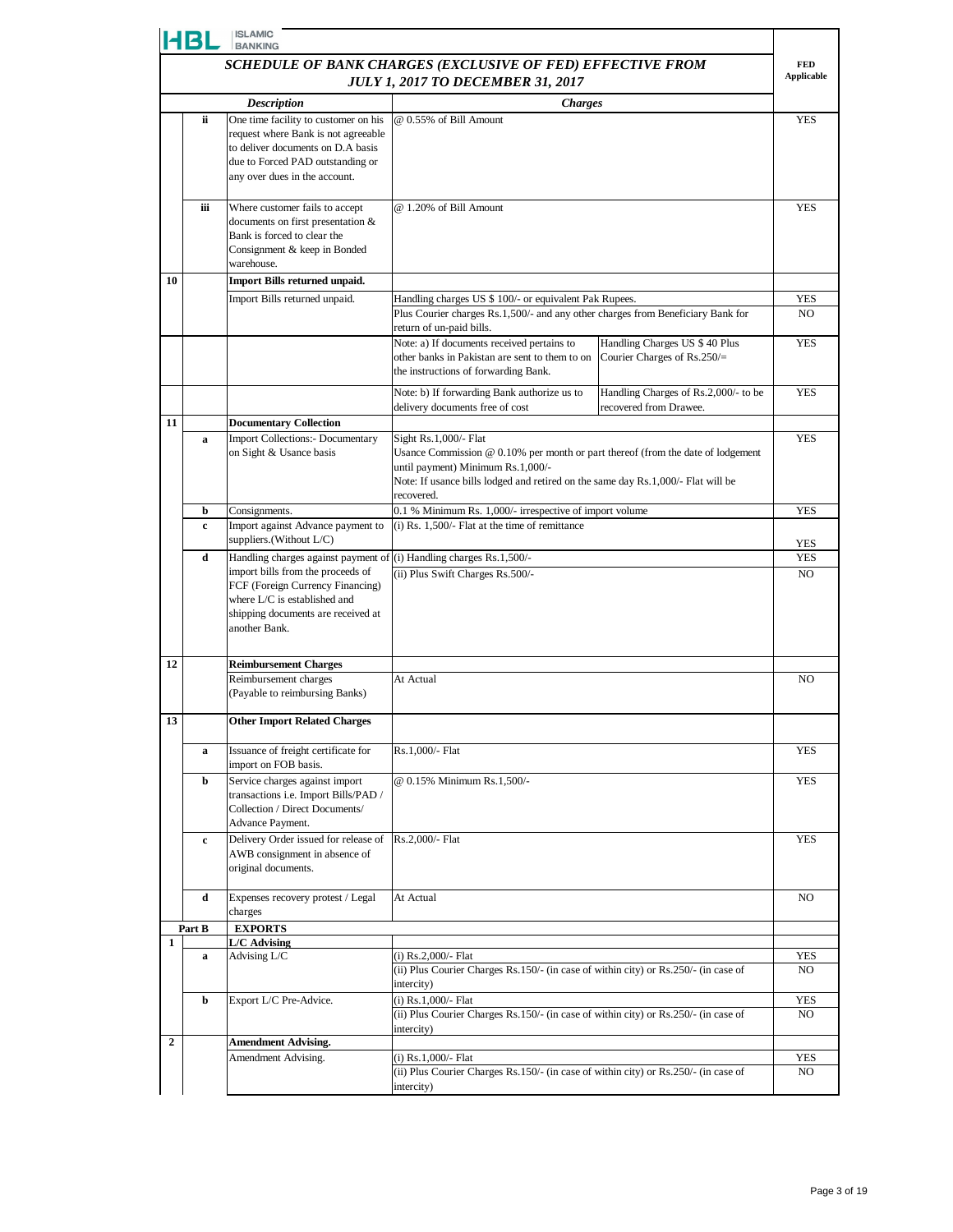|                | <b>ISLAMIC</b><br>HBL<br><b>BANKING</b>                       |                                                                                                                                                                                       |                                                                                                                                                                                                                                                 |                                                                 |                   |  |
|----------------|---------------------------------------------------------------|---------------------------------------------------------------------------------------------------------------------------------------------------------------------------------------|-------------------------------------------------------------------------------------------------------------------------------------------------------------------------------------------------------------------------------------------------|-----------------------------------------------------------------|-------------------|--|
|                | SCHEDULE OF BANK CHARGES (EXCLUSIVE OF FED) EFFECTIVE FROM    |                                                                                                                                                                                       |                                                                                                                                                                                                                                                 |                                                                 |                   |  |
|                | <b>Applicable</b><br><b>JULY 1, 2017 TO DECEMBER 31, 2017</b> |                                                                                                                                                                                       |                                                                                                                                                                                                                                                 |                                                                 |                   |  |
|                |                                                               | <b>Description</b>                                                                                                                                                                    | <b>Charges</b>                                                                                                                                                                                                                                  |                                                                 |                   |  |
|                | ii                                                            | One time facility to customer on his<br>request where Bank is not agreeable<br>to deliver documents on D.A basis<br>due to Forced PAD outstanding or<br>any over dues in the account. | @ 0.55% of Bill Amount                                                                                                                                                                                                                          |                                                                 | YES               |  |
|                | iii                                                           | Where customer fails to accept<br>documents on first presentation &<br>Bank is forced to clear the<br>Consignment & keep in Bonded<br>warehouse.                                      | @ 1.20% of Bill Amount                                                                                                                                                                                                                          |                                                                 | <b>YES</b>        |  |
| 10             |                                                               | Import Bills returned unpaid.                                                                                                                                                         |                                                                                                                                                                                                                                                 |                                                                 |                   |  |
|                |                                                               | Import Bills returned unpaid.                                                                                                                                                         | Handling charges US \$ 100/- or equivalent Pak Rupees.<br>Plus Courier charges Rs.1,500/- and any other charges from Beneficiary Bank for                                                                                                       |                                                                 | <b>YES</b><br>NO. |  |
|                |                                                               |                                                                                                                                                                                       | return of un-paid bills.                                                                                                                                                                                                                        |                                                                 |                   |  |
|                |                                                               |                                                                                                                                                                                       | Note: a) If documents received pertains to<br>other banks in Pakistan are sent to them to on<br>the instructions of forwarding Bank.                                                                                                            | Handling Charges US \$ 40 Plus<br>Courier Charges of $Rs.250/=$ | <b>YES</b>        |  |
|                |                                                               |                                                                                                                                                                                       | Note: b) If forwarding Bank authorize us to<br>delivery documents free of cost                                                                                                                                                                  | Handling Charges of Rs.2,000/- to be<br>recovered from Drawee.  | <b>YES</b>        |  |
| 11             |                                                               | <b>Documentary Collection</b>                                                                                                                                                         |                                                                                                                                                                                                                                                 |                                                                 |                   |  |
|                | a                                                             | <b>Import Collections:- Documentary</b><br>on Sight & Usance basis                                                                                                                    | Sight Rs.1,000/- Flat<br>Usance Commission @ 0.10% per month or part thereof (from the date of lodgement<br>until payment) Minimum Rs.1,000/-<br>Note: If usance bills lodged and retired on the same day Rs.1,000/- Flat will be<br>recovered. |                                                                 | <b>YES</b>        |  |
|                | b                                                             | Consignments.                                                                                                                                                                         | 0.1 % Minimum Rs. 1,000/- irrespective of import volume                                                                                                                                                                                         |                                                                 | <b>YES</b>        |  |
|                | c                                                             | Import against Advance payment to<br>suppliers.(Without L/C)                                                                                                                          | $(i)$ Rs. 1,500/- Flat at the time of remittance                                                                                                                                                                                                |                                                                 | YES               |  |
|                | d                                                             | Handling charges against payment of                                                                                                                                                   | (i) Handling charges Rs.1,500/-                                                                                                                                                                                                                 |                                                                 | <b>YES</b>        |  |
|                |                                                               | import bills from the proceeds of<br>FCF (Foreign Currency Financing)<br>where L/C is established and<br>shipping documents are received at<br>another Bank.                          | (ii) Plus Swift Charges Rs.500/-                                                                                                                                                                                                                |                                                                 | NO.               |  |
| 12             |                                                               | <b>Reimbursement Charges</b>                                                                                                                                                          |                                                                                                                                                                                                                                                 |                                                                 |                   |  |
|                |                                                               | Reimbursement charges<br>(Payable to reimbursing Banks)                                                                                                                               | At Actual                                                                                                                                                                                                                                       |                                                                 | N <sub>O</sub>    |  |
| 13             |                                                               | <b>Other Import Related Charges</b>                                                                                                                                                   |                                                                                                                                                                                                                                                 |                                                                 |                   |  |
|                | a                                                             | Issuance of freight certificate for<br>import on FOB basis.                                                                                                                           | Rs.1,000/- Flat                                                                                                                                                                                                                                 |                                                                 | <b>YES</b>        |  |
|                | b                                                             | Service charges against import<br>transactions i.e. Import Bills/PAD /<br>Collection / Direct Documents/<br>Advance Payment.                                                          | @ 0.15% Minimum Rs.1,500/-                                                                                                                                                                                                                      |                                                                 | <b>YES</b>        |  |
|                | c                                                             | Delivery Order issued for release of<br>AWB consignment in absence of<br>original documents.                                                                                          | Rs.2,000/- Flat                                                                                                                                                                                                                                 |                                                                 | <b>YES</b>        |  |
|                | d                                                             | Expenses recovery protest / Legal<br>charges                                                                                                                                          | At Actual                                                                                                                                                                                                                                       |                                                                 | NO.               |  |
|                | Part B                                                        | <b>EXPORTS</b>                                                                                                                                                                        |                                                                                                                                                                                                                                                 |                                                                 |                   |  |
| 1              | a                                                             | L/C Advising<br>Advising L/C                                                                                                                                                          | (i) $Rs.2,000/-$ Flat<br>(ii) Plus Courier Charges Rs.150/- (in case of within city) or Rs.250/- (in case of<br>intercity)                                                                                                                      |                                                                 | <b>YES</b><br>NO. |  |
|                | b                                                             | Export L/C Pre-Advice.                                                                                                                                                                | (i) Rs.1,000/- Flat<br>(ii) Plus Courier Charges Rs.150/- (in case of within city) or Rs.250/- (in case of<br>intercity)                                                                                                                        |                                                                 | YES<br>NO.        |  |
| $\overline{2}$ |                                                               | <b>Amendment Advising.</b>                                                                                                                                                            |                                                                                                                                                                                                                                                 |                                                                 |                   |  |
|                |                                                               | Amendment Advising.                                                                                                                                                                   | $(i)$ Rs.1,000/- Flat<br>(ii) Plus Courier Charges Rs.150/- (in case of within city) or Rs.250/- (in case of                                                                                                                                    |                                                                 | YES<br>NO         |  |
|                |                                                               |                                                                                                                                                                                       | intercity)                                                                                                                                                                                                                                      |                                                                 |                   |  |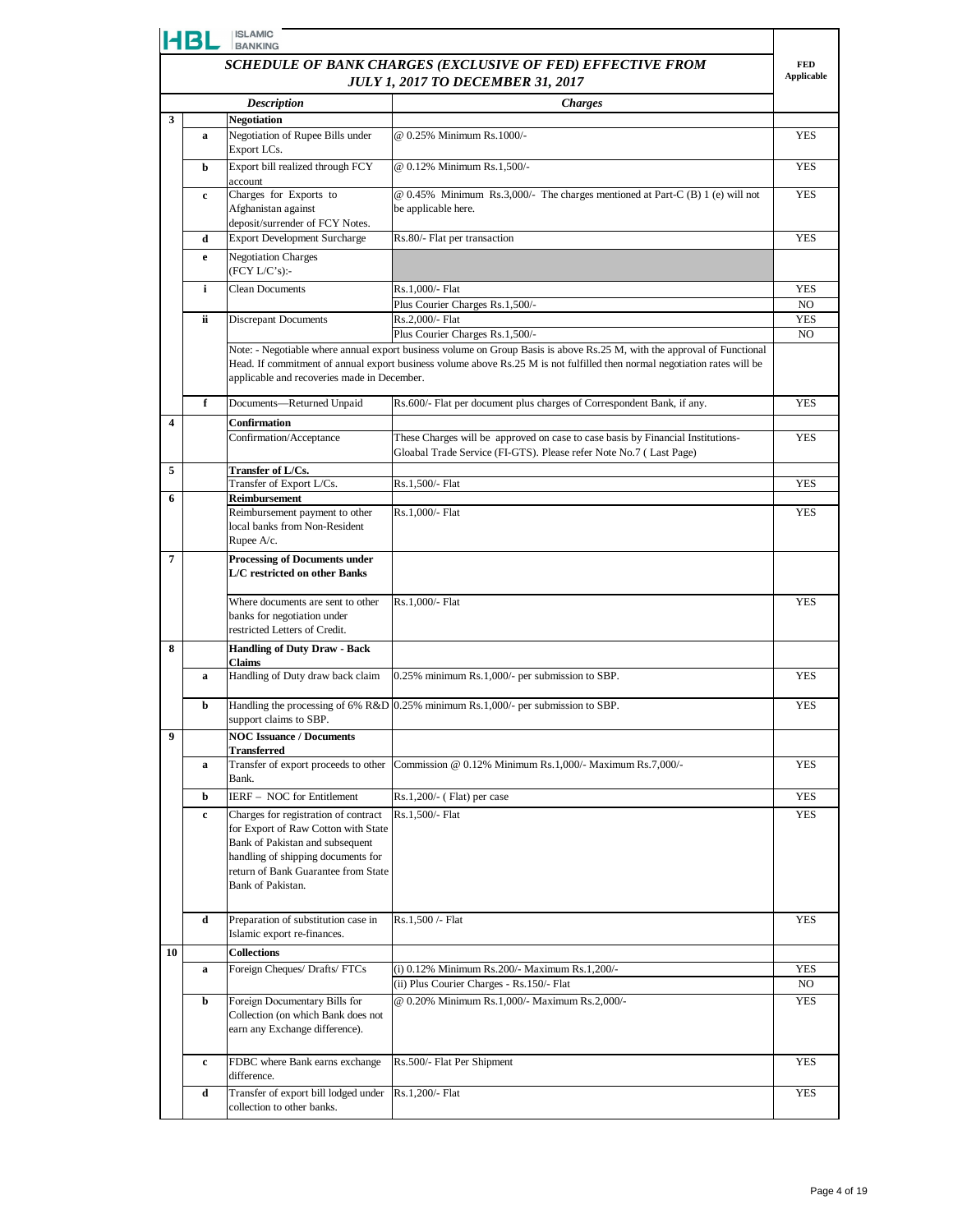| <b>ISLAMIC</b><br><b>HBL</b><br><b>BANKING</b> |                                                            |                                                                                                                                                                                                                  |                                                                                                                                                       |                              |  |  |
|------------------------------------------------|------------------------------------------------------------|------------------------------------------------------------------------------------------------------------------------------------------------------------------------------------------------------------------|-------------------------------------------------------------------------------------------------------------------------------------------------------|------------------------------|--|--|
|                                                | SCHEDULE OF BANK CHARGES (EXCLUSIVE OF FED) EFFECTIVE FROM |                                                                                                                                                                                                                  |                                                                                                                                                       |                              |  |  |
|                                                |                                                            |                                                                                                                                                                                                                  | <b>JULY 1, 2017 TO DECEMBER 31, 2017</b>                                                                                                              | Applicable                   |  |  |
|                                                |                                                            | <b>Description</b>                                                                                                                                                                                               | <b>Charges</b>                                                                                                                                        |                              |  |  |
| 3                                              |                                                            | <b>Negotiation</b>                                                                                                                                                                                               |                                                                                                                                                       |                              |  |  |
|                                                | a                                                          | Negotiation of Rupee Bills under<br>Export LCs.                                                                                                                                                                  | @ 0.25% Minimum Rs.1000/-                                                                                                                             | <b>YES</b>                   |  |  |
|                                                | b                                                          | Export bill realized through FCY<br>account                                                                                                                                                                      | @ 0.12% Minimum Rs.1,500/-                                                                                                                            | <b>YES</b>                   |  |  |
|                                                | c                                                          | Charges for Exports to<br>Afghanistan against<br>deposit/surrender of FCY Notes.                                                                                                                                 | @ 0.45% Minimum Rs.3,000/- The charges mentioned at Part-C (B) 1 (e) will not<br>be applicable here.                                                  | <b>YES</b>                   |  |  |
|                                                | d                                                          | <b>Export Development Surcharge</b>                                                                                                                                                                              | Rs.80/- Flat per transaction                                                                                                                          | <b>YES</b>                   |  |  |
|                                                | e                                                          | <b>Negotiation Charges</b><br>(FCY L/C's):                                                                                                                                                                       |                                                                                                                                                       |                              |  |  |
|                                                | i                                                          | <b>Clean Documents</b>                                                                                                                                                                                           | Rs.1,000/- Flat                                                                                                                                       | <b>YES</b>                   |  |  |
|                                                |                                                            |                                                                                                                                                                                                                  | Plus Courier Charges Rs.1,500/-                                                                                                                       | NO.                          |  |  |
|                                                | ii.                                                        | <b>Discrepant Documents</b>                                                                                                                                                                                      | Rs.2,000/- Flat<br>Plus Courier Charges Rs.1,500/-                                                                                                    | <b>YES</b><br>N <sub>O</sub> |  |  |
|                                                |                                                            |                                                                                                                                                                                                                  | Note: - Negotiable where annual export business volume on Group Basis is above Rs.25 M, with the approval of Functional                               |                              |  |  |
|                                                |                                                            | applicable and recoveries made in December.                                                                                                                                                                      | Head. If commitment of annual export business volume above Rs.25 M is not fulfilled then normal negotiation rates will be                             |                              |  |  |
|                                                | f                                                          | Documents-Returned Unpaid                                                                                                                                                                                        | Rs.600/- Flat per document plus charges of Correspondent Bank, if any.                                                                                | <b>YES</b>                   |  |  |
| $\overline{\mathbf{4}}$                        |                                                            | <b>Confirmation</b>                                                                                                                                                                                              |                                                                                                                                                       |                              |  |  |
|                                                |                                                            | Confirmation/Acceptance                                                                                                                                                                                          | These Charges will be approved on case to case basis by Financial Institutions-<br>Gloabal Trade Service (FI-GTS). Please refer Note No.7 (Last Page) | <b>YES</b>                   |  |  |
| 5                                              |                                                            | Transfer of L/Cs.                                                                                                                                                                                                |                                                                                                                                                       |                              |  |  |
| 6                                              |                                                            | Transfer of Export L/Cs.<br>Reimbursement                                                                                                                                                                        | Rs.1,500/- Flat                                                                                                                                       | <b>YES</b>                   |  |  |
|                                                |                                                            | Reimbursement payment to other                                                                                                                                                                                   | Rs.1,000/- Flat                                                                                                                                       | <b>YES</b>                   |  |  |
|                                                |                                                            | local banks from Non-Resident                                                                                                                                                                                    |                                                                                                                                                       |                              |  |  |
|                                                |                                                            | Rupee A/c.                                                                                                                                                                                                       |                                                                                                                                                       |                              |  |  |
| 7                                              |                                                            | <b>Processing of Documents under</b><br>L/C restricted on other Banks                                                                                                                                            |                                                                                                                                                       |                              |  |  |
|                                                |                                                            | Where documents are sent to other                                                                                                                                                                                | Rs.1,000/- Flat                                                                                                                                       | <b>YES</b>                   |  |  |
|                                                |                                                            | banks for negotiation under                                                                                                                                                                                      |                                                                                                                                                       |                              |  |  |
|                                                |                                                            | restricted Letters of Credit.                                                                                                                                                                                    |                                                                                                                                                       |                              |  |  |
| 8                                              | a                                                          | <b>Handling of Duty Draw - Back</b><br><b>Claims</b><br>Handling of Duty draw back claim                                                                                                                         | 0.25% minimum Rs.1,000/- per submission to SBP.                                                                                                       | <b>YES</b>                   |  |  |
|                                                | b                                                          |                                                                                                                                                                                                                  | Handling the processing of 6% $R&D$ 0.25% minimum Rs.1,000/- per submission to SBP.                                                                   | <b>YES</b>                   |  |  |
| 9                                              |                                                            | support claims to SBP.                                                                                                                                                                                           |                                                                                                                                                       |                              |  |  |
|                                                |                                                            | <b>NOC Issuance / Documents</b><br><b>Transferred</b>                                                                                                                                                            |                                                                                                                                                       |                              |  |  |
|                                                | a                                                          | Transfer of export proceeds to other<br>Bank.                                                                                                                                                                    | Commission @ 0.12% Minimum Rs.1,000/- Maximum Rs.7,000/-                                                                                              | <b>YES</b>                   |  |  |
|                                                | b                                                          | IERF - NOC for Entitlement                                                                                                                                                                                       | Rs.1,200/- (Flat) per case                                                                                                                            | YES                          |  |  |
|                                                | c                                                          | Charges for registration of contract<br>for Export of Raw Cotton with State<br>Bank of Pakistan and subsequent<br>handling of shipping documents for<br>return of Bank Guarantee from State<br>Bank of Pakistan. | Rs.1,500/- Flat                                                                                                                                       | <b>YES</b>                   |  |  |
|                                                | d                                                          | Preparation of substitution case in<br>Islamic export re-finances.                                                                                                                                               | Rs.1,500 /- Flat                                                                                                                                      | <b>YES</b>                   |  |  |
| 10                                             |                                                            | <b>Collections</b>                                                                                                                                                                                               |                                                                                                                                                       |                              |  |  |
|                                                | a                                                          | Foreign Cheques/ Drafts/ FTCs                                                                                                                                                                                    | (i) 0.12% Minimum Rs.200/- Maximum Rs.1,200/-                                                                                                         | YES                          |  |  |
|                                                |                                                            |                                                                                                                                                                                                                  | (ii) Plus Courier Charges - Rs.150/- Flat                                                                                                             | NO                           |  |  |
|                                                | b                                                          | Foreign Documentary Bills for<br>Collection (on which Bank does not<br>earn any Exchange difference).                                                                                                            | @ 0.20% Minimum Rs.1,000/- Maximum Rs.2,000/-                                                                                                         | <b>YES</b>                   |  |  |
|                                                | c                                                          | FDBC where Bank earns exchange<br>difference.                                                                                                                                                                    | Rs.500/- Flat Per Shipment                                                                                                                            | <b>YES</b>                   |  |  |
|                                                | d                                                          | Transfer of export bill lodged under<br>collection to other banks.                                                                                                                                               | Rs.1,200/- Flat                                                                                                                                       | <b>YES</b>                   |  |  |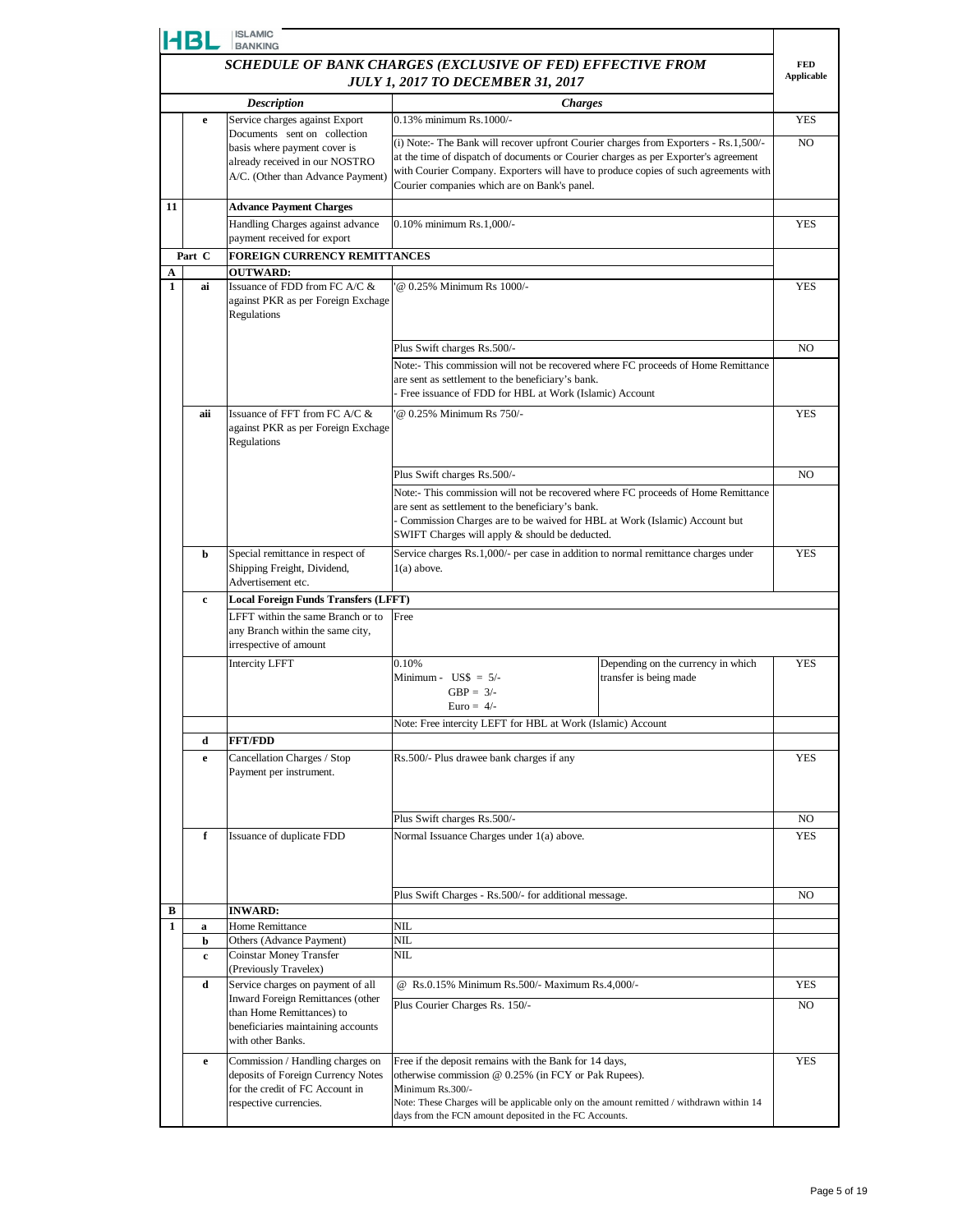| <b>ISLAMIC</b><br><b>HBL</b><br><b>BANKING</b> |                                                            |                                                                        |                                                                                                                                                                             |                |  |
|------------------------------------------------|------------------------------------------------------------|------------------------------------------------------------------------|-----------------------------------------------------------------------------------------------------------------------------------------------------------------------------|----------------|--|
|                                                | SCHEDULE OF BANK CHARGES (EXCLUSIVE OF FED) EFFECTIVE FROM |                                                                        |                                                                                                                                                                             |                |  |
|                                                |                                                            |                                                                        | <b>JULY 1, 2017 TO DECEMBER 31, 2017</b>                                                                                                                                    | Applicable     |  |
|                                                |                                                            | <b>Description</b><br>Service charges against Export                   | <b>Charges</b><br>0.13% minimum Rs.1000/-                                                                                                                                   | <b>YES</b>     |  |
|                                                | e                                                          | Documents sent on collection                                           |                                                                                                                                                                             |                |  |
|                                                |                                                            | basis where payment cover is                                           | (i) Note:- The Bank will recover upfront Courier charges from Exporters - Rs.1,500/-<br>at the time of dispatch of documents or Courier charges as per Exporter's agreement | N <sub>O</sub> |  |
|                                                |                                                            | already received in our NOSTRO<br>A/C. (Other than Advance Payment)    | with Courier Company. Exporters will have to produce copies of such agreements with                                                                                         |                |  |
|                                                |                                                            |                                                                        | Courier companies which are on Bank's panel.                                                                                                                                |                |  |
| 11                                             |                                                            | <b>Advance Payment Charges</b>                                         |                                                                                                                                                                             |                |  |
|                                                |                                                            | Handling Charges against advance<br>payment received for export        | 0.10% minimum Rs.1.000/-                                                                                                                                                    | <b>YES</b>     |  |
|                                                | Part C                                                     | FOREIGN CURRENCY REMITTANCES                                           |                                                                                                                                                                             |                |  |
| A                                              |                                                            | <b>OUTWARD:</b>                                                        |                                                                                                                                                                             |                |  |
| $\mathbf{1}$                                   | ai                                                         | Issuance of FDD from FC A/C &<br>against PKR as per Foreign Exchage    | @ 0.25% Minimum Rs 1000/-                                                                                                                                                   | <b>YES</b>     |  |
|                                                |                                                            | Regulations                                                            |                                                                                                                                                                             |                |  |
|                                                |                                                            |                                                                        |                                                                                                                                                                             |                |  |
|                                                |                                                            |                                                                        | Plus Swift charges Rs.500/-                                                                                                                                                 | NO.            |  |
|                                                |                                                            |                                                                        | Note:- This commission will not be recovered where FC proceeds of Home Remittance<br>are sent as settlement to the beneficiary's bank.                                      |                |  |
|                                                |                                                            |                                                                        | - Free issuance of FDD for HBL at Work (Islamic) Account                                                                                                                    |                |  |
|                                                | aii                                                        | Issuance of FFT from FC A/C &<br>@ 0.25% Minimum Rs 750/-              |                                                                                                                                                                             | <b>YES</b>     |  |
|                                                |                                                            | against PKR as per Foreign Exchage                                     |                                                                                                                                                                             |                |  |
|                                                |                                                            | Regulations                                                            |                                                                                                                                                                             |                |  |
|                                                |                                                            |                                                                        | Plus Swift charges Rs.500/-                                                                                                                                                 | N <sub>O</sub> |  |
|                                                |                                                            |                                                                        | Note:- This commission will not be recovered where FC proceeds of Home Remittance                                                                                           |                |  |
|                                                |                                                            |                                                                        | are sent as settlement to the beneficiary's bank.<br>- Commission Charges are to be waived for HBL at Work (Islamic) Account but                                            |                |  |
|                                                |                                                            |                                                                        | SWIFT Charges will apply & should be deducted.                                                                                                                              |                |  |
|                                                | b                                                          | Special remittance in respect of                                       | Service charges Rs.1,000/- per case in addition to normal remittance charges under                                                                                          | <b>YES</b>     |  |
|                                                |                                                            | Shipping Freight, Dividend,<br>Advertisement etc.                      | $1(a)$ above.                                                                                                                                                               |                |  |
|                                                | c                                                          | <b>Local Foreign Funds Transfers (LFFT)</b>                            |                                                                                                                                                                             |                |  |
|                                                |                                                            | LFFT within the same Branch or to                                      | Free                                                                                                                                                                        |                |  |
|                                                |                                                            | any Branch within the same city,<br>irrespective of amount             |                                                                                                                                                                             |                |  |
|                                                |                                                            | <b>Intercity LFFT</b>                                                  | 0.10%<br>Depending on the currency in which                                                                                                                                 | <b>YES</b>     |  |
|                                                |                                                            |                                                                        | Minimum - $\text{USS} = 5/-$<br>transfer is being made<br>$GBP = 3/-$                                                                                                       |                |  |
|                                                |                                                            |                                                                        | Euro = $4/-$                                                                                                                                                                |                |  |
|                                                |                                                            |                                                                        | Note: Free intercity LEFT for HBL at Work (Islamic) Account                                                                                                                 |                |  |
|                                                | d                                                          | <b>FFT/FDD</b>                                                         |                                                                                                                                                                             |                |  |
|                                                | e                                                          | Cancellation Charges / Stop                                            | Rs.500/- Plus drawee bank charges if any                                                                                                                                    | <b>YES</b>     |  |
|                                                |                                                            | Payment per instrument.                                                |                                                                                                                                                                             |                |  |
|                                                |                                                            |                                                                        |                                                                                                                                                                             |                |  |
|                                                |                                                            |                                                                        | Plus Swift charges Rs.500/-                                                                                                                                                 | NO.            |  |
|                                                | f                                                          | Issuance of duplicate FDD                                              | Normal Issuance Charges under 1(a) above.                                                                                                                                   | YES            |  |
|                                                |                                                            |                                                                        |                                                                                                                                                                             |                |  |
|                                                |                                                            |                                                                        |                                                                                                                                                                             |                |  |
| В                                              |                                                            | <b>INWARD:</b>                                                         | Plus Swift Charges - Rs.500/- for additional message.                                                                                                                       | NO             |  |
| $\mathbf{1}$                                   | a                                                          | Home Remittance                                                        | NIL                                                                                                                                                                         |                |  |
|                                                | b                                                          | Others (Advance Payment)                                               | NIL                                                                                                                                                                         |                |  |
|                                                | c                                                          | Coinstar Money Transfer<br>(Previously Travelex)                       | NIL                                                                                                                                                                         |                |  |
|                                                | d                                                          | Service charges on payment of all                                      | @ Rs.0.15% Minimum Rs.500/- Maximum Rs.4,000/-                                                                                                                              | YES            |  |
|                                                |                                                            | Inward Foreign Remittances (other<br>than Home Remittances) to         | Plus Courier Charges Rs. 150/-                                                                                                                                              | NO.            |  |
|                                                |                                                            | beneficiaries maintaining accounts                                     |                                                                                                                                                                             |                |  |
|                                                |                                                            | with other Banks.                                                      |                                                                                                                                                                             |                |  |
|                                                | e                                                          | Commission / Handling charges on<br>deposits of Foreign Currency Notes | Free if the deposit remains with the Bank for 14 days,<br>otherwise commission @ 0.25% (in FCY or Pak Rupees).                                                              | YES            |  |
|                                                |                                                            | for the credit of FC Account in                                        | Minimum Rs.300/-                                                                                                                                                            |                |  |
|                                                |                                                            | respective currencies.                                                 | Note: These Charges will be applicable only on the amount remitted / withdrawn within 14                                                                                    |                |  |
|                                                |                                                            |                                                                        | days from the FCN amount deposited in the FC Accounts.                                                                                                                      |                |  |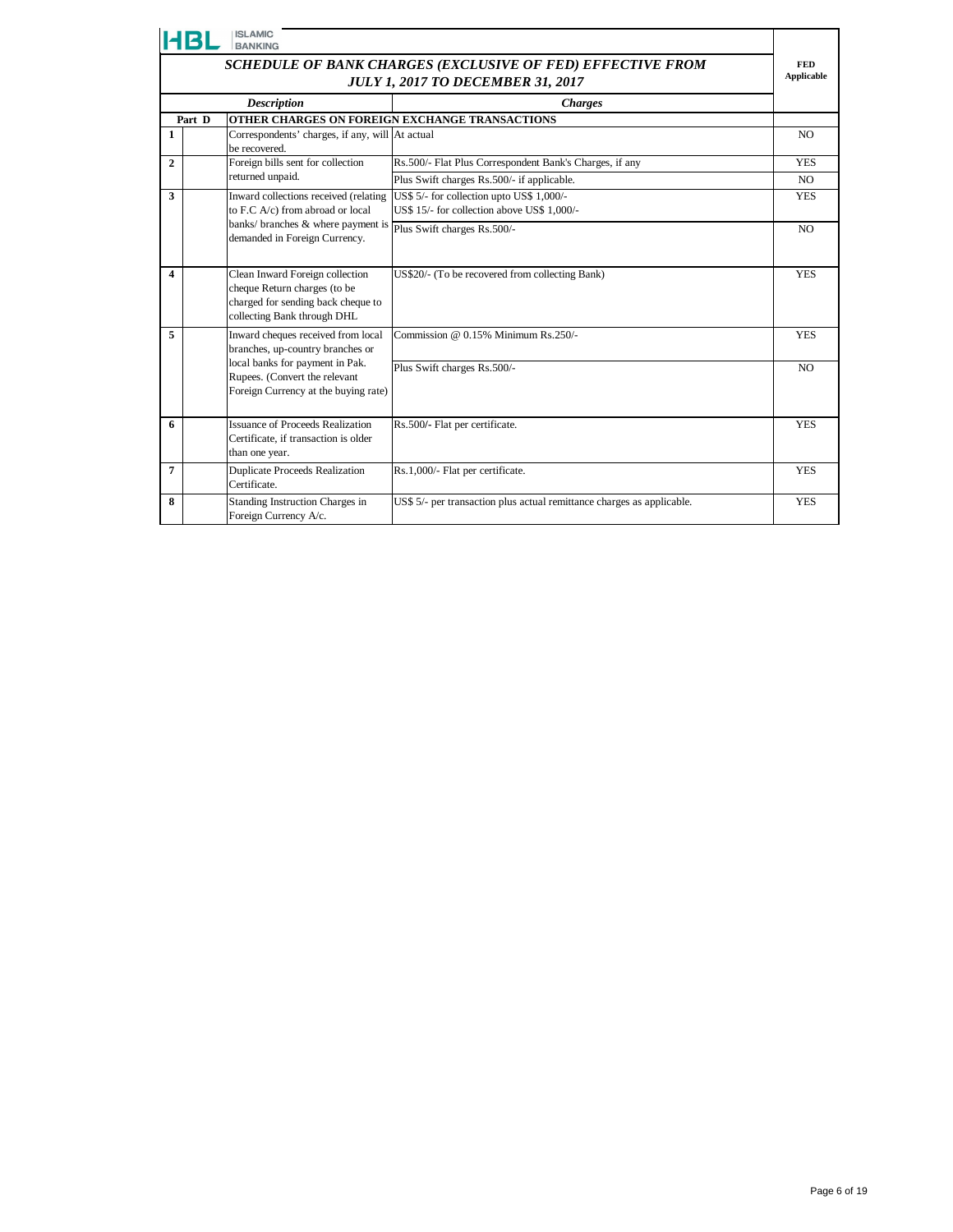|                | <b>ISLAMIC</b><br><b>BANKING</b>                                                                                                     |                                                                                          |                |  |  |  |
|----------------|--------------------------------------------------------------------------------------------------------------------------------------|------------------------------------------------------------------------------------------|----------------|--|--|--|
|                | SCHEDULE OF BANK CHARGES (EXCLUSIVE OF FED) EFFECTIVE FROM<br><b>JULY 1, 2017 TO DECEMBER 31, 2017</b>                               |                                                                                          |                |  |  |  |
|                | <b>Description</b><br><b>Charges</b>                                                                                                 |                                                                                          |                |  |  |  |
|                | Part D                                                                                                                               | OTHER CHARGES ON FOREIGN EXCHANGE TRANSACTIONS                                           |                |  |  |  |
| 1              | Correspondents' charges, if any, will At actual<br>be recovered.                                                                     |                                                                                          | N <sub>O</sub> |  |  |  |
| $\mathbf{2}$   | Foreign bills sent for collection                                                                                                    | Rs.500/- Flat Plus Correspondent Bank's Charges, if any                                  | <b>YES</b>     |  |  |  |
|                | returned unpaid.                                                                                                                     | Plus Swift charges Rs.500/- if applicable.                                               | NO.            |  |  |  |
| 3              | Inward collections received (relating<br>to F.C A/c) from abroad or local                                                            | US\$ 5/- for collection upto US\$ 1,000/-<br>US\$ 15/- for collection above US\$ 1,000/- | <b>YES</b>     |  |  |  |
|                | banks/ branches & where payment is<br>demanded in Foreign Currency.                                                                  | Plus Swift charges Rs.500/-                                                              | NO.            |  |  |  |
| 4              | Clean Inward Foreign collection<br>cheque Return charges (to be<br>charged for sending back cheque to<br>collecting Bank through DHL | US\$20/- (To be recovered from collecting Bank)                                          | <b>YES</b>     |  |  |  |
| 5              | Inward cheques received from local<br>branches, up-country branches or                                                               | Commission $@$ 0.15% Minimum Rs.250/-                                                    | <b>YES</b>     |  |  |  |
|                | local banks for payment in Pak.<br>Rupees. (Convert the relevant<br>Foreign Currency at the buying rate)                             | Plus Swift charges Rs.500/-                                                              | N <sub>O</sub> |  |  |  |
| 6              | Issuance of Proceeds Realization<br>Certificate, if transaction is older<br>than one year.                                           | Rs.500/- Flat per certificate.                                                           | <b>YES</b>     |  |  |  |
| $\overline{7}$ | <b>Duplicate Proceeds Realization</b><br>Certificate.                                                                                | Rs.1,000/- Flat per certificate.                                                         | <b>YES</b>     |  |  |  |
| 8              | Standing Instruction Charges in<br>Foreign Currency A/c.                                                                             | US\$ 5/- per transaction plus actual remittance charges as applicable.                   | <b>YES</b>     |  |  |  |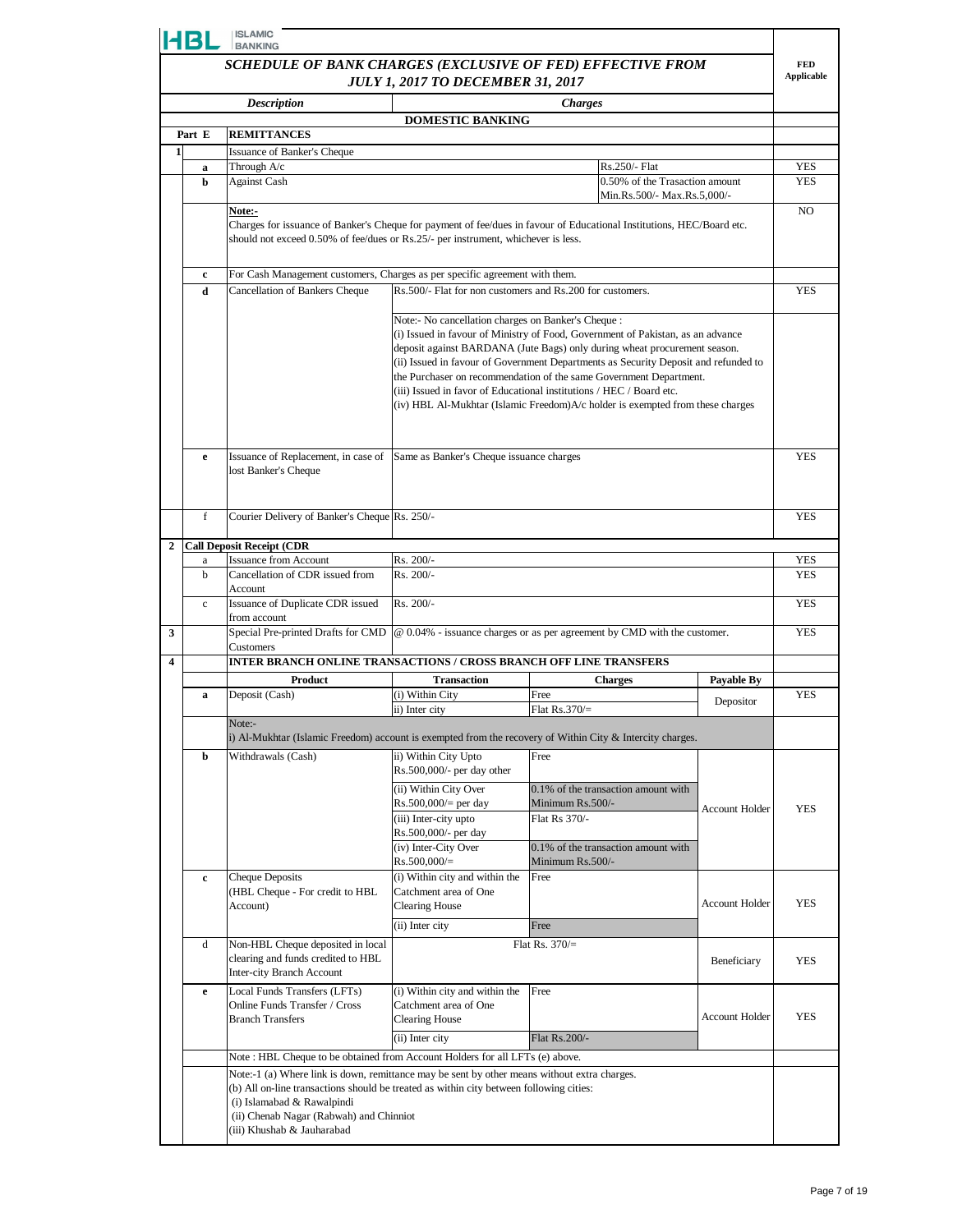|                | HBL                                                                                                                         | <b>ISLAMIC</b><br><b>BANKING</b>                                                                                                                                                               |                                                           |                                                                                                                                                                                                                                                                                                                                                                                                                                                                                     |                       |            |  |
|----------------|-----------------------------------------------------------------------------------------------------------------------------|------------------------------------------------------------------------------------------------------------------------------------------------------------------------------------------------|-----------------------------------------------------------|-------------------------------------------------------------------------------------------------------------------------------------------------------------------------------------------------------------------------------------------------------------------------------------------------------------------------------------------------------------------------------------------------------------------------------------------------------------------------------------|-----------------------|------------|--|
|                | SCHEDULE OF BANK CHARGES (EXCLUSIVE OF FED) EFFECTIVE FROM<br><b>Applicable</b><br><b>JULY 1, 2017 TO DECEMBER 31, 2017</b> |                                                                                                                                                                                                |                                                           |                                                                                                                                                                                                                                                                                                                                                                                                                                                                                     |                       |            |  |
|                |                                                                                                                             | <b>Description</b>                                                                                                                                                                             |                                                           | <b>Charges</b>                                                                                                                                                                                                                                                                                                                                                                                                                                                                      |                       |            |  |
|                | Part E                                                                                                                      | <b>REMITTANCES</b>                                                                                                                                                                             | <b>DOMESTIC BANKING</b>                                   |                                                                                                                                                                                                                                                                                                                                                                                                                                                                                     |                       |            |  |
| $\mathbf{1}$   |                                                                                                                             | Issuance of Banker's Cheque                                                                                                                                                                    |                                                           |                                                                                                                                                                                                                                                                                                                                                                                                                                                                                     |                       |            |  |
|                | a                                                                                                                           | Through A/c                                                                                                                                                                                    |                                                           | Rs.250/- Flat                                                                                                                                                                                                                                                                                                                                                                                                                                                                       |                       | YES        |  |
|                | b                                                                                                                           | <b>Against Cash</b>                                                                                                                                                                            |                                                           | 0.50% of the Trasaction amount<br>Min.Rs.500/- Max.Rs.5,000/-                                                                                                                                                                                                                                                                                                                                                                                                                       |                       | YES        |  |
|                |                                                                                                                             | Note:-                                                                                                                                                                                         |                                                           |                                                                                                                                                                                                                                                                                                                                                                                                                                                                                     |                       | NO.        |  |
|                |                                                                                                                             | should not exceed 0.50% of fee/dues or Rs.25/- per instrument, whichever is less.                                                                                                              |                                                           | Charges for issuance of Banker's Cheque for payment of fee/dues in favour of Educational Institutions, HEC/Board etc.                                                                                                                                                                                                                                                                                                                                                               |                       |            |  |
|                | $\mathbf c$                                                                                                                 | For Cash Management customers, Charges as per specific agreement with them.                                                                                                                    |                                                           |                                                                                                                                                                                                                                                                                                                                                                                                                                                                                     |                       |            |  |
|                | d                                                                                                                           | Cancellation of Bankers Cheque                                                                                                                                                                 | Rs.500/- Flat for non customers and Rs.200 for customers. |                                                                                                                                                                                                                                                                                                                                                                                                                                                                                     |                       | <b>YES</b> |  |
|                |                                                                                                                             |                                                                                                                                                                                                | Note:- No cancellation charges on Banker's Cheque :       | (i) Issued in favour of Ministry of Food, Government of Pakistan, as an advance<br>deposit against BARDANA (Jute Bags) only during wheat procurement season.<br>(ii) Issued in favour of Government Departments as Security Deposit and refunded to<br>the Purchaser on recommendation of the same Government Department.<br>(iii) Issued in favor of Educational institutions / HEC / Board etc.<br>(iv) HBL Al-Mukhtar (Islamic Freedom)A/c holder is exempted from these charges |                       |            |  |
|                | e                                                                                                                           | Issuance of Replacement, in case of<br>lost Banker's Cheque                                                                                                                                    | Same as Banker's Cheque issuance charges                  |                                                                                                                                                                                                                                                                                                                                                                                                                                                                                     |                       | <b>YES</b> |  |
|                | $\mathbf f$                                                                                                                 | Courier Delivery of Banker's Cheque Rs. 250/-                                                                                                                                                  |                                                           |                                                                                                                                                                                                                                                                                                                                                                                                                                                                                     |                       |            |  |
| $\overline{2}$ |                                                                                                                             | <b>Call Deposit Receipt (CDR</b>                                                                                                                                                               |                                                           |                                                                                                                                                                                                                                                                                                                                                                                                                                                                                     |                       |            |  |
|                | a                                                                                                                           | <b>Issuance from Account</b>                                                                                                                                                                   | Rs. 200/-                                                 |                                                                                                                                                                                                                                                                                                                                                                                                                                                                                     |                       | YES        |  |
|                | b                                                                                                                           | Cancellation of CDR issued from<br>Account                                                                                                                                                     | Rs. 200/-                                                 |                                                                                                                                                                                                                                                                                                                                                                                                                                                                                     |                       | YES        |  |
|                | $\mathbf c$                                                                                                                 | Issuance of Duplicate CDR issued<br>from account                                                                                                                                               | Rs. 200/-                                                 |                                                                                                                                                                                                                                                                                                                                                                                                                                                                                     |                       | <b>YES</b> |  |
| 3              |                                                                                                                             | Special Pre-printed Drafts for CMD<br>Customers                                                                                                                                                |                                                           | @ 0.04% - issuance charges or as per agreement by CMD with the customer.                                                                                                                                                                                                                                                                                                                                                                                                            |                       | <b>YES</b> |  |
| 4              |                                                                                                                             | INTER BRANCH ONLINE TRANSACTIONS / CROSS BRANCH OFF LINE TRANSFERS                                                                                                                             |                                                           |                                                                                                                                                                                                                                                                                                                                                                                                                                                                                     |                       |            |  |
|                |                                                                                                                             | Product<br>Deposit (Cash)                                                                                                                                                                      | <b>Transaction</b><br>(i) Within City                     | <b>Charges</b><br>Free                                                                                                                                                                                                                                                                                                                                                                                                                                                              | <b>Payable By</b>     | <b>YES</b> |  |
|                | a                                                                                                                           |                                                                                                                                                                                                | ii) Inter city                                            | Flat $Rs.370/=$                                                                                                                                                                                                                                                                                                                                                                                                                                                                     | Depositor             |            |  |
|                |                                                                                                                             | Note:-                                                                                                                                                                                         |                                                           | i) Al-Mukhtar (Islamic Freedom) account is exempted from the recovery of Within City & Intercity charges.                                                                                                                                                                                                                                                                                                                                                                           |                       |            |  |
|                | b                                                                                                                           | Withdrawals (Cash)                                                                                                                                                                             | ii) Within City Upto                                      | Free                                                                                                                                                                                                                                                                                                                                                                                                                                                                                |                       |            |  |
|                |                                                                                                                             |                                                                                                                                                                                                | Rs.500,000/- per day other                                |                                                                                                                                                                                                                                                                                                                                                                                                                                                                                     |                       |            |  |
|                |                                                                                                                             |                                                                                                                                                                                                | (ii) Within City Over<br>$Rs.500,000/=$ per day           | 0.1% of the transaction amount with<br>Minimum Rs.500/-                                                                                                                                                                                                                                                                                                                                                                                                                             |                       |            |  |
|                |                                                                                                                             |                                                                                                                                                                                                | (iii) Inter-city upto                                     | Flat Rs 370/-                                                                                                                                                                                                                                                                                                                                                                                                                                                                       | <b>Account Holder</b> | YES        |  |
|                |                                                                                                                             |                                                                                                                                                                                                | Rs.500,000/- per day                                      |                                                                                                                                                                                                                                                                                                                                                                                                                                                                                     |                       |            |  |
|                |                                                                                                                             |                                                                                                                                                                                                | (iv) Inter-City Over<br>$Rs.500,000/=$                    | 0.1% of the transaction amount with<br>Minimum Rs.500/-                                                                                                                                                                                                                                                                                                                                                                                                                             |                       |            |  |
|                | c                                                                                                                           | Cheque Deposits                                                                                                                                                                                | (i) Within city and within the                            | Free                                                                                                                                                                                                                                                                                                                                                                                                                                                                                |                       |            |  |
|                |                                                                                                                             | (HBL Cheque - For credit to HBL<br>Account)                                                                                                                                                    | Catchment area of One<br><b>Clearing House</b>            |                                                                                                                                                                                                                                                                                                                                                                                                                                                                                     | <b>Account Holder</b> | <b>YES</b> |  |
|                |                                                                                                                             |                                                                                                                                                                                                | (ii) Inter city                                           | Free                                                                                                                                                                                                                                                                                                                                                                                                                                                                                |                       |            |  |
|                | d                                                                                                                           | Non-HBL Cheque deposited in local<br>clearing and funds credited to HBL<br>Inter-city Branch Account                                                                                           |                                                           | Flat Rs. $370/$ =                                                                                                                                                                                                                                                                                                                                                                                                                                                                   | Beneficiary           | YES        |  |
|                | e                                                                                                                           | Local Funds Transfers (LFTs)                                                                                                                                                                   | (i) Within city and within the                            | Free                                                                                                                                                                                                                                                                                                                                                                                                                                                                                |                       |            |  |
|                |                                                                                                                             | Online Funds Transfer / Cross<br><b>Branch Transfers</b>                                                                                                                                       | Catchment area of One<br><b>Clearing House</b>            |                                                                                                                                                                                                                                                                                                                                                                                                                                                                                     | <b>Account Holder</b> | <b>YES</b> |  |
|                |                                                                                                                             |                                                                                                                                                                                                | (ii) Inter city                                           | Flat Rs.200/-                                                                                                                                                                                                                                                                                                                                                                                                                                                                       |                       |            |  |
|                |                                                                                                                             | Note: HBL Cheque to be obtained from Account Holders for all LFTs (e) above.                                                                                                                   |                                                           |                                                                                                                                                                                                                                                                                                                                                                                                                                                                                     |                       |            |  |
|                |                                                                                                                             | Note:-1 (a) Where link is down, remittance may be sent by other means without extra charges.                                                                                                   |                                                           |                                                                                                                                                                                                                                                                                                                                                                                                                                                                                     |                       |            |  |
|                |                                                                                                                             | (b) All on-line transactions should be treated as within city between following cities:<br>(i) Islamabad & Rawalpindi<br>(ii) Chenab Nagar (Rabwah) and Chinniot<br>(iii) Khushab & Jauharabad |                                                           |                                                                                                                                                                                                                                                                                                                                                                                                                                                                                     |                       |            |  |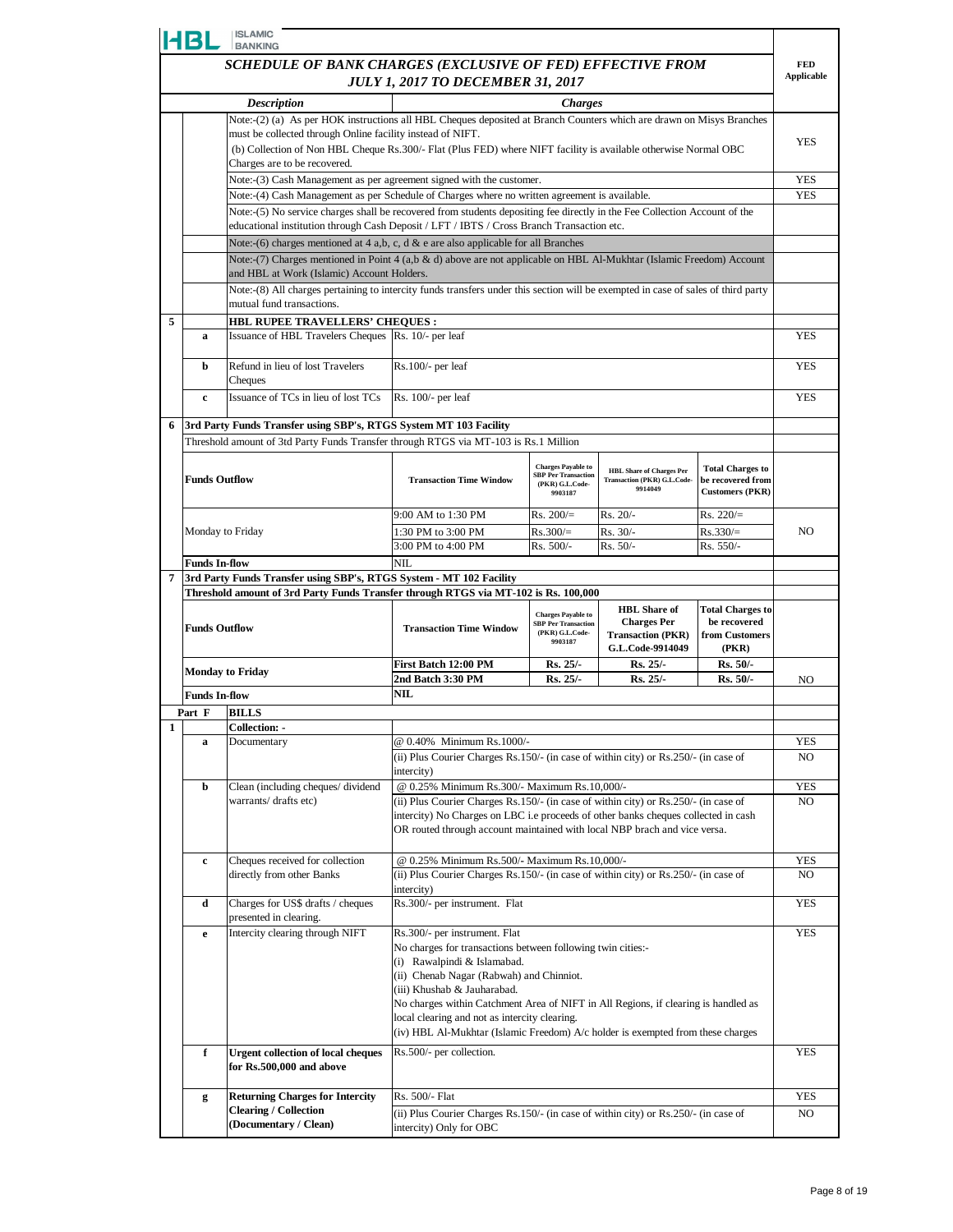|   | HBL                                                        | <b>ISLAMIC</b><br><b>BANKING</b>                                                                                                                               |                                                                                                                                                                 |                                                                            |                                                                |                         |                   |
|---|------------------------------------------------------------|----------------------------------------------------------------------------------------------------------------------------------------------------------------|-----------------------------------------------------------------------------------------------------------------------------------------------------------------|----------------------------------------------------------------------------|----------------------------------------------------------------|-------------------------|-------------------|
|   | SCHEDULE OF BANK CHARGES (EXCLUSIVE OF FED) EFFECTIVE FROM |                                                                                                                                                                |                                                                                                                                                                 |                                                                            |                                                                | <b>FED</b>              |                   |
|   | <b>JULY 1, 2017 TO DECEMBER 31, 2017</b>                   |                                                                                                                                                                |                                                                                                                                                                 |                                                                            |                                                                |                         | <b>Applicable</b> |
|   |                                                            | <b>Description</b>                                                                                                                                             |                                                                                                                                                                 | <b>Charges</b>                                                             |                                                                |                         |                   |
|   |                                                            | Note:-(2) (a) As per HOK instructions all HBL Cheques deposited at Branch Counters which are drawn on Misys Branches                                           |                                                                                                                                                                 |                                                                            |                                                                |                         |                   |
|   |                                                            | must be collected through Online facility instead of NIFT.                                                                                                     |                                                                                                                                                                 |                                                                            |                                                                |                         | <b>YES</b>        |
|   |                                                            | (b) Collection of Non HBL Cheque Rs.300/- Flat (Plus FED) where NIFT facility is available otherwise Normal OBC                                                |                                                                                                                                                                 |                                                                            |                                                                |                         |                   |
|   |                                                            | Charges are to be recovered.<br>Note:-(3) Cash Management as per agreement signed with the customer.                                                           |                                                                                                                                                                 |                                                                            |                                                                |                         | <b>YES</b>        |
|   |                                                            | Note:-(4) Cash Management as per Schedule of Charges where no written agreement is available.                                                                  |                                                                                                                                                                 |                                                                            |                                                                |                         | <b>YES</b>        |
|   |                                                            | Note:-(5) No service charges shall be recovered from students depositing fee directly in the Fee Collection Account of the                                     |                                                                                                                                                                 |                                                                            |                                                                |                         |                   |
|   |                                                            | educational institution through Cash Deposit / LFT / IBTS / Cross Branch Transaction etc.                                                                      |                                                                                                                                                                 |                                                                            |                                                                |                         |                   |
|   |                                                            | Note:-(6) charges mentioned at 4 a,b, c, d & e are also applicable for all Branches                                                                            |                                                                                                                                                                 |                                                                            |                                                                |                         |                   |
|   |                                                            | Note:-(7) Charges mentioned in Point 4 (a,b & d) above are not applicable on HBL Al-Mukhtar (Islamic Freedom) Account                                          |                                                                                                                                                                 |                                                                            |                                                                |                         |                   |
|   |                                                            | and HBL at Work (Islamic) Account Holders.                                                                                                                     |                                                                                                                                                                 |                                                                            |                                                                |                         |                   |
|   |                                                            | Note:-(8) All charges pertaining to intercity funds transfers under this section will be exempted in case of sales of third party<br>mutual fund transactions. |                                                                                                                                                                 |                                                                            |                                                                |                         |                   |
| 5 |                                                            | HBL RUPEE TRAVELLERS' CHEQUES :                                                                                                                                |                                                                                                                                                                 |                                                                            |                                                                |                         |                   |
|   | a                                                          | Issuance of HBL Travelers Cheques Rs. 10/- per leaf                                                                                                            |                                                                                                                                                                 |                                                                            |                                                                |                         | <b>YES</b>        |
|   |                                                            |                                                                                                                                                                |                                                                                                                                                                 |                                                                            |                                                                |                         |                   |
|   | b                                                          | Refund in lieu of lost Travelers                                                                                                                               | $Rs.100/-$ per leaf                                                                                                                                             |                                                                            |                                                                |                         | <b>YES</b>        |
|   |                                                            | Cheques<br>Issuance of TCs in lieu of lost TCs                                                                                                                 | Rs. 100/- per leaf                                                                                                                                              |                                                                            |                                                                |                         | <b>YES</b>        |
|   | $\mathbf{c}$                                               |                                                                                                                                                                |                                                                                                                                                                 |                                                                            |                                                                |                         |                   |
| 6 |                                                            | 3rd Party Funds Transfer using SBP's, RTGS System MT 103 Facility                                                                                              |                                                                                                                                                                 |                                                                            |                                                                |                         |                   |
|   |                                                            | Threshold amount of 3td Party Funds Transfer through RTGS via MT-103 is Rs.1 Million                                                                           |                                                                                                                                                                 |                                                                            |                                                                |                         |                   |
|   |                                                            |                                                                                                                                                                |                                                                                                                                                                 | <b>Charges Payable to</b>                                                  |                                                                | <b>Total Charges to</b> |                   |
|   | <b>Funds Outflow</b>                                       |                                                                                                                                                                | <b>Transaction Time Window</b>                                                                                                                                  | <b>SBP Per Transaction</b><br>(PKR) G.L.Code-                              | <b>HBL Share of Charges Per</b><br>Transaction (PKR) G.L.Code- | be recovered from       |                   |
|   |                                                            |                                                                                                                                                                |                                                                                                                                                                 | 9903187                                                                    | 9914049                                                        | <b>Customers (PKR)</b>  |                   |
|   |                                                            |                                                                                                                                                                | 9:00 AM to 1:30 PM                                                                                                                                              | $Rs. 200/=$                                                                | Rs. 20/-                                                       | $Rs. 220/=$             |                   |
|   |                                                            | Monday to Friday                                                                                                                                               | 1:30 PM to 3:00 PM                                                                                                                                              | $Rs.300/=$                                                                 | Rs. 30/-                                                       | $Rs.330/=$              | N <sub>O</sub>    |
|   |                                                            |                                                                                                                                                                | 3:00 PM to 4:00 PM                                                                                                                                              | Rs. 500/-                                                                  | $Rs. 50/-$                                                     | Rs. 550/-               |                   |
| 7 | <b>Funds In-flow</b>                                       | 3rd Party Funds Transfer using SBP's, RTGS System - MT 102 Facility                                                                                            | NIL                                                                                                                                                             |                                                                            |                                                                |                         |                   |
|   |                                                            | Threshold amount of 3rd Party Funds Transfer through RTGS via MT-102 is Rs. 100,000                                                                            |                                                                                                                                                                 |                                                                            |                                                                |                         |                   |
|   |                                                            |                                                                                                                                                                |                                                                                                                                                                 |                                                                            | <b>HBL</b> Share of                                            | <b>Total Charges to</b> |                   |
|   | <b>Funds Outflow</b>                                       |                                                                                                                                                                | <b>Transaction Time Window</b>                                                                                                                                  | <b>Charges Payable to</b><br><b>SBP Per Transaction</b><br>(PKR) G.L.Code- | <b>Charges Per</b>                                             | be recovered            |                   |
|   |                                                            |                                                                                                                                                                |                                                                                                                                                                 | 9903187                                                                    | <b>Transaction (PKR)</b><br>G.L.Code-9914049                   | from Customers<br>(PKR) |                   |
|   |                                                            |                                                                                                                                                                | First Batch 12:00 PM                                                                                                                                            | <b>Rs. 25/-</b>                                                            | $Rs. 25/-$                                                     | Rs. 50/-                |                   |
|   |                                                            | <b>Monday to Friday</b>                                                                                                                                        | 2nd Batch 3:30 PM                                                                                                                                               | $Rs. 25/-$                                                                 | $Rs. 25/-$                                                     | $Rs. 50/-$              | NO                |
|   | <b>Funds In-flow</b>                                       |                                                                                                                                                                | NIL                                                                                                                                                             |                                                                            |                                                                |                         |                   |
|   | Part F                                                     | BILLS                                                                                                                                                          |                                                                                                                                                                 |                                                                            |                                                                |                         |                   |
| 1 | a                                                          | <b>Collection: -</b><br>Documentary                                                                                                                            | @ 0.40% Minimum Rs.1000/-                                                                                                                                       |                                                                            |                                                                |                         | YES               |
|   |                                                            |                                                                                                                                                                |                                                                                                                                                                 |                                                                            |                                                                |                         | NO.               |
|   |                                                            |                                                                                                                                                                | (ii) Plus Courier Charges Rs.150/- (in case of within city) or Rs.250/- (in case of<br>intercity)                                                               |                                                                            |                                                                |                         |                   |
|   | b                                                          | Clean (including cheques/dividend                                                                                                                              | @ 0.25% Minimum Rs.300/- Maximum Rs.10,000/-                                                                                                                    |                                                                            |                                                                |                         | YES               |
|   |                                                            | warrants/ drafts etc)                                                                                                                                          | (ii) Plus Courier Charges Rs.150/- (in case of within city) or Rs.250/- (in case of                                                                             |                                                                            |                                                                |                         | NO.               |
|   |                                                            |                                                                                                                                                                | intercity) No Charges on LBC i.e proceeds of other banks cheques collected in cash<br>OR routed through account maintained with local NBP brach and vice versa. |                                                                            |                                                                |                         |                   |
|   |                                                            |                                                                                                                                                                |                                                                                                                                                                 |                                                                            |                                                                |                         |                   |
|   | c                                                          | Cheques received for collection                                                                                                                                | @ 0.25% Minimum Rs.500/- Maximum Rs.10,000/-                                                                                                                    |                                                                            |                                                                |                         | YES               |
|   |                                                            |                                                                                                                                                                |                                                                                                                                                                 |                                                                            |                                                                |                         |                   |
|   |                                                            | directly from other Banks                                                                                                                                      | (ii) Plus Courier Charges Rs.150/- (in case of within city) or Rs.250/- (in case of                                                                             |                                                                            |                                                                |                         | NO.               |
|   |                                                            |                                                                                                                                                                | intercity)                                                                                                                                                      |                                                                            |                                                                |                         |                   |
|   | d                                                          | Charges for US\$ drafts / cheques                                                                                                                              | Rs.300/- per instrument. Flat                                                                                                                                   |                                                                            |                                                                |                         | <b>YES</b>        |
|   | e                                                          | presented in clearing.<br>Intercity clearing through NIFT                                                                                                      | Rs.300/- per instrument. Flat                                                                                                                                   |                                                                            |                                                                |                         | <b>YES</b>        |
|   |                                                            |                                                                                                                                                                | No charges for transactions between following twin cities:-                                                                                                     |                                                                            |                                                                |                         |                   |
|   |                                                            |                                                                                                                                                                | (i) Rawalpindi & Islamabad.                                                                                                                                     |                                                                            |                                                                |                         |                   |
|   |                                                            |                                                                                                                                                                | (ii) Chenab Nagar (Rabwah) and Chinniot.<br>(iii) Khushab & Jauharabad.                                                                                         |                                                                            |                                                                |                         |                   |
|   |                                                            |                                                                                                                                                                | No charges within Catchment Area of NIFT in All Regions, if clearing is handled as                                                                              |                                                                            |                                                                |                         |                   |
|   |                                                            |                                                                                                                                                                | local clearing and not as intercity clearing.                                                                                                                   |                                                                            |                                                                |                         |                   |
|   |                                                            |                                                                                                                                                                | (iv) HBL Al-Mukhtar (Islamic Freedom) A/c holder is exempted from these charges                                                                                 |                                                                            |                                                                |                         |                   |
|   | f                                                          | <b>Urgent collection of local cheques</b>                                                                                                                      | Rs.500/- per collection.                                                                                                                                        |                                                                            |                                                                |                         | <b>YES</b>        |
|   |                                                            | for Rs.500,000 and above                                                                                                                                       |                                                                                                                                                                 |                                                                            |                                                                |                         |                   |
|   | g                                                          | <b>Returning Charges for Intercity</b>                                                                                                                         | Rs. 500/- Flat                                                                                                                                                  |                                                                            |                                                                |                         | YES               |
|   |                                                            | <b>Clearing / Collection</b><br>(Documentary / Clean)                                                                                                          | (ii) Plus Courier Charges Rs.150/- (in case of within city) or Rs.250/- (in case of                                                                             |                                                                            |                                                                |                         | NO.               |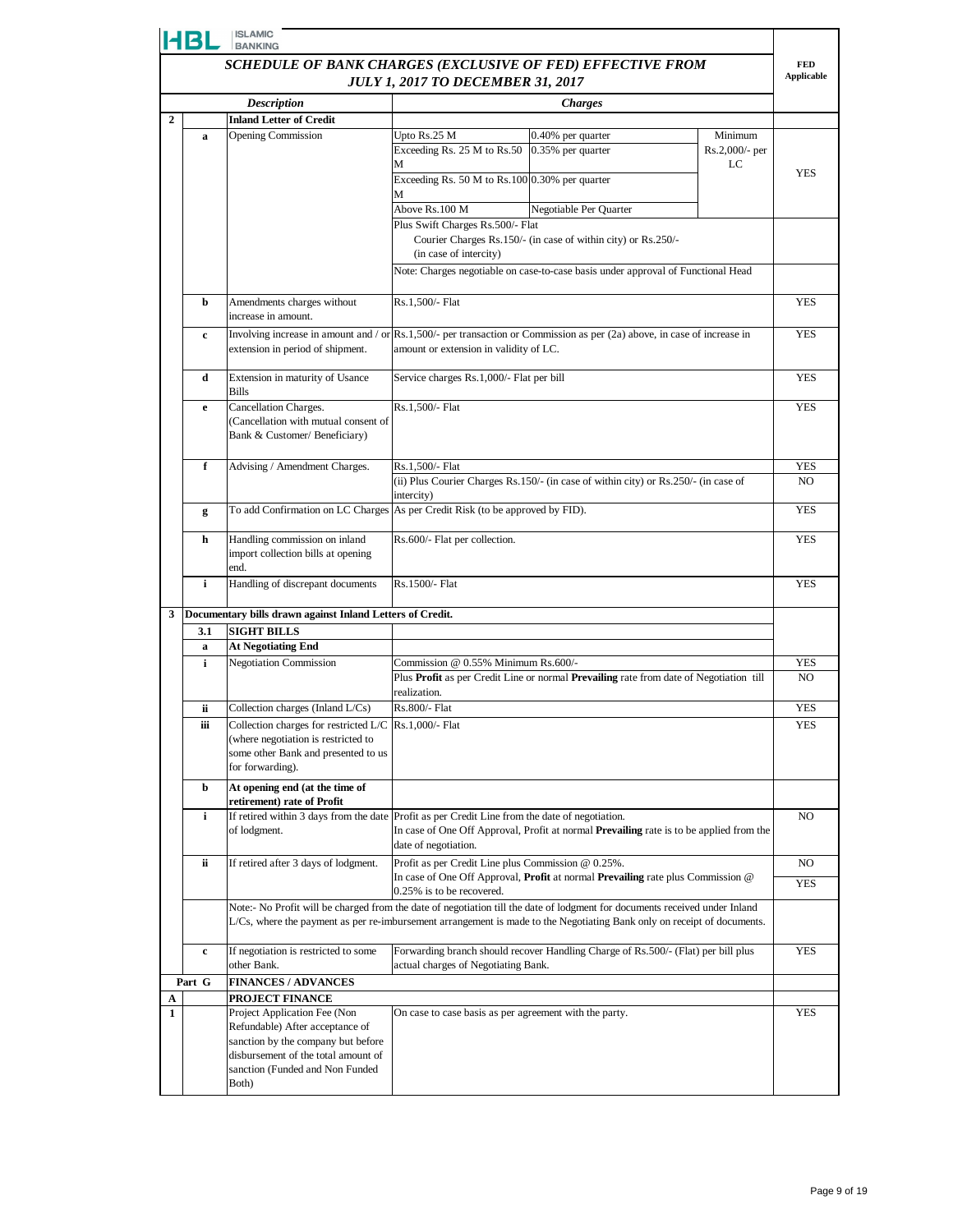|                                                            | HBL                                      | <b>ISLAMIC</b><br><b>BANKING</b>                                                                                             |                                                        |                                                                                                                                    |                           |                              |  |  |
|------------------------------------------------------------|------------------------------------------|------------------------------------------------------------------------------------------------------------------------------|--------------------------------------------------------|------------------------------------------------------------------------------------------------------------------------------------|---------------------------|------------------------------|--|--|
| SCHEDULE OF BANK CHARGES (EXCLUSIVE OF FED) EFFECTIVE FROM |                                          |                                                                                                                              |                                                        | <b>FED</b><br><b>Applicable</b>                                                                                                    |                           |                              |  |  |
|                                                            | <b>JULY 1, 2017 TO DECEMBER 31, 2017</b> |                                                                                                                              |                                                        |                                                                                                                                    |                           |                              |  |  |
|                                                            |                                          | <b>Description</b>                                                                                                           |                                                        | <b>Charges</b>                                                                                                                     |                           |                              |  |  |
| $\overline{2}$                                             |                                          | <b>Inland Letter of Credit</b>                                                                                               |                                                        |                                                                                                                                    |                           |                              |  |  |
|                                                            | a                                        | <b>Opening Commission</b>                                                                                                    | Upto Rs.25 M<br>Exceeding Rs. 25 M to Rs.50            | 0.40% per quarter<br>0.35% per quarter                                                                                             | Minimum<br>Rs.2,000/- per |                              |  |  |
|                                                            |                                          |                                                                                                                              | M                                                      |                                                                                                                                    | LC                        |                              |  |  |
|                                                            |                                          |                                                                                                                              | Exceeding Rs. 50 M to Rs.100 0.30% per quarter         |                                                                                                                                    |                           | <b>YES</b>                   |  |  |
|                                                            |                                          |                                                                                                                              | М<br>Above Rs.100 M                                    | Negotiable Per Quarter                                                                                                             |                           |                              |  |  |
|                                                            |                                          |                                                                                                                              | Plus Swift Charges Rs.500/- Flat                       |                                                                                                                                    |                           |                              |  |  |
|                                                            |                                          |                                                                                                                              |                                                        | Courier Charges Rs.150/- (in case of within city) or Rs.250/-                                                                      |                           |                              |  |  |
|                                                            |                                          |                                                                                                                              | (in case of intercity)                                 |                                                                                                                                    |                           |                              |  |  |
|                                                            |                                          |                                                                                                                              |                                                        | Note: Charges negotiable on case-to-case basis under approval of Functional Head                                                   |                           |                              |  |  |
|                                                            | b                                        | Amendments charges without<br>increase in amount.                                                                            | Rs.1,500/- Flat                                        |                                                                                                                                    |                           | <b>YES</b>                   |  |  |
|                                                            | c                                        |                                                                                                                              |                                                        | Involving increase in amount and / or $\text{Rs}.1,500/$ - per transaction or Commission as per (2a) above, in case of increase in |                           | <b>YES</b>                   |  |  |
|                                                            |                                          | extension in period of shipment.                                                                                             | amount or extension in validity of LC.                 |                                                                                                                                    |                           |                              |  |  |
|                                                            | d                                        | Extension in maturity of Usance<br>Bills                                                                                     | Service charges Rs.1,000/- Flat per bill               |                                                                                                                                    |                           | <b>YES</b>                   |  |  |
|                                                            | e                                        | Cancellation Charges.                                                                                                        | Rs.1,500/- Flat                                        |                                                                                                                                    |                           | <b>YES</b>                   |  |  |
|                                                            |                                          | (Cancellation with mutual consent of<br>Bank & Customer/ Beneficiary)                                                        |                                                        |                                                                                                                                    |                           |                              |  |  |
|                                                            |                                          |                                                                                                                              |                                                        |                                                                                                                                    |                           |                              |  |  |
|                                                            | f                                        | Advising / Amendment Charges.                                                                                                | Rs.1,500/- Flat                                        |                                                                                                                                    |                           |                              |  |  |
|                                                            |                                          |                                                                                                                              | intercity)                                             | (ii) Plus Courier Charges Rs.150/- (in case of within city) or Rs.250/- (in case of                                                |                           |                              |  |  |
|                                                            | g                                        | To add Confirmation on LC Charges As per Credit Risk (to be approved by FID).                                                |                                                        |                                                                                                                                    |                           | <b>YES</b>                   |  |  |
|                                                            | h                                        | Handling commission on inland                                                                                                | Rs.600/- Flat per collection.                          |                                                                                                                                    |                           | <b>YES</b>                   |  |  |
|                                                            |                                          | import collection bills at opening<br>end.                                                                                   |                                                        |                                                                                                                                    |                           |                              |  |  |
|                                                            | i                                        | Handling of discrepant documents                                                                                             | Rs.1500/- Flat                                         |                                                                                                                                    |                           | <b>YES</b>                   |  |  |
| 3                                                          |                                          | Documentary bills drawn against Inland Letters of Credit.                                                                    |                                                        |                                                                                                                                    |                           |                              |  |  |
|                                                            | 3.1                                      | <b>SIGHT BILLS</b>                                                                                                           |                                                        |                                                                                                                                    |                           |                              |  |  |
|                                                            | a                                        | <b>At Negotiating End</b>                                                                                                    |                                                        |                                                                                                                                    |                           |                              |  |  |
|                                                            | i                                        | <b>Negotiation Commission</b>                                                                                                | Commission @ 0.55% Minimum Rs.600/-                    | Plus Profit as per Credit Line or normal Prevailing rate from date of Negotiation till                                             |                           | <b>YES</b><br>N <sub>O</sub> |  |  |
|                                                            |                                          |                                                                                                                              | realization.                                           |                                                                                                                                    |                           |                              |  |  |
|                                                            | ii                                       | Collection charges (Inland L/Cs)                                                                                             | Rs.800/- Flat                                          |                                                                                                                                    |                           | <b>YES</b>                   |  |  |
|                                                            | Ш                                        | Collection charges for restricted $L/C$ $\left  \text{Rs.1,000/} \right $ Flat                                               |                                                        |                                                                                                                                    |                           | YES                          |  |  |
|                                                            |                                          | (where negotiation is restricted to<br>some other Bank and presented to us                                                   |                                                        |                                                                                                                                    |                           |                              |  |  |
|                                                            |                                          | for forwarding).                                                                                                             |                                                        |                                                                                                                                    |                           |                              |  |  |
|                                                            | b                                        | At opening end (at the time of                                                                                               |                                                        |                                                                                                                                    |                           |                              |  |  |
|                                                            | i                                        | retirement) rate of Profit<br>If retired within 3 days from the date Profit as per Credit Line from the date of negotiation. |                                                        |                                                                                                                                    |                           | N <sub>O</sub>               |  |  |
|                                                            |                                          | of lodgment.                                                                                                                 | date of negotiation.                                   | In case of One Off Approval, Profit at normal Prevailing rate is to be applied from the                                            |                           |                              |  |  |
|                                                            | ii                                       | If retired after 3 days of lodgment.                                                                                         | Profit as per Credit Line plus Commission @ 0.25%.     |                                                                                                                                    |                           | NO.                          |  |  |
|                                                            |                                          |                                                                                                                              |                                                        | In case of One Off Approval, Profit at normal Prevailing rate plus Commission @                                                    |                           | YES                          |  |  |
|                                                            |                                          |                                                                                                                              | 0.25% is to be recovered.                              | Note:- No Profit will be charged from the date of negotiation till the date of lodgment for documents received under Inland        |                           |                              |  |  |
|                                                            |                                          |                                                                                                                              |                                                        | L/Cs, where the payment as per re-imbursement arrangement is made to the Negotiating Bank only on receipt of documents.            |                           |                              |  |  |
|                                                            | $\mathbf c$                              | If negotiation is restricted to some<br>other Bank.                                                                          | actual charges of Negotiating Bank.                    | Forwarding branch should recover Handling Charge of Rs.500/- (Flat) per bill plus                                                  |                           | <b>YES</b>                   |  |  |
|                                                            | Part G                                   | <b>FINANCES / ADVANCES</b>                                                                                                   |                                                        |                                                                                                                                    |                           |                              |  |  |
| A                                                          |                                          | PROJECT FINANCE                                                                                                              |                                                        |                                                                                                                                    |                           |                              |  |  |
| 1                                                          |                                          | Project Application Fee (Non<br>Refundable) After acceptance of                                                              | On case to case basis as per agreement with the party. |                                                                                                                                    |                           | <b>YES</b>                   |  |  |
|                                                            |                                          | sanction by the company but before                                                                                           |                                                        |                                                                                                                                    |                           |                              |  |  |
|                                                            |                                          | disbursement of the total amount of                                                                                          |                                                        |                                                                                                                                    |                           |                              |  |  |
|                                                            |                                          | sanction (Funded and Non Funded<br>Both)                                                                                     |                                                        |                                                                                                                                    |                           |                              |  |  |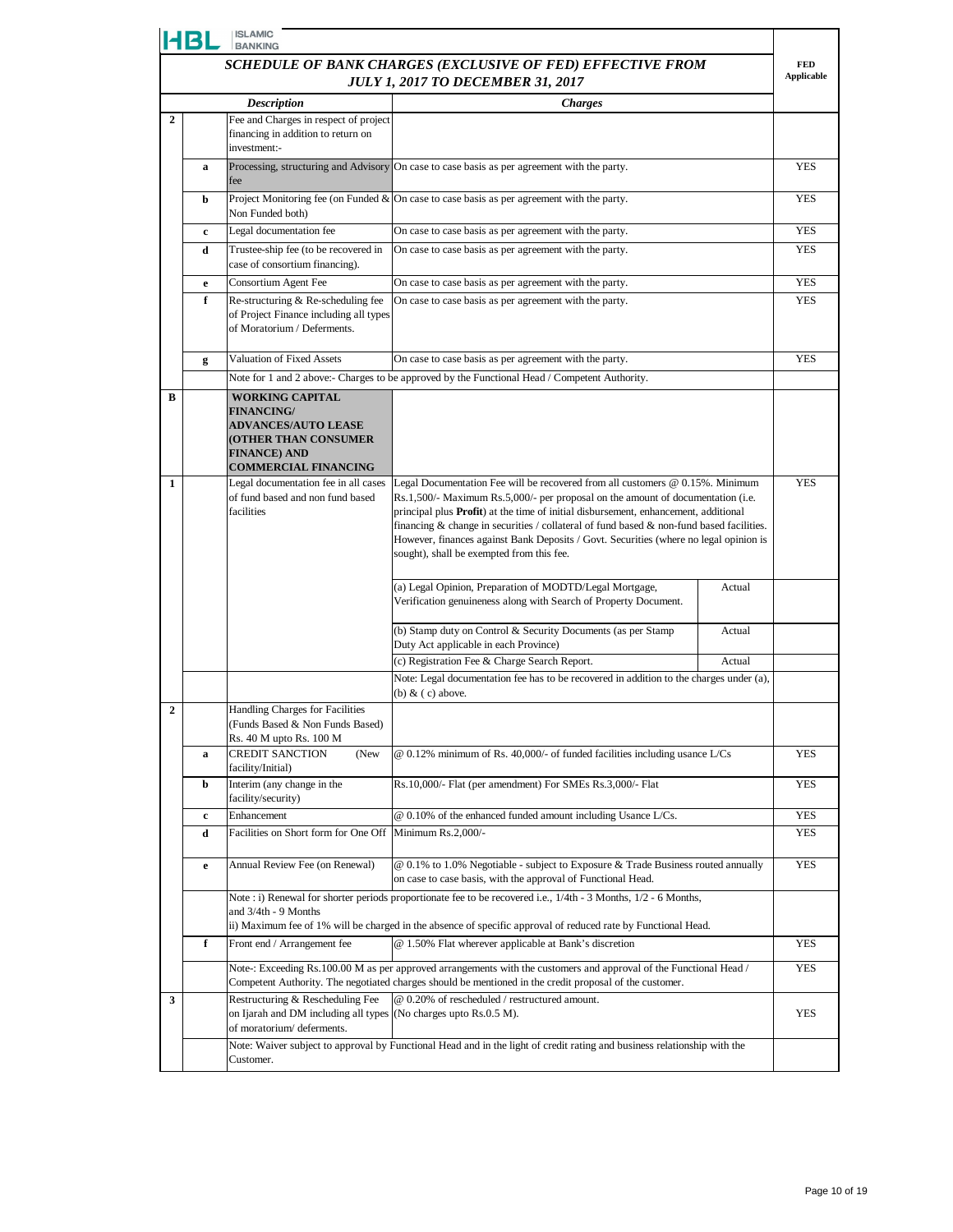|                | HBL                                                        | <b>ISLAMIC</b><br><b>BANKING</b>                                                                                                                               |                                                                                                                                                                                                                                                                                                                                                                                                                                                                                                   |        |                                 |
|----------------|------------------------------------------------------------|----------------------------------------------------------------------------------------------------------------------------------------------------------------|---------------------------------------------------------------------------------------------------------------------------------------------------------------------------------------------------------------------------------------------------------------------------------------------------------------------------------------------------------------------------------------------------------------------------------------------------------------------------------------------------|--------|---------------------------------|
|                | SCHEDULE OF BANK CHARGES (EXCLUSIVE OF FED) EFFECTIVE FROM |                                                                                                                                                                |                                                                                                                                                                                                                                                                                                                                                                                                                                                                                                   |        | <b>FED</b><br><b>Applicable</b> |
|                |                                                            |                                                                                                                                                                | <b>JULY 1, 2017 TO DECEMBER 31, 2017</b>                                                                                                                                                                                                                                                                                                                                                                                                                                                          |        |                                 |
| $\overline{2}$ |                                                            | <b>Description</b><br>Fee and Charges in respect of project                                                                                                    | <b>Charges</b>                                                                                                                                                                                                                                                                                                                                                                                                                                                                                    |        |                                 |
|                |                                                            | financing in addition to return on<br>investment:-                                                                                                             |                                                                                                                                                                                                                                                                                                                                                                                                                                                                                                   |        |                                 |
|                | a                                                          | fee                                                                                                                                                            | Processing, structuring and Advisory On case to case basis as per agreement with the party.                                                                                                                                                                                                                                                                                                                                                                                                       |        | <b>YES</b>                      |
|                | b                                                          | Non Funded both)                                                                                                                                               | Project Monitoring fee (on Funded $\&$ On case to case basis as per agreement with the party.                                                                                                                                                                                                                                                                                                                                                                                                     |        | <b>YES</b>                      |
|                | c                                                          | Legal documentation fee                                                                                                                                        | On case to case basis as per agreement with the party.                                                                                                                                                                                                                                                                                                                                                                                                                                            |        | <b>YES</b>                      |
|                | d                                                          | Trustee-ship fee (to be recovered in<br>case of consortium financing).                                                                                         | On case to case basis as per agreement with the party.                                                                                                                                                                                                                                                                                                                                                                                                                                            |        | <b>YES</b>                      |
|                | e                                                          | Consortium Agent Fee                                                                                                                                           | On case to case basis as per agreement with the party.                                                                                                                                                                                                                                                                                                                                                                                                                                            |        | <b>YES</b>                      |
|                | f                                                          | Re-structuring & Re-scheduling fee<br>of Project Finance including all types<br>of Moratorium / Deferments.                                                    | On case to case basis as per agreement with the party.                                                                                                                                                                                                                                                                                                                                                                                                                                            |        | <b>YES</b>                      |
|                | g                                                          | Valuation of Fixed Assets                                                                                                                                      | On case to case basis as per agreement with the party.                                                                                                                                                                                                                                                                                                                                                                                                                                            |        | <b>YES</b>                      |
|                |                                                            |                                                                                                                                                                | Note for 1 and 2 above:- Charges to be approved by the Functional Head / Competent Authority.                                                                                                                                                                                                                                                                                                                                                                                                     |        |                                 |
| В              |                                                            | <b>WORKING CAPITAL</b><br><b>FINANCING/</b><br><b>ADVANCES/AUTO LEASE</b><br><b>(OTHER THAN CONSUMER</b><br><b>FINANCE) AND</b><br><b>COMMERCIAL FINANCING</b> |                                                                                                                                                                                                                                                                                                                                                                                                                                                                                                   |        |                                 |
| 1              |                                                            | Legal documentation fee in all cases<br>of fund based and non fund based<br>facilities                                                                         | Legal Documentation Fee will be recovered from all customers $@$ 0.15%. Minimum<br>Rs.1,500/- Maximum Rs.5,000/- per proposal on the amount of documentation (i.e.<br>principal plus Profit) at the time of initial disbursement, enhancement, additional<br>financing $\&$ change in securities / collateral of fund based $\&$ non-fund based facilities.<br>However, finances against Bank Deposits / Govt. Securities (where no legal opinion is<br>sought), shall be exempted from this fee. |        | <b>YES</b>                      |
|                |                                                            |                                                                                                                                                                | (a) Legal Opinion, Preparation of MODTD/Legal Mortgage,<br>Verification genuineness along with Search of Property Document.                                                                                                                                                                                                                                                                                                                                                                       | Actual |                                 |
|                |                                                            |                                                                                                                                                                | (b) Stamp duty on Control & Security Documents (as per Stamp<br>Duty Act applicable in each Province)                                                                                                                                                                                                                                                                                                                                                                                             | Actual |                                 |
|                |                                                            |                                                                                                                                                                | (c) Registration Fee & Charge Search Report.<br>Note: Legal documentation fee has to be recovered in addition to the charges under (a),                                                                                                                                                                                                                                                                                                                                                           | Actual |                                 |
|                |                                                            |                                                                                                                                                                | (b) $& (c)$ above.                                                                                                                                                                                                                                                                                                                                                                                                                                                                                |        |                                 |
| $\overline{2}$ |                                                            | <b>Handling Charges for Facilities</b><br>(Funds Based & Non Funds Based)<br>Rs. 40 M upto Rs. 100 M                                                           |                                                                                                                                                                                                                                                                                                                                                                                                                                                                                                   |        |                                 |
|                | a                                                          | <b>CREDIT SANCTION</b><br>(New<br>facility/Initial)                                                                                                            | @ 0.12% minimum of Rs. 40,000/- of funded facilities including usance L/Cs                                                                                                                                                                                                                                                                                                                                                                                                                        |        | <b>YES</b>                      |
|                | b                                                          | Interim (any change in the<br>facility/security)                                                                                                               | Rs.10,000/- Flat (per amendment) For SMEs Rs.3,000/- Flat                                                                                                                                                                                                                                                                                                                                                                                                                                         |        | YES                             |
|                | $\mathbf c$                                                | Enhancement                                                                                                                                                    | @ 0.10% of the enhanced funded amount including Usance L/Cs.                                                                                                                                                                                                                                                                                                                                                                                                                                      |        | <b>YES</b>                      |
|                | d                                                          | Facilities on Short form for One Off                                                                                                                           | Minimum Rs.2,000/-                                                                                                                                                                                                                                                                                                                                                                                                                                                                                |        | <b>YES</b>                      |
|                | e                                                          | Annual Review Fee (on Renewal)                                                                                                                                 | $@$ 0.1% to 1.0% Negotiable - subject to Exposure & Trade Business routed annually<br>on case to case basis, with the approval of Functional Head.                                                                                                                                                                                                                                                                                                                                                |        | <b>YES</b>                      |
|                |                                                            | and 3/4th - 9 Months                                                                                                                                           | Note : i) Renewal for shorter periods proportionate fee to be recovered i.e., 1/4th - 3 Months, 1/2 - 6 Months,<br>ii) Maximum fee of 1% will be charged in the absence of specific approval of reduced rate by Functional Head.                                                                                                                                                                                                                                                                  |        |                                 |
|                | f                                                          | Front end / Arrangement fee                                                                                                                                    | @ 1.50% Flat wherever applicable at Bank's discretion                                                                                                                                                                                                                                                                                                                                                                                                                                             |        | YES                             |
|                |                                                            |                                                                                                                                                                | Note-: Exceeding Rs.100.00 M as per approved arrangements with the customers and approval of the Functional Head /<br>Competent Authority. The negotiated charges should be mentioned in the credit proposal of the customer.                                                                                                                                                                                                                                                                     |        | <b>YES</b>                      |
| 3              |                                                            | Restructuring & Rescheduling Fee<br>on Ijarah and DM including all types (No charges upto Rs.0.5 M).<br>of moratorium/deferments.                              | @ 0.20% of rescheduled / restructured amount.                                                                                                                                                                                                                                                                                                                                                                                                                                                     |        | <b>YES</b>                      |
|                |                                                            | Customer.                                                                                                                                                      | Note: Waiver subject to approval by Functional Head and in the light of credit rating and business relationship with the                                                                                                                                                                                                                                                                                                                                                                          |        |                                 |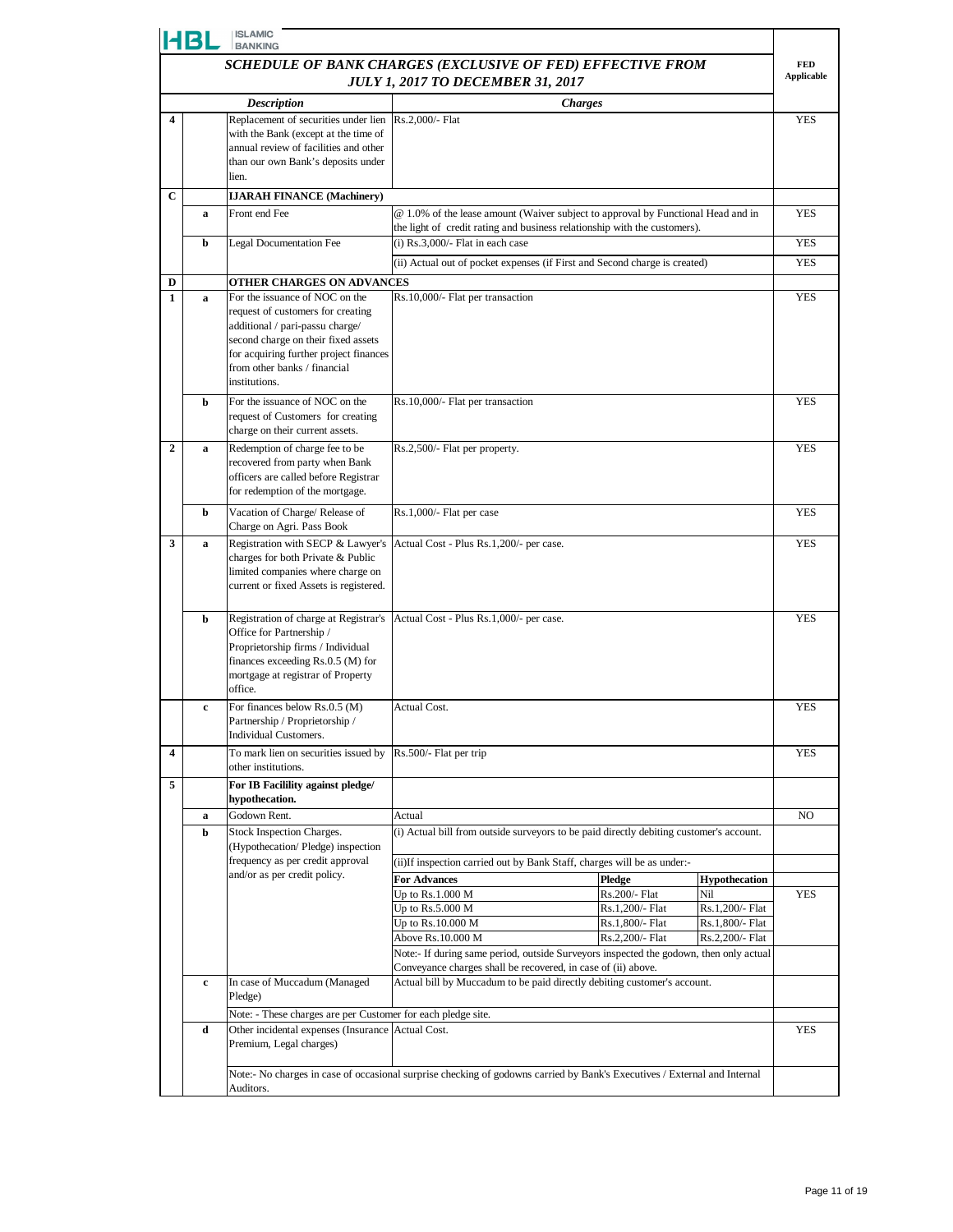|                | <b>ISLAMIC</b><br>14 B L<br><b>BANKING</b>                 |                                                                                              |                                                                                                                           |                                    |                                    |                   |
|----------------|------------------------------------------------------------|----------------------------------------------------------------------------------------------|---------------------------------------------------------------------------------------------------------------------------|------------------------------------|------------------------------------|-------------------|
|                | SCHEDULE OF BANK CHARGES (EXCLUSIVE OF FED) EFFECTIVE FROM |                                                                                              |                                                                                                                           |                                    |                                    | <b>FED</b>        |
|                |                                                            |                                                                                              | <b>JULY 1, 2017 TO DECEMBER 31, 2017</b>                                                                                  |                                    |                                    | <b>Applicable</b> |
|                |                                                            | <b>Description</b>                                                                           | <b>Charges</b>                                                                                                            |                                    |                                    |                   |
| 4              |                                                            | Replacement of securities under lien Rs.2,000/- Flat<br>with the Bank (except at the time of |                                                                                                                           |                                    |                                    | <b>YES</b>        |
|                |                                                            | annual review of facilities and other                                                        |                                                                                                                           |                                    |                                    |                   |
|                |                                                            | than our own Bank's deposits under                                                           |                                                                                                                           |                                    |                                    |                   |
|                |                                                            | lien.                                                                                        |                                                                                                                           |                                    |                                    |                   |
| $\mathbf C$    | a                                                          | <b>IJARAH FINANCE (Machinery)</b><br>Front end Fee                                           | @ 1.0% of the lease amount (Waiver subject to approval by Functional Head and in                                          |                                    |                                    | <b>YES</b>        |
|                |                                                            |                                                                                              | the light of credit rating and business relationship with the customers).                                                 |                                    |                                    |                   |
|                | b                                                          | <b>Legal Documentation Fee</b>                                                               | $(i)$ Rs.3,000/- Flat in each case                                                                                        |                                    |                                    | <b>YES</b>        |
|                |                                                            |                                                                                              | (ii) Actual out of pocket expenses (if First and Second charge is created)                                                |                                    |                                    | <b>YES</b>        |
| D              |                                                            | OTHER CHARGES ON ADVANCES                                                                    |                                                                                                                           |                                    |                                    |                   |
| 1              | a                                                          | For the issuance of NOC on the                                                               | Rs.10,000/- Flat per transaction                                                                                          |                                    |                                    | YES               |
|                |                                                            | request of customers for creating<br>additional / pari-passu charge/                         |                                                                                                                           |                                    |                                    |                   |
|                |                                                            | second charge on their fixed assets                                                          |                                                                                                                           |                                    |                                    |                   |
|                |                                                            | for acquiring further project finances<br>from other banks / financial                       |                                                                                                                           |                                    |                                    |                   |
|                |                                                            | institutions.                                                                                |                                                                                                                           |                                    |                                    |                   |
|                | b                                                          | For the issuance of NOC on the                                                               | Rs.10,000/- Flat per transaction                                                                                          |                                    |                                    | <b>YES</b>        |
|                |                                                            | request of Customers for creating                                                            |                                                                                                                           |                                    |                                    |                   |
|                |                                                            | charge on their current assets.                                                              |                                                                                                                           |                                    |                                    |                   |
| $\overline{2}$ | a                                                          | Redemption of charge fee to be<br>recovered from party when Bank                             | Rs.2,500/- Flat per property.                                                                                             |                                    |                                    | <b>YES</b>        |
|                |                                                            | officers are called before Registrar                                                         |                                                                                                                           |                                    |                                    |                   |
|                |                                                            | for redemption of the mortgage.                                                              |                                                                                                                           |                                    |                                    |                   |
|                | b                                                          | Vacation of Charge/ Release of                                                               | Rs.1,000/- Flat per case                                                                                                  |                                    |                                    | <b>YES</b>        |
| 3              | a                                                          | Charge on Agri. Pass Book<br>Registration with SECP & Lawyer's                               | Actual Cost - Plus Rs.1,200/- per case.                                                                                   |                                    |                                    | <b>YES</b>        |
|                |                                                            | charges for both Private & Public                                                            |                                                                                                                           |                                    |                                    |                   |
|                |                                                            | limited companies where charge on                                                            |                                                                                                                           |                                    |                                    |                   |
|                |                                                            | current or fixed Assets is registered.                                                       |                                                                                                                           |                                    |                                    |                   |
|                | b                                                          | Registration of charge at Registrar's                                                        | Actual Cost - Plus Rs.1,000/- per case.                                                                                   |                                    |                                    | <b>YES</b>        |
|                |                                                            | Office for Partnership /                                                                     |                                                                                                                           |                                    |                                    |                   |
|                |                                                            | Proprietorship firms / Individual<br>finances exceeding Rs.0.5 (M) for                       |                                                                                                                           |                                    |                                    |                   |
|                |                                                            | mortgage at registrar of Property                                                            |                                                                                                                           |                                    |                                    |                   |
|                |                                                            | office.                                                                                      |                                                                                                                           |                                    |                                    |                   |
|                | c                                                          | For finances below Rs.0.5 (M)<br>Partnership / Proprietorship /                              | Actual Cost.                                                                                                              |                                    |                                    | <b>YES</b>        |
|                |                                                            | Individual Customers.                                                                        |                                                                                                                           |                                    |                                    |                   |
| 4              |                                                            | To mark lien on securities issued by $\left  \text{Rs.}500 \right $ . Flat per trip          |                                                                                                                           |                                    |                                    | YES               |
| 5              |                                                            | other institutions.<br>For IB Facilility against pledge/                                     |                                                                                                                           |                                    |                                    |                   |
|                |                                                            | hypothecation.                                                                               |                                                                                                                           |                                    |                                    |                   |
|                | a                                                          | Godown Rent.                                                                                 | Actual                                                                                                                    |                                    |                                    | NO                |
|                | b                                                          | Stock Inspection Charges.                                                                    | (i) Actual bill from outside surveyors to be paid directly debiting customer's account.                                   |                                    |                                    |                   |
|                |                                                            | (Hypothecation/Pledge) inspection<br>frequency as per credit approval                        | (ii) If inspection carried out by Bank Staff, charges will be as under:-                                                  |                                    |                                    |                   |
|                |                                                            | and/or as per credit policy.                                                                 | <b>For Advances</b>                                                                                                       | Pledge                             | <b>Hypothecation</b>               |                   |
|                |                                                            |                                                                                              | Up to $Rs.1.000 M$                                                                                                        | Rs.200/- Flat                      | Nil                                | <b>YES</b>        |
|                |                                                            |                                                                                              | Up to $Rs.5.000 M$                                                                                                        | Rs.1,200/- Flat                    | Rs.1,200/- Flat                    |                   |
|                |                                                            |                                                                                              | Up to Rs.10.000 M<br>Above Rs.10.000 M                                                                                    | Rs.1,800/- Flat<br>Rs.2,200/- Flat | Rs.1,800/- Flat<br>Rs.2,200/- Flat |                   |
|                |                                                            |                                                                                              | Note:- If during same period, outside Surveyors inspected the godown, then only actual                                    |                                    |                                    |                   |
|                |                                                            |                                                                                              | Conveyance charges shall be recovered, in case of (ii) above.                                                             |                                    |                                    |                   |
|                | c                                                          | In case of Muccadum (Managed<br>Pledge)                                                      | Actual bill by Muccadum to be paid directly debiting customer's account.                                                  |                                    |                                    |                   |
|                |                                                            | Note: - These charges are per Customer for each pledge site.                                 |                                                                                                                           |                                    |                                    |                   |
|                | d                                                          | Other incidental expenses (Insurance Actual Cost.                                            |                                                                                                                           |                                    |                                    | <b>YES</b>        |
|                |                                                            | Premium, Legal charges)                                                                      |                                                                                                                           |                                    |                                    |                   |
|                |                                                            |                                                                                              | Note:- No charges in case of occasional surprise checking of godowns carried by Bank's Executives / External and Internal |                                    |                                    |                   |
|                |                                                            | Auditors.                                                                                    |                                                                                                                           |                                    |                                    |                   |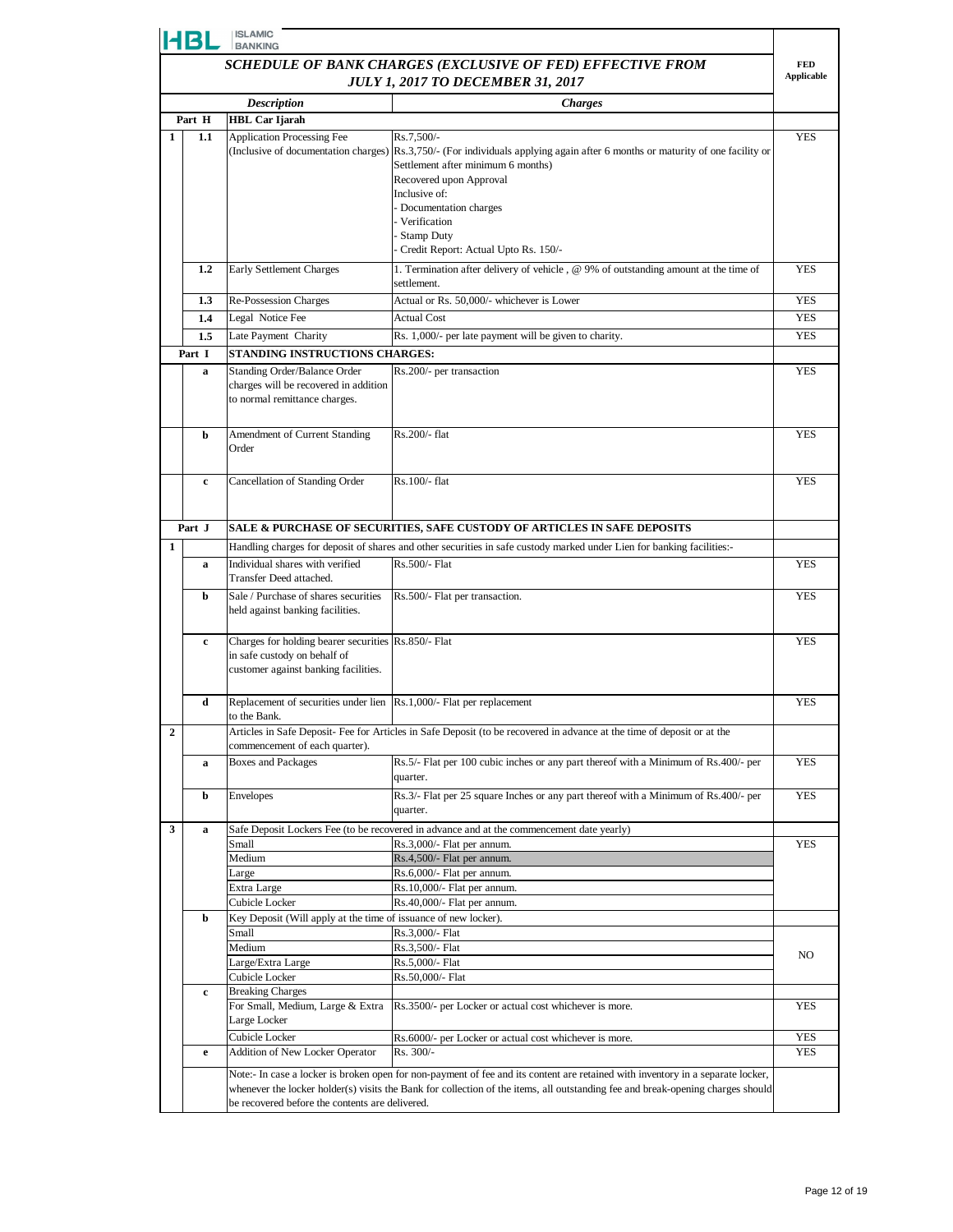|   | HBL         | <b>ISLAMIC</b><br><b>BANKING</b>                                                                                            |                                                                                                                                                                                                                                                                    |                   |
|---|-------------|-----------------------------------------------------------------------------------------------------------------------------|--------------------------------------------------------------------------------------------------------------------------------------------------------------------------------------------------------------------------------------------------------------------|-------------------|
|   |             |                                                                                                                             | SCHEDULE OF BANK CHARGES (EXCLUSIVE OF FED) EFFECTIVE FROM                                                                                                                                                                                                         | <b>FED</b>        |
|   |             |                                                                                                                             | <b>JULY 1, 2017 TO DECEMBER 31, 2017</b>                                                                                                                                                                                                                           | <b>Applicable</b> |
|   |             | <b>Description</b>                                                                                                          | <b>Charges</b>                                                                                                                                                                                                                                                     |                   |
|   | Part H      | <b>HBL Car Ijarah</b>                                                                                                       |                                                                                                                                                                                                                                                                    |                   |
| 1 | 1.1         | <b>Application Processing Fee</b>                                                                                           | Rs.7,500/-<br>(Inclusive of documentation charges) Rs.3,750/- (For individuals applying again after 6 months or maturity of one facility or<br>Settlement after minimum 6 months)<br>Recovered upon Approval                                                       | <b>YES</b>        |
|   |             |                                                                                                                             | Inclusive of:<br>- Documentation charges<br>Verification<br>Stamp Duty<br>Credit Report: Actual Upto Rs. 150/-                                                                                                                                                     |                   |
|   | 1.2         | Early Settlement Charges                                                                                                    | 1. Termination after delivery of vehicle, @ 9% of outstanding amount at the time of<br>settlement.                                                                                                                                                                 | <b>YES</b>        |
|   | 1.3         | Re-Possession Charges                                                                                                       | Actual or Rs. 50,000/- whichever is Lower                                                                                                                                                                                                                          | <b>YES</b>        |
|   | 1.4         | Legal Notice Fee                                                                                                            | <b>Actual Cost</b>                                                                                                                                                                                                                                                 | YES               |
|   | $1.5\,$     | Late Payment Charity                                                                                                        | Rs. 1,000/- per late payment will be given to charity.                                                                                                                                                                                                             | <b>YES</b>        |
|   | Part I      | STANDING INSTRUCTIONS CHARGES:                                                                                              |                                                                                                                                                                                                                                                                    |                   |
|   | a           | Standing Order/Balance Order<br>charges will be recovered in addition<br>to normal remittance charges.                      | Rs.200/- per transaction                                                                                                                                                                                                                                           | <b>YES</b>        |
|   | b           | Amendment of Current Standing<br>Order                                                                                      | Rs.200/- flat                                                                                                                                                                                                                                                      | <b>YES</b>        |
|   | c           | Cancellation of Standing Order                                                                                              | Rs.100/- flat                                                                                                                                                                                                                                                      | <b>YES</b>        |
|   | Part J      |                                                                                                                             | SALE & PURCHASE OF SECURITIES, SAFE CUSTODY OF ARTICLES IN SAFE DEPOSITS                                                                                                                                                                                           |                   |
| 1 |             |                                                                                                                             | Handling charges for deposit of shares and other securities in safe custody marked under Lien for banking facilities:-                                                                                                                                             |                   |
|   | a           | Individual shares with verified<br>Transfer Deed attached.                                                                  | Rs.500/- Flat                                                                                                                                                                                                                                                      | <b>YES</b>        |
|   | b           | Sale / Purchase of shares securities<br>held against banking facilities.                                                    | Rs.500/- Flat per transaction.                                                                                                                                                                                                                                     | <b>YES</b>        |
|   | c           | Charges for holding bearer securities Rs.850/- Flat<br>in safe custody on behalf of<br>customer against banking facilities. |                                                                                                                                                                                                                                                                    | <b>YES</b>        |
|   | d           | Replacement of securities under lien Rs.1,000/- Flat per replacement<br>to the Bank.                                        |                                                                                                                                                                                                                                                                    | <b>YES</b>        |
| 2 |             | commencement of each quarter).                                                                                              | Articles in Safe Deposit- Fee for Articles in Safe Deposit (to be recovered in advance at the time of deposit or at the                                                                                                                                            |                   |
|   | a           | <b>Boxes and Packages</b>                                                                                                   | Rs.5/- Flat per 100 cubic inches or any part thereof with a Minimum of Rs.400/- per<br>quarter.                                                                                                                                                                    | <b>YES</b>        |
|   | b           | Envelopes                                                                                                                   | Rs.3/- Flat per 25 square Inches or any part thereof with a Minimum of Rs.400/- per<br>quarter.                                                                                                                                                                    | <b>YES</b>        |
| 3 | a           |                                                                                                                             | Safe Deposit Lockers Fee (to be recovered in advance and at the commencement date yearly)                                                                                                                                                                          |                   |
|   |             | Small                                                                                                                       | Rs.3,000/- Flat per annum.                                                                                                                                                                                                                                         | <b>YES</b>        |
|   |             | Medium<br>Large                                                                                                             | Rs.4,500/- Flat per annum.<br>Rs.6,000/- Flat per annum.                                                                                                                                                                                                           |                   |
|   |             | Extra Large                                                                                                                 | Rs.10,000/- Flat per annum.                                                                                                                                                                                                                                        |                   |
|   |             | Cubicle Locker                                                                                                              | Rs.40,000/- Flat per annum.                                                                                                                                                                                                                                        |                   |
|   | b           | Key Deposit (Will apply at the time of issuance of new locker).                                                             |                                                                                                                                                                                                                                                                    |                   |
|   |             | Small                                                                                                                       | Rs.3,000/- Flat                                                                                                                                                                                                                                                    |                   |
|   |             | Medium                                                                                                                      | Rs.3,500/- Flat                                                                                                                                                                                                                                                    | NO.               |
|   |             | Large/Extra Large<br>Cubicle Locker                                                                                         | Rs.5,000/- Flat                                                                                                                                                                                                                                                    |                   |
|   | $\mathbf c$ | <b>Breaking Charges</b>                                                                                                     | Rs.50,000/- Flat                                                                                                                                                                                                                                                   |                   |
|   |             | For Small, Medium, Large & Extra<br>Large Locker                                                                            | Rs.3500/- per Locker or actual cost whichever is more.                                                                                                                                                                                                             | YES               |
|   | e           | Cubicle Locker<br>Addition of New Locker Operator                                                                           | Rs.6000/- per Locker or actual cost whichever is more.<br>Rs. 300/-                                                                                                                                                                                                | YES<br><b>YES</b> |
|   |             |                                                                                                                             | Note:- In case a locker is broken open for non-payment of fee and its content are retained with inventory in a separate locker,<br>whenever the locker holder(s) visits the Bank for collection of the items, all outstanding fee and break-opening charges should |                   |
|   |             | be recovered before the contents are delivered.                                                                             |                                                                                                                                                                                                                                                                    |                   |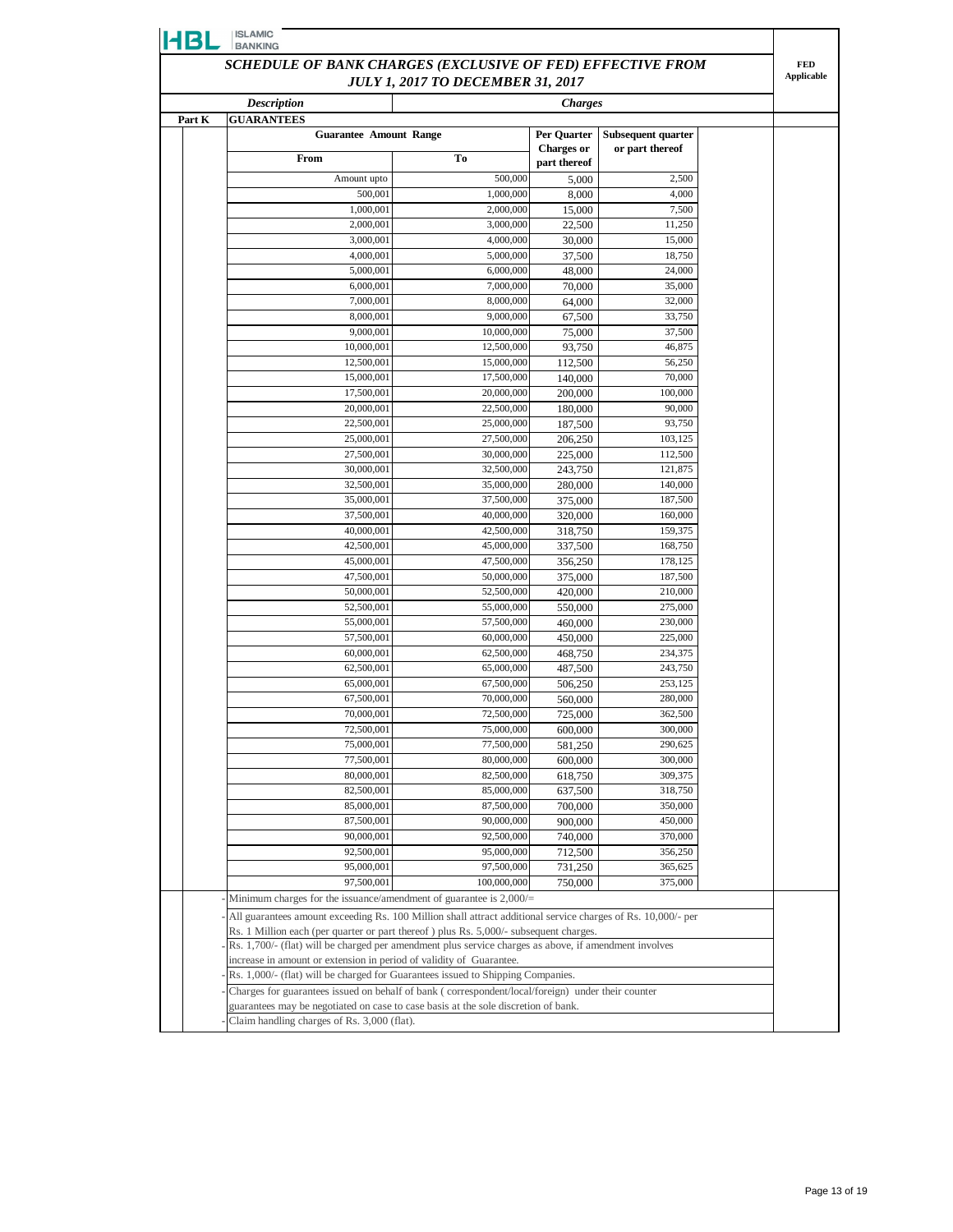|        | <b>Description</b>                                                                                           | <b>JULY 1, 2017 TO DECEMBER 31, 2017</b> | <b>Charges</b>                    |                    |  |
|--------|--------------------------------------------------------------------------------------------------------------|------------------------------------------|-----------------------------------|--------------------|--|
| Part K | <b>GUARANTEES</b>                                                                                            |                                          |                                   |                    |  |
|        | <b>Guarantee Amount Range</b>                                                                                |                                          | Per Quarter                       | Subsequent quarter |  |
|        | From                                                                                                         | To                                       | <b>Charges or</b><br>part thereof | or part thereof    |  |
|        | Amount upto                                                                                                  | 500,000                                  | 5,000                             | 2,500              |  |
|        | 500,001                                                                                                      | 1,000,000                                | 8,000                             | 4,000              |  |
|        | 1,000,001                                                                                                    | 2,000,000                                | 15,000                            | 7,500              |  |
|        | 2,000,001                                                                                                    | 3,000,000                                | 22,500                            | 11,250             |  |
|        | 3,000,001                                                                                                    | 4,000,000                                | 30,000                            | 15,000             |  |
|        | 4,000,001                                                                                                    | 5,000,000                                | 37,500                            | 18,750             |  |
|        | 5,000,001                                                                                                    | 6,000,000                                | 48,000                            | 24,000             |  |
|        | 6,000,001                                                                                                    | 7,000,000                                | 70,000                            | 35,000             |  |
|        | 7,000,001                                                                                                    | 8,000,000                                | 64,000                            | 32,000             |  |
|        | 8,000,001                                                                                                    | 9,000,000                                | 67,500                            | 33,750             |  |
|        | 9,000,001                                                                                                    | 10,000,000                               | 75,000                            | 37,500             |  |
|        | 10,000,001                                                                                                   | 12,500,000                               | 93.750                            | 46,875             |  |
|        | 12,500,001                                                                                                   | 15,000,000                               | 112,500                           | 56,250             |  |
|        | 15,000,001                                                                                                   | 17,500,000                               | 140,000                           | 70,000             |  |
|        | 17,500,001<br>20,000,001                                                                                     | 20,000,000<br>22,500,000                 | 200,000<br>180,000                | 100,000<br>90,000  |  |
|        | 22,500,001                                                                                                   | 25,000,000                               | 187,500                           | 93,750             |  |
|        | 25,000,001                                                                                                   | 27,500,000                               | 206,250                           | 103,125            |  |
|        | 27,500,001                                                                                                   | 30,000,000                               | 225,000                           | 112,500            |  |
|        | 30,000,001                                                                                                   | 32,500,000                               | 243,750                           | 121,875            |  |
|        | 32,500,001                                                                                                   | 35,000,000                               | 280,000                           | 140,000            |  |
|        | 35,000,001                                                                                                   | 37,500,000                               | 375,000                           | 187,500            |  |
|        | 37,500,001                                                                                                   | 40,000,000                               | 320,000                           | 160,000            |  |
|        | 40,000,001                                                                                                   | 42,500,000                               | 318,750                           | 159,375            |  |
|        | 42,500,001                                                                                                   | 45,000,000                               | 337,500                           | 168,750            |  |
|        | 45,000,001                                                                                                   | 47,500,000                               | 356,250                           | 178,125            |  |
|        | 47,500,001                                                                                                   | 50,000,000                               | 375,000                           | 187,500            |  |
|        | 50,000,001                                                                                                   | 52,500,000                               | 420,000                           | 210,000            |  |
|        | 52,500,001                                                                                                   | 55,000,000                               | 550,000                           | 275,000            |  |
|        | 55,000,001<br>57,500,001                                                                                     | 57,500,000<br>60,000,000                 | 460,000                           | 230,000<br>225,000 |  |
|        | 60,000,001                                                                                                   | 62,500,000                               | 450,000<br>468,750                | 234,375            |  |
|        | 62,500,001                                                                                                   | 65,000,000                               | 487,500                           | 243,750            |  |
|        | 65,000,001                                                                                                   | 67,500,000                               | 506,250                           | 253,125            |  |
|        | 67,500,001                                                                                                   | 70,000,000                               | 560,000                           | 280,000            |  |
|        | 70,000,001                                                                                                   | 72,500,000                               | 725,000                           | 362,500            |  |
|        | 72,500,001                                                                                                   | 75,000,000                               | 600,000                           | 300,000            |  |
|        | 75,000,001                                                                                                   | 77,500,000                               | 581,250                           | 290,625            |  |
|        | 77,500,001                                                                                                   | 80,000,000                               | 600,000                           | 300,000            |  |
|        | 80,000,001                                                                                                   | 82,500,000                               | 618,750                           | 309,375            |  |
|        | 82,500,001                                                                                                   | 85,000,000                               | 637,500                           | 318,750            |  |
|        | 85,000,001                                                                                                   | 87,500,000                               | 700,000                           | 350,000            |  |
|        | 87,500,001                                                                                                   | 90,000,000                               | 900,000                           | 450,000            |  |
|        | 90,000,001<br>92,500,001                                                                                     | 92,500,000<br>95,000,000                 | 740,000                           | 370,000<br>356,250 |  |
|        | 95,000,001                                                                                                   | 97,500,000                               | 712,500<br>731,250                | 365,625            |  |
|        | 97,500,001                                                                                                   | 100,000,000                              | 750,000                           | 375,000            |  |
|        | Minimum charges for the issuance/amendment of guarantee is 2,000/=                                           |                                          |                                   |                    |  |
|        | All guarantees amount exceeding Rs. 100 Million shall attract additional service charges of Rs. 10,000/- per |                                          |                                   |                    |  |
|        | Rs. 1 Million each (per quarter or part thereof) plus Rs. 5,000/- subsequent charges.                        |                                          |                                   |                    |  |
|        | Rs. 1,700/- (flat) will be charged per amendment plus service charges as above, if amendment involves        |                                          |                                   |                    |  |
|        | increase in amount or extension in period of validity of Guarantee.                                          |                                          |                                   |                    |  |
|        | Rs. 1,000/- (flat) will be charged for Guarantees issued to Shipping Companies.                              |                                          |                                   |                    |  |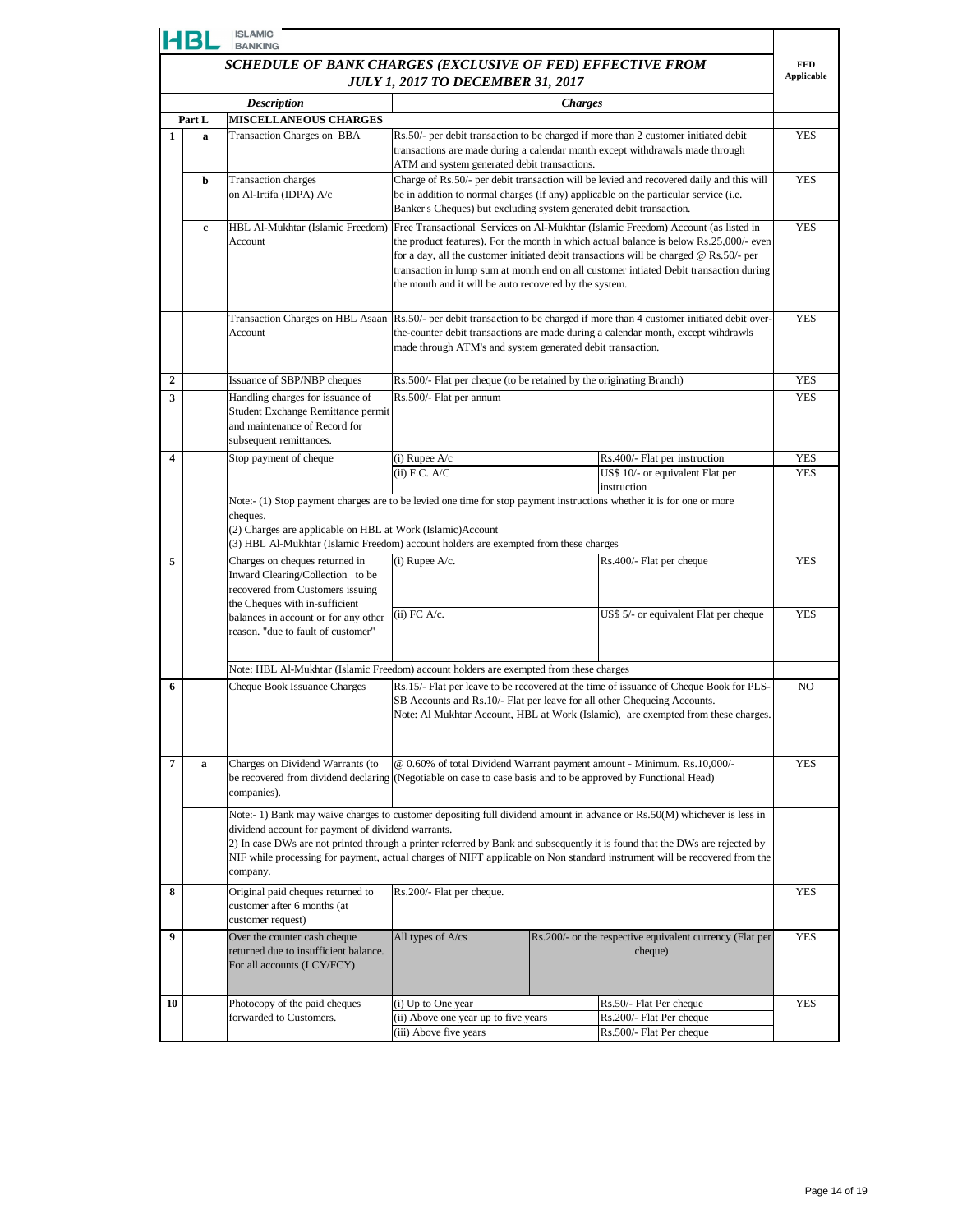|                                                                                                        | HBL    | <b>ISLAMIC</b><br><b>BANKING</b>                                                                                                                                 |                                                                                                                                                                                                                                                                                                                                                                                                                                            |                |                                                                                                                                                                                                                                                                                                                                                                 |            |
|--------------------------------------------------------------------------------------------------------|--------|------------------------------------------------------------------------------------------------------------------------------------------------------------------|--------------------------------------------------------------------------------------------------------------------------------------------------------------------------------------------------------------------------------------------------------------------------------------------------------------------------------------------------------------------------------------------------------------------------------------------|----------------|-----------------------------------------------------------------------------------------------------------------------------------------------------------------------------------------------------------------------------------------------------------------------------------------------------------------------------------------------------------------|------------|
| SCHEDULE OF BANK CHARGES (EXCLUSIVE OF FED) EFFECTIVE FROM<br><b>JULY 1, 2017 TO DECEMBER 31, 2017</b> |        |                                                                                                                                                                  |                                                                                                                                                                                                                                                                                                                                                                                                                                            |                | <b>FED</b><br><b>Applicable</b>                                                                                                                                                                                                                                                                                                                                 |            |
|                                                                                                        |        | <b>Description</b>                                                                                                                                               |                                                                                                                                                                                                                                                                                                                                                                                                                                            | <b>Charges</b> |                                                                                                                                                                                                                                                                                                                                                                 |            |
|                                                                                                        | Part L | <b>MISCELLANEOUS CHARGES</b>                                                                                                                                     |                                                                                                                                                                                                                                                                                                                                                                                                                                            |                |                                                                                                                                                                                                                                                                                                                                                                 |            |
| $\mathbf{1}$                                                                                           | a      | Transaction Charges on BBA                                                                                                                                       | ATM and system generated debit transactions.                                                                                                                                                                                                                                                                                                                                                                                               |                | Rs.50/- per debit transaction to be charged if more than 2 customer initiated debit<br>transactions are made during a calendar month except withdrawals made through                                                                                                                                                                                            | <b>YES</b> |
|                                                                                                        | b      | <b>Transaction</b> charges<br>on Al-Irtifa (IDPA) A/c                                                                                                            | Banker's Cheques) but excluding system generated debit transaction.                                                                                                                                                                                                                                                                                                                                                                        |                | Charge of Rs.50/- per debit transaction will be levied and recovered daily and this will<br>be in addition to normal charges (if any) applicable on the particular service (i.e.                                                                                                                                                                                | <b>YES</b> |
|                                                                                                        | c      | HBL Al-Mukhtar (Islamic Freedom)<br>Account                                                                                                                      | the month and it will be auto recovered by the system.                                                                                                                                                                                                                                                                                                                                                                                     |                | Free Transactional Services on Al-Mukhtar (Islamic Freedom) Account (as listed in<br>the product features). For the month in which actual balance is below Rs.25,000/- even<br>for a day, all the customer initiated debit transactions will be charged @ Rs.50/- per<br>transaction in lump sum at month end on all customer intiated Debit transaction during | <b>YES</b> |
|                                                                                                        |        | Transaction Charges on HBL Asaan<br>Account                                                                                                                      | made through ATM's and system generated debit transaction.                                                                                                                                                                                                                                                                                                                                                                                 |                | Rs.50/- per debit transaction to be charged if more than 4 customer initiated debit over-<br>the-counter debit transactions are made during a calendar month, except windrawls                                                                                                                                                                                  | <b>YES</b> |
| $\boldsymbol{2}$                                                                                       |        | Issuance of SBP/NBP cheques                                                                                                                                      | Rs.500/- Flat per cheque (to be retained by the originating Branch)                                                                                                                                                                                                                                                                                                                                                                        |                |                                                                                                                                                                                                                                                                                                                                                                 | <b>YES</b> |
| 3                                                                                                      |        | Handling charges for issuance of<br>Student Exchange Remittance permit<br>and maintenance of Record for<br>subsequent remittances.                               | Rs.500/- Flat per annum                                                                                                                                                                                                                                                                                                                                                                                                                    |                |                                                                                                                                                                                                                                                                                                                                                                 | <b>YES</b> |
| $\overline{\mathbf{4}}$                                                                                |        | Stop payment of cheque                                                                                                                                           | (i) Rupee $A/c$                                                                                                                                                                                                                                                                                                                                                                                                                            |                | Rs.400/- Flat per instruction                                                                                                                                                                                                                                                                                                                                   | <b>YES</b> |
|                                                                                                        |        |                                                                                                                                                                  | $(ii)$ F.C. A/C                                                                                                                                                                                                                                                                                                                                                                                                                            |                | US\$ 10/- or equivalent Flat per<br>instruction                                                                                                                                                                                                                                                                                                                 | <b>YES</b> |
| 5                                                                                                      |        | cheques.<br>(2) Charges are applicable on HBL at Work (Islamic) Account<br>Charges on cheques returned in                                                        | Note:- (1) Stop payment charges are to be levied one time for stop payment instructions whether it is for one or more<br>(3) HBL Al-Mukhtar (Islamic Freedom) account holders are exempted from these charges<br>$(i)$ Rupee A/c.<br>Rs.400/- Flat per cheque                                                                                                                                                                              |                |                                                                                                                                                                                                                                                                                                                                                                 | <b>YES</b> |
|                                                                                                        |        | Inward Clearing/Collection to be<br>recovered from Customers issuing<br>the Cheques with in-sufficient                                                           |                                                                                                                                                                                                                                                                                                                                                                                                                                            |                |                                                                                                                                                                                                                                                                                                                                                                 |            |
|                                                                                                        |        | balances in account or for any other<br>reason. "due to fault of customer"                                                                                       | $(ii)$ FC A/c.                                                                                                                                                                                                                                                                                                                                                                                                                             |                | US\$ 5/- or equivalent Flat per cheque                                                                                                                                                                                                                                                                                                                          | <b>YES</b> |
|                                                                                                        |        | Note: HBL Al-Mukhtar (Islamic Freedom) account holders are exempted from these charges                                                                           |                                                                                                                                                                                                                                                                                                                                                                                                                                            |                |                                                                                                                                                                                                                                                                                                                                                                 |            |
| 6                                                                                                      |        | Cheque Book Issuance Charges                                                                                                                                     | Rs.15/- Flat per leave to be recovered at the time of issuance of Cheque Book for PLS-<br>SB Accounts and Rs.10/- Flat per leave for all other Chequeing Accounts.<br>Note: Al Mukhtar Account, HBL at Work (Islamic), are exempted from these charges.                                                                                                                                                                                    |                | NO                                                                                                                                                                                                                                                                                                                                                              |            |
| 7                                                                                                      | a      | Charges on Dividend Warrants (to<br>be recovered from dividend declaring (Negotiable on case to case basis and to be approved by Functional Head)<br>companies). |                                                                                                                                                                                                                                                                                                                                                                                                                                            |                | @ 0.60% of total Dividend Warrant payment amount - Minimum. Rs.10,000/-                                                                                                                                                                                                                                                                                         | <b>YES</b> |
|                                                                                                        |        | company.                                                                                                                                                         | Note:- 1) Bank may waive charges to customer depositing full dividend amount in advance or Rs.50(M) whichever is less in<br>dividend account for payment of dividend warrants.<br>2) In case DWs are not printed through a printer referred by Bank and subsequently it is found that the DWs are rejected by<br>NIF while processing for payment, actual charges of NIFT applicable on Non standard instrument will be recovered from the |                |                                                                                                                                                                                                                                                                                                                                                                 |            |
| 8                                                                                                      |        | Original paid cheques returned to<br>customer after 6 months (at<br>customer request)                                                                            | Rs.200/- Flat per cheque.                                                                                                                                                                                                                                                                                                                                                                                                                  |                | <b>YES</b>                                                                                                                                                                                                                                                                                                                                                      |            |
| $\boldsymbol{9}$                                                                                       |        | Over the counter cash cheque<br>returned due to insufficient balance.<br>For all accounts (LCY/FCY)                                                              | All types of A/cs                                                                                                                                                                                                                                                                                                                                                                                                                          |                | Rs.200/- or the respective equivalent currency (Flat per<br>cheque)                                                                                                                                                                                                                                                                                             | <b>YES</b> |
| 10                                                                                                     |        | Photocopy of the paid cheques                                                                                                                                    | (i) Up to One year                                                                                                                                                                                                                                                                                                                                                                                                                         |                | Rs.50/- Flat Per cheque                                                                                                                                                                                                                                                                                                                                         | <b>YES</b> |
|                                                                                                        |        | forwarded to Customers.                                                                                                                                          | (ii) Above one year up to five years                                                                                                                                                                                                                                                                                                                                                                                                       |                | Rs.200/- Flat Per cheque                                                                                                                                                                                                                                                                                                                                        |            |
|                                                                                                        |        |                                                                                                                                                                  | (iii) Above five years                                                                                                                                                                                                                                                                                                                                                                                                                     |                | Rs.500/- Flat Per cheque                                                                                                                                                                                                                                                                                                                                        |            |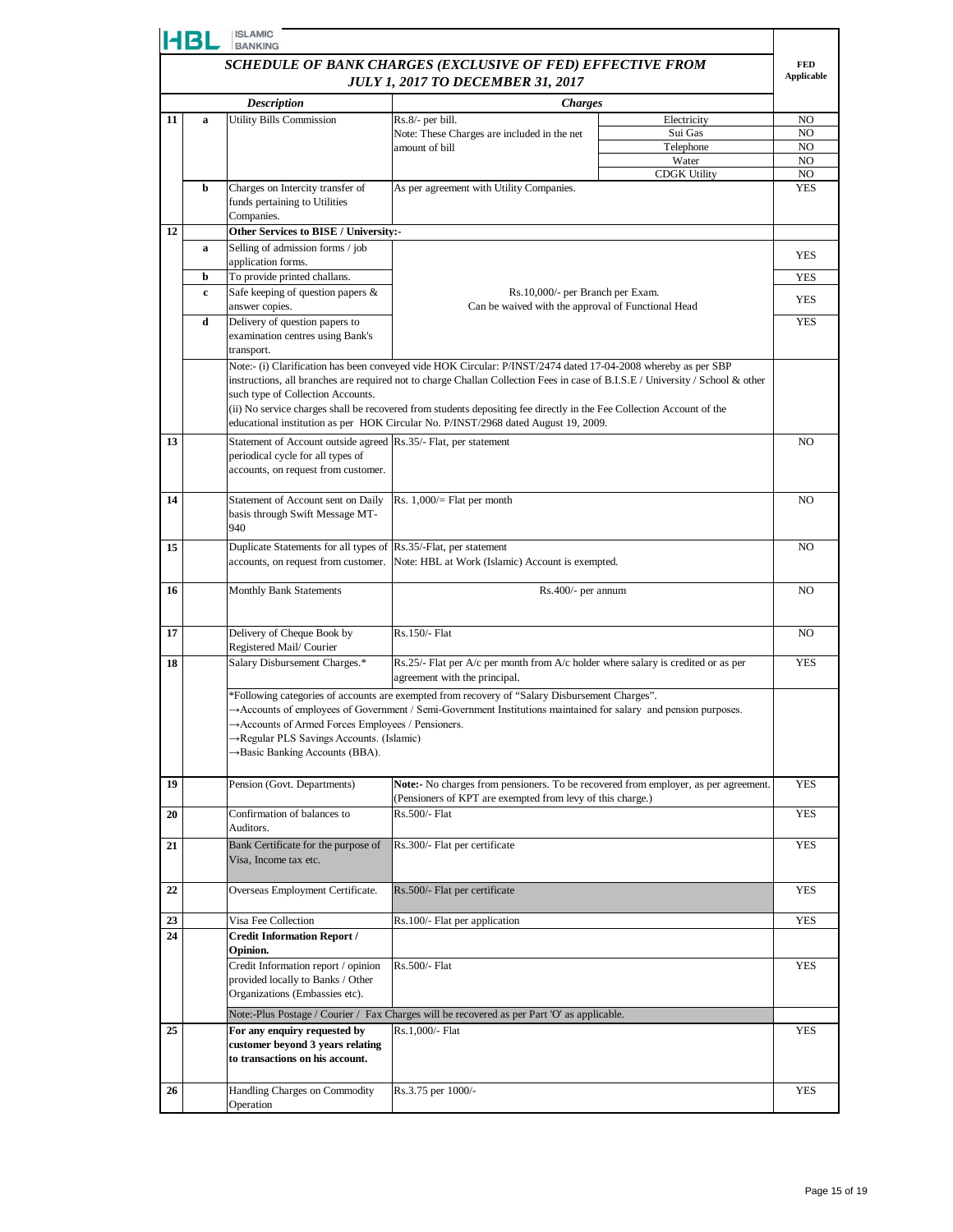|                                                            | HBL | <b>ISLAMIC</b><br><b>BANKING</b>                                                                                                                                                                                               |                                                                                                                                                            |                        |                |  |  |
|------------------------------------------------------------|-----|--------------------------------------------------------------------------------------------------------------------------------------------------------------------------------------------------------------------------------|------------------------------------------------------------------------------------------------------------------------------------------------------------|------------------------|----------------|--|--|
| SCHEDULE OF BANK CHARGES (EXCLUSIVE OF FED) EFFECTIVE FROM |     |                                                                                                                                                                                                                                |                                                                                                                                                            |                        |                |  |  |
| <b>JULY 1, 2017 TO DECEMBER 31, 2017</b>                   |     |                                                                                                                                                                                                                                |                                                                                                                                                            |                        |                |  |  |
|                                                            |     | <b>Description</b>                                                                                                                                                                                                             | <b>Charges</b>                                                                                                                                             |                        |                |  |  |
| 11                                                         | a   | <b>Utility Bills Commission</b>                                                                                                                                                                                                | Rs.8/- per bill.<br>Note: These Charges are included in the net                                                                                            | Electricity<br>Sui Gas | NO<br>NO       |  |  |
|                                                            |     |                                                                                                                                                                                                                                | amount of bill                                                                                                                                             | Telephone              | NO.            |  |  |
|                                                            |     |                                                                                                                                                                                                                                |                                                                                                                                                            | Water                  | NO<br>NO.      |  |  |
|                                                            | b   | Charges on Intercity transfer of                                                                                                                                                                                               | As per agreement with Utility Companies.                                                                                                                   | <b>CDGK Utility</b>    | <b>YES</b>     |  |  |
|                                                            |     | funds pertaining to Utilities<br>Companies.                                                                                                                                                                                    |                                                                                                                                                            |                        |                |  |  |
| 12                                                         |     | Other Services to BISE / University:-                                                                                                                                                                                          |                                                                                                                                                            |                        |                |  |  |
|                                                            | a   | Selling of admission forms / job<br>application forms.                                                                                                                                                                         |                                                                                                                                                            |                        | <b>YES</b>     |  |  |
|                                                            | b   | To provide printed challans.                                                                                                                                                                                                   |                                                                                                                                                            |                        | <b>YES</b>     |  |  |
|                                                            | c   | Safe keeping of question papers &                                                                                                                                                                                              | Rs.10,000/- per Branch per Exam.                                                                                                                           |                        | <b>YES</b>     |  |  |
|                                                            |     | answer copies.                                                                                                                                                                                                                 | Can be waived with the approval of Functional Head                                                                                                         |                        |                |  |  |
|                                                            | d   | Delivery of question papers to<br>examination centres using Bank's<br>transport.                                                                                                                                               |                                                                                                                                                            |                        | <b>YES</b>     |  |  |
|                                                            |     |                                                                                                                                                                                                                                | Note:- (i) Clarification has been conveyed vide HOK Circular: P/INST/2474 dated 17-04-2008 whereby as per SBP                                              |                        |                |  |  |
|                                                            |     |                                                                                                                                                                                                                                | instructions, all branches are required not to charge Challan Collection Fees in case of B.I.S.E / University / School & other                             |                        |                |  |  |
|                                                            |     |                                                                                                                                                                                                                                | such type of Collection Accounts.<br>(ii) No service charges shall be recovered from students depositing fee directly in the Fee Collection Account of the |                        |                |  |  |
|                                                            |     |                                                                                                                                                                                                                                | educational institution as per HOK Circular No. P/INST/2968 dated August 19, 2009.                                                                         |                        |                |  |  |
| 13                                                         |     | Statement of Account outside agreed Rs.35/- Flat, per statement                                                                                                                                                                |                                                                                                                                                            |                        | NO             |  |  |
|                                                            |     | periodical cycle for all types of                                                                                                                                                                                              |                                                                                                                                                            |                        |                |  |  |
|                                                            |     | accounts, on request from customer.                                                                                                                                                                                            |                                                                                                                                                            |                        |                |  |  |
| 14                                                         |     | Statement of Account sent on Daily                                                                                                                                                                                             | Rs. $1,000/$ Flat per month                                                                                                                                |                        | NO             |  |  |
|                                                            |     | basis through Swift Message MT-<br>940                                                                                                                                                                                         |                                                                                                                                                            |                        |                |  |  |
| 15                                                         |     | Duplicate Statements for all types of Rs.35/-Flat, per statement                                                                                                                                                               |                                                                                                                                                            |                        | N <sub>O</sub> |  |  |
|                                                            |     | accounts, on request from customer.                                                                                                                                                                                            | Note: HBL at Work (Islamic) Account is exempted.                                                                                                           |                        |                |  |  |
| 16                                                         |     | <b>Monthly Bank Statements</b>                                                                                                                                                                                                 | Rs.400/- per annum                                                                                                                                         |                        | NO             |  |  |
| 17                                                         |     | Delivery of Cheque Book by                                                                                                                                                                                                     | Rs.150/- Flat                                                                                                                                              |                        | NO             |  |  |
| 18                                                         |     | Registered Mail/ Courier<br>Salary Disbursement Charges.*                                                                                                                                                                      | Rs.25/- Flat per A/c per month from A/c holder where salary is credited or as per                                                                          |                        | <b>YES</b>     |  |  |
|                                                            |     |                                                                                                                                                                                                                                | agreement with the principal.                                                                                                                              |                        |                |  |  |
|                                                            |     | *Following categories of accounts are exempted from recovery of "Salary Disbursement Charges".<br>$\rightarrow$ Accounts of employees of Government / Semi-Government Institutions maintained for salary and pension purposes. |                                                                                                                                                            |                        |                |  |  |
|                                                            |     | Accounts of Armed Forces Employees / Pensioners.                                                                                                                                                                               |                                                                                                                                                            |                        |                |  |  |
|                                                            |     | →Regular PLS Savings Accounts. (Islamic)<br>→ Basic Banking Accounts (BBA).                                                                                                                                                    |                                                                                                                                                            |                        |                |  |  |
|                                                            |     |                                                                                                                                                                                                                                |                                                                                                                                                            |                        |                |  |  |
| 19                                                         |     | Pension (Govt. Departments)                                                                                                                                                                                                    | Note:- No charges from pensioners. To be recovered from employer, as per agreement.<br>(Pensioners of KPT are exempted from levy of this charge.)          |                        | <b>YES</b>     |  |  |
| 20                                                         |     | Confirmation of balances to<br>Auditors.                                                                                                                                                                                       | Rs.500/- Flat                                                                                                                                              |                        | YES            |  |  |
| 21                                                         |     | Bank Certificate for the purpose of                                                                                                                                                                                            | Rs.300/- Flat per certificate                                                                                                                              |                        | <b>YES</b>     |  |  |
|                                                            |     | Visa, Income tax etc.                                                                                                                                                                                                          |                                                                                                                                                            |                        |                |  |  |
| 22                                                         |     | Overseas Employment Certificate.                                                                                                                                                                                               | Rs.500/- Flat per certificate                                                                                                                              |                        | <b>YES</b>     |  |  |
| 23                                                         |     | Visa Fee Collection                                                                                                                                                                                                            | Rs.100/- Flat per application                                                                                                                              |                        | <b>YES</b>     |  |  |
| 24                                                         |     | <b>Credit Information Report /</b><br>Opinion.                                                                                                                                                                                 |                                                                                                                                                            |                        |                |  |  |
|                                                            |     | Credit Information report / opinion                                                                                                                                                                                            | Rs.500/- Flat                                                                                                                                              |                        | YES            |  |  |
|                                                            |     | provided locally to Banks / Other<br>Organizations (Embassies etc).                                                                                                                                                            |                                                                                                                                                            |                        |                |  |  |
|                                                            |     |                                                                                                                                                                                                                                |                                                                                                                                                            |                        |                |  |  |
| 25                                                         |     | For any enquiry requested by                                                                                                                                                                                                   | Note:-Plus Postage / Courier / Fax Charges will be recovered as per Part 'O' as applicable.<br>Rs.1,000/- Flat                                             |                        | <b>YES</b>     |  |  |
|                                                            |     | customer beyond 3 years relating<br>to transactions on his account.                                                                                                                                                            |                                                                                                                                                            |                        |                |  |  |
| 26                                                         |     | Handling Charges on Commodity<br>Operation                                                                                                                                                                                     | Rs.3.75 per 1000/-                                                                                                                                         |                        | <b>YES</b>     |  |  |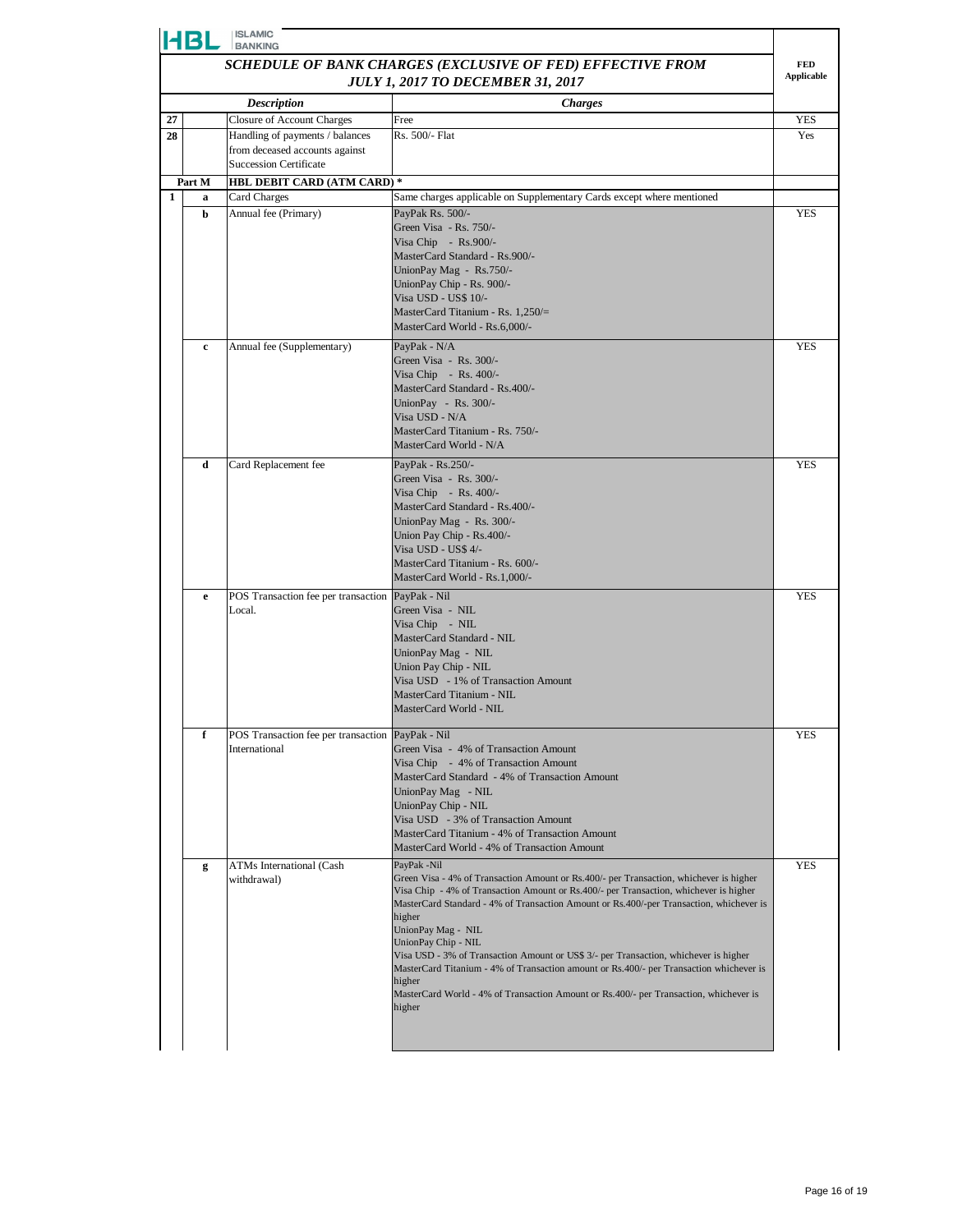|                                                            | <b>ISLAMIC</b><br>HBL<br><b>BANKING</b>      |                                                                   |                                                                                                                                                                                                                                                                                                                                                                                                                                                                                                                                                                                                                                                  |            |  |
|------------------------------------------------------------|----------------------------------------------|-------------------------------------------------------------------|--------------------------------------------------------------------------------------------------------------------------------------------------------------------------------------------------------------------------------------------------------------------------------------------------------------------------------------------------------------------------------------------------------------------------------------------------------------------------------------------------------------------------------------------------------------------------------------------------------------------------------------------------|------------|--|
| SCHEDULE OF BANK CHARGES (EXCLUSIVE OF FED) EFFECTIVE FROM |                                              |                                                                   |                                                                                                                                                                                                                                                                                                                                                                                                                                                                                                                                                                                                                                                  |            |  |
| <b>JULY 1, 2017 TO DECEMBER 31, 2017</b>                   |                                              |                                                                   |                                                                                                                                                                                                                                                                                                                                                                                                                                                                                                                                                                                                                                                  |            |  |
|                                                            |                                              | <b>Description</b>                                                | <b>Charges</b>                                                                                                                                                                                                                                                                                                                                                                                                                                                                                                                                                                                                                                   |            |  |
| 27                                                         |                                              | <b>Closure of Account Charges</b>                                 | Free<br>Rs. 500/- Flat                                                                                                                                                                                                                                                                                                                                                                                                                                                                                                                                                                                                                           | YES        |  |
| 28                                                         |                                              | Handling of payments / balances<br>from deceased accounts against |                                                                                                                                                                                                                                                                                                                                                                                                                                                                                                                                                                                                                                                  | Yes        |  |
|                                                            |                                              | <b>Succession Certificate</b>                                     |                                                                                                                                                                                                                                                                                                                                                                                                                                                                                                                                                                                                                                                  |            |  |
|                                                            | Part M<br><b>HBL DEBIT CARD (ATM CARD) *</b> |                                                                   |                                                                                                                                                                                                                                                                                                                                                                                                                                                                                                                                                                                                                                                  |            |  |
| 1                                                          | a                                            | Card Charges                                                      | Same charges applicable on Supplementary Cards except where mentioned                                                                                                                                                                                                                                                                                                                                                                                                                                                                                                                                                                            |            |  |
|                                                            | b                                            | Annual fee (Primary)                                              | PayPak Rs. 500/-<br>Green Visa - Rs. 750/-<br>Visa Chip - $Rs.900/-$<br>MasterCard Standard - Rs.900/-<br>UnionPay Mag - Rs.750/-<br>UnionPay Chip - Rs. 900/-<br>Visa USD - US\$ 10/-<br>MasterCard Titanium - Rs. $1,250/=$<br>MasterCard World - Rs.6,000/-                                                                                                                                                                                                                                                                                                                                                                                   | <b>YES</b> |  |
|                                                            | $\mathbf c$                                  | Annual fee (Supplementary)                                        | PayPak - N/A                                                                                                                                                                                                                                                                                                                                                                                                                                                                                                                                                                                                                                     | <b>YES</b> |  |
|                                                            |                                              |                                                                   | Green Visa - Rs. 300/-<br>Visa Chip - Rs. 400/-<br>MasterCard Standard - Rs.400/-<br>UnionPay - Rs. 300/-<br>Visa USD - N/A<br>MasterCard Titanium - Rs. 750/-<br>MasterCard World - N/A                                                                                                                                                                                                                                                                                                                                                                                                                                                         |            |  |
|                                                            | d                                            | Card Replacement fee                                              | PayPak - Rs.250/-<br>Green Visa - Rs. 300/-                                                                                                                                                                                                                                                                                                                                                                                                                                                                                                                                                                                                      | <b>YES</b> |  |
|                                                            |                                              |                                                                   | Visa Chip - Rs. $400/-$<br>MasterCard Standard - Rs.400/-<br>UnionPay Mag - Rs. 300/-<br>Union Pay Chip - Rs.400/-<br>Visa USD - US\$ 4/-<br>MasterCard Titanium - Rs. 600/-<br>MasterCard World - Rs.1,000/-                                                                                                                                                                                                                                                                                                                                                                                                                                    |            |  |
|                                                            | e                                            | POS Transaction fee per transaction<br>Local.                     | PayPak - Nil<br>Green Visa - NIL<br>Visa Chip - NIL<br>MasterCard Standard - NIL<br>UnionPay Mag - NIL<br>Union Pay Chip - NIL<br>Visa USD - 1% of Transaction Amount<br>MasterCard Titanium - NIL<br>MasterCard World - NIL                                                                                                                                                                                                                                                                                                                                                                                                                     | <b>YES</b> |  |
|                                                            | f                                            | POS Transaction fee per transaction PayPak - Nil<br>International | Green Visa - 4% of Transaction Amount<br>Visa Chip - 4% of Transaction Amount<br>MasterCard Standard - 4% of Transaction Amount<br>UnionPay Mag - NIL<br>UnionPay Chip - NIL<br>Visa USD - 3% of Transaction Amount<br>MasterCard Titanium - 4% of Transaction Amount<br>MasterCard World - 4% of Transaction Amount                                                                                                                                                                                                                                                                                                                             | YES        |  |
|                                                            | g                                            | <b>ATMs International (Cash</b><br>withdrawal)                    | PayPak -Nil<br>Green Visa - 4% of Transaction Amount or Rs.400/- per Transaction, whichever is higher<br>Visa Chip - 4% of Transaction Amount or Rs.400/- per Transaction, whichever is higher<br>MasterCard Standard - 4% of Transaction Amount or Rs.400/-per Transaction, whichever is<br>higher<br>UnionPay Mag - NIL<br>UnionPay Chip - NIL<br>Visa USD - 3% of Transaction Amount or US\$ 3/- per Transaction, whichever is higher<br>MasterCard Titanium - 4% of Transaction amount or Rs.400/- per Transaction whichever is<br>higher<br>MasterCard World - 4% of Transaction Amount or Rs.400/- per Transaction, whichever is<br>higher | <b>YES</b> |  |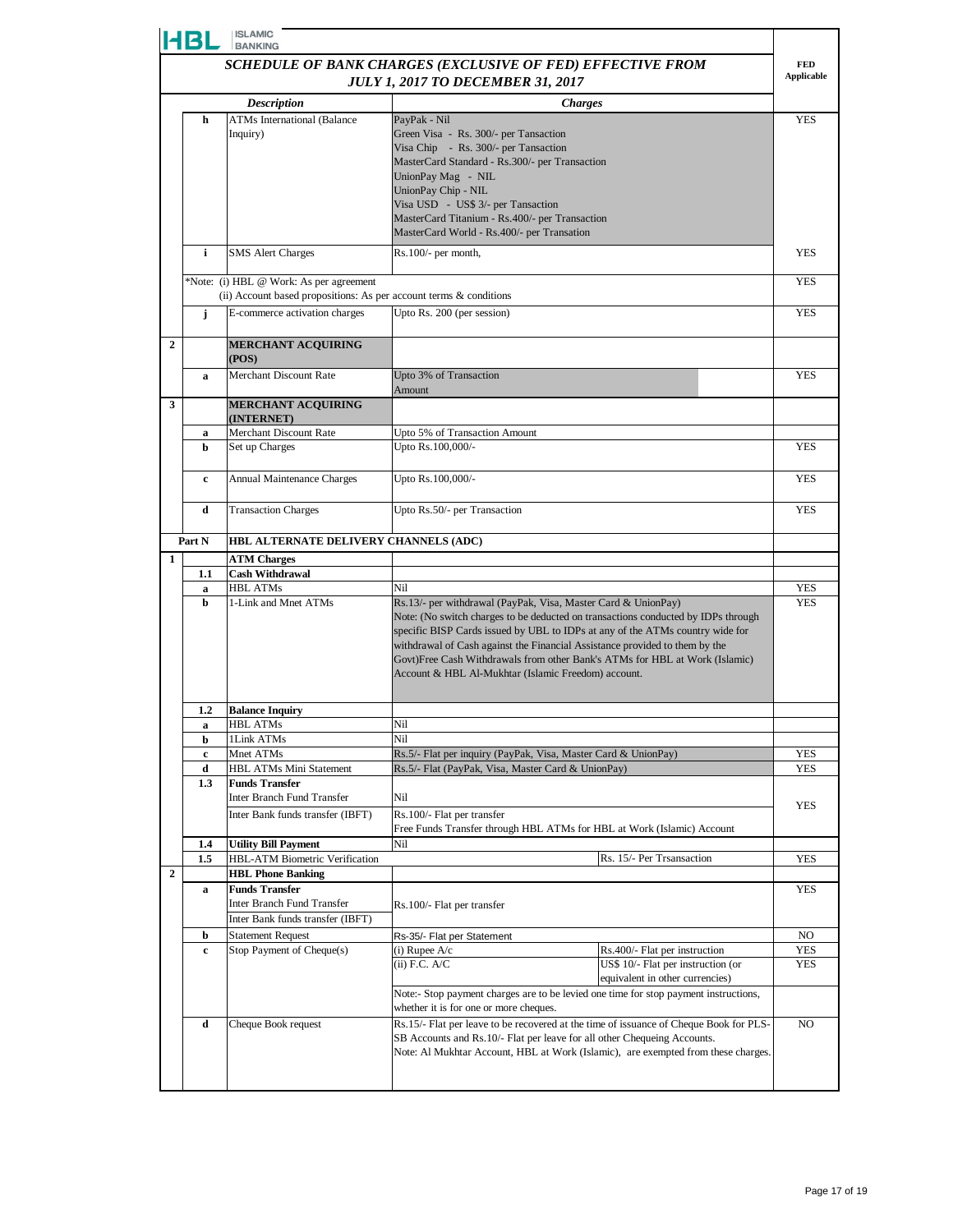|                                                            | HBL      | <b>ISLAMIC</b><br><b>BANKING</b>                                                                              |                                                                                                                                                                                                                                                                                                                                                                                                                                                          |                   |  |
|------------------------------------------------------------|----------|---------------------------------------------------------------------------------------------------------------|----------------------------------------------------------------------------------------------------------------------------------------------------------------------------------------------------------------------------------------------------------------------------------------------------------------------------------------------------------------------------------------------------------------------------------------------------------|-------------------|--|
| SCHEDULE OF BANK CHARGES (EXCLUSIVE OF FED) EFFECTIVE FROM |          |                                                                                                               |                                                                                                                                                                                                                                                                                                                                                                                                                                                          |                   |  |
|                                                            |          |                                                                                                               | <b>JULY 1, 2017 TO DECEMBER 31, 2017</b>                                                                                                                                                                                                                                                                                                                                                                                                                 | <b>Applicable</b> |  |
| <b>Description</b><br><b>Charges</b>                       |          |                                                                                                               |                                                                                                                                                                                                                                                                                                                                                                                                                                                          |                   |  |
|                                                            | h        | <b>ATMs International (Balance</b><br>Inquiry)                                                                | PayPak - Nil<br>Green Visa - Rs. 300/- per Tansaction<br>Visa Chip - Rs. 300/- per Tansaction<br>MasterCard Standard - Rs.300/- per Transaction<br>UnionPay Mag - NIL<br>UnionPay Chip - NIL                                                                                                                                                                                                                                                             | <b>YES</b>        |  |
|                                                            |          |                                                                                                               | Visa USD - US\$ 3/- per Tansaction<br>MasterCard Titanium - Rs.400/- per Transaction<br>MasterCard World - Rs.400/- per Transation                                                                                                                                                                                                                                                                                                                       |                   |  |
|                                                            | i        | <b>SMS</b> Alert Charges                                                                                      | $Rs.100/-$ per month,                                                                                                                                                                                                                                                                                                                                                                                                                                    | <b>YES</b>        |  |
|                                                            |          | *Note: (i) HBL @ Work: As per agreement<br>(ii) Account based propositions: As per account terms & conditions |                                                                                                                                                                                                                                                                                                                                                                                                                                                          | <b>YES</b>        |  |
|                                                            | j        | E-commerce activation charges                                                                                 | Upto Rs. 200 (per session)                                                                                                                                                                                                                                                                                                                                                                                                                               | <b>YES</b>        |  |
| $\overline{2}$                                             |          | <b>MERCHANT ACQUIRING</b><br>(POS)                                                                            |                                                                                                                                                                                                                                                                                                                                                                                                                                                          |                   |  |
|                                                            | a        | Merchant Discount Rate                                                                                        | Upto 3% of Transaction<br>Amount                                                                                                                                                                                                                                                                                                                                                                                                                         | <b>YES</b>        |  |
| 3                                                          |          | <b>MERCHANT ACQUIRING</b><br>(INTERNET)                                                                       |                                                                                                                                                                                                                                                                                                                                                                                                                                                          |                   |  |
|                                                            | a        | Merchant Discount Rate                                                                                        | Upto 5% of Transaction Amount                                                                                                                                                                                                                                                                                                                                                                                                                            |                   |  |
|                                                            | b        | Set up Charges                                                                                                | Upto Rs.100,000/-                                                                                                                                                                                                                                                                                                                                                                                                                                        | <b>YES</b>        |  |
|                                                            | c        | Annual Maintenance Charges                                                                                    | Upto Rs.100,000/-                                                                                                                                                                                                                                                                                                                                                                                                                                        | YES               |  |
|                                                            | d        | <b>Transaction Charges</b>                                                                                    | Upto Rs.50/- per Transaction                                                                                                                                                                                                                                                                                                                                                                                                                             | <b>YES</b>        |  |
|                                                            | Part N   | HBL ALTERNATE DELIVERY CHANNELS (ADC)                                                                         |                                                                                                                                                                                                                                                                                                                                                                                                                                                          |                   |  |
| 1                                                          |          | <b>ATM Charges</b>                                                                                            |                                                                                                                                                                                                                                                                                                                                                                                                                                                          |                   |  |
|                                                            | 1.1<br>a | <b>Cash Withdrawal</b><br><b>HBL ATMs</b>                                                                     | Nil                                                                                                                                                                                                                                                                                                                                                                                                                                                      | YES               |  |
|                                                            | h        | 1-Link and Mnet ATMs                                                                                          | Rs.13/- per withdrawal (PayPak, Visa, Master Card & UnionPay)<br>Note: (No switch charges to be deducted on transactions conducted by IDPs through<br>specific BISP Cards issued by UBL to IDPs at any of the ATMs country wide for<br>withdrawal of Cash against the Financial Assistance provided to them by the<br>Govt)Free Cash Withdrawals from other Bank's ATMs for HBL at Work (Islamic)<br>Account & HBL Al-Mukhtar (Islamic Freedom) account. | <b>YES</b>        |  |
|                                                            | 1.2      | <b>Balance Inquiry</b>                                                                                        |                                                                                                                                                                                                                                                                                                                                                                                                                                                          |                   |  |
|                                                            | a        | <b>HBL ATMs</b>                                                                                               | Nil                                                                                                                                                                                                                                                                                                                                                                                                                                                      |                   |  |
|                                                            | b        | 1Link ATMs<br>Mnet ATMs                                                                                       | Nil<br>Rs.5/- Flat per inquiry (PayPak, Visa, Master Card & UnionPay)                                                                                                                                                                                                                                                                                                                                                                                    | YES               |  |
|                                                            | c<br>d   | <b>HBL ATMs Mini Statement</b>                                                                                | Rs.5/- Flat (PayPak, Visa, Master Card & UnionPay)                                                                                                                                                                                                                                                                                                                                                                                                       | <b>YES</b>        |  |
|                                                            | 1.3      | <b>Funds Transfer</b><br>Inter Branch Fund Transfer                                                           | Nil                                                                                                                                                                                                                                                                                                                                                                                                                                                      | YES               |  |
|                                                            |          | Inter Bank funds transfer (IBFT)                                                                              | Rs.100/- Flat per transfer<br>Free Funds Transfer through HBL ATMs for HBL at Work (Islamic) Account                                                                                                                                                                                                                                                                                                                                                     |                   |  |
|                                                            | 1.4      | <b>Utility Bill Payment</b>                                                                                   | Nil                                                                                                                                                                                                                                                                                                                                                                                                                                                      |                   |  |
| $\boldsymbol{2}$                                           | 1.5      | HBL-ATM Biometric Verification<br><b>HBL Phone Banking</b>                                                    | Rs. 15/- Per Trsansaction                                                                                                                                                                                                                                                                                                                                                                                                                                | YES               |  |
|                                                            | a        | <b>Funds Transfer</b><br><b>Inter Branch Fund Transfer</b><br>Inter Bank funds transfer (IBFT)                | Rs.100/- Flat per transfer                                                                                                                                                                                                                                                                                                                                                                                                                               | YES               |  |
|                                                            | b        | <b>Statement Request</b>                                                                                      | Rs-35/- Flat per Statement                                                                                                                                                                                                                                                                                                                                                                                                                               | NO                |  |
|                                                            | c        | Stop Payment of Cheque(s)                                                                                     | (i) Rupee $A/c$<br>Rs.400/- Flat per instruction<br>$(ii)$ F.C. A/C<br>US\$ 10/- Flat per instruction (or<br>equivalent in other currencies)                                                                                                                                                                                                                                                                                                             | YES<br>YES        |  |
|                                                            |          |                                                                                                               | Note:- Stop payment charges are to be levied one time for stop payment instructions,<br>whether it is for one or more cheques.                                                                                                                                                                                                                                                                                                                           |                   |  |
|                                                            | d        | Cheque Book request                                                                                           | Rs.15/- Flat per leave to be recovered at the time of issuance of Cheque Book for PLS-<br>SB Accounts and Rs.10/- Flat per leave for all other Chequeing Accounts.<br>Note: Al Mukhtar Account, HBL at Work (Islamic), are exempted from these charges.                                                                                                                                                                                                  | NO.               |  |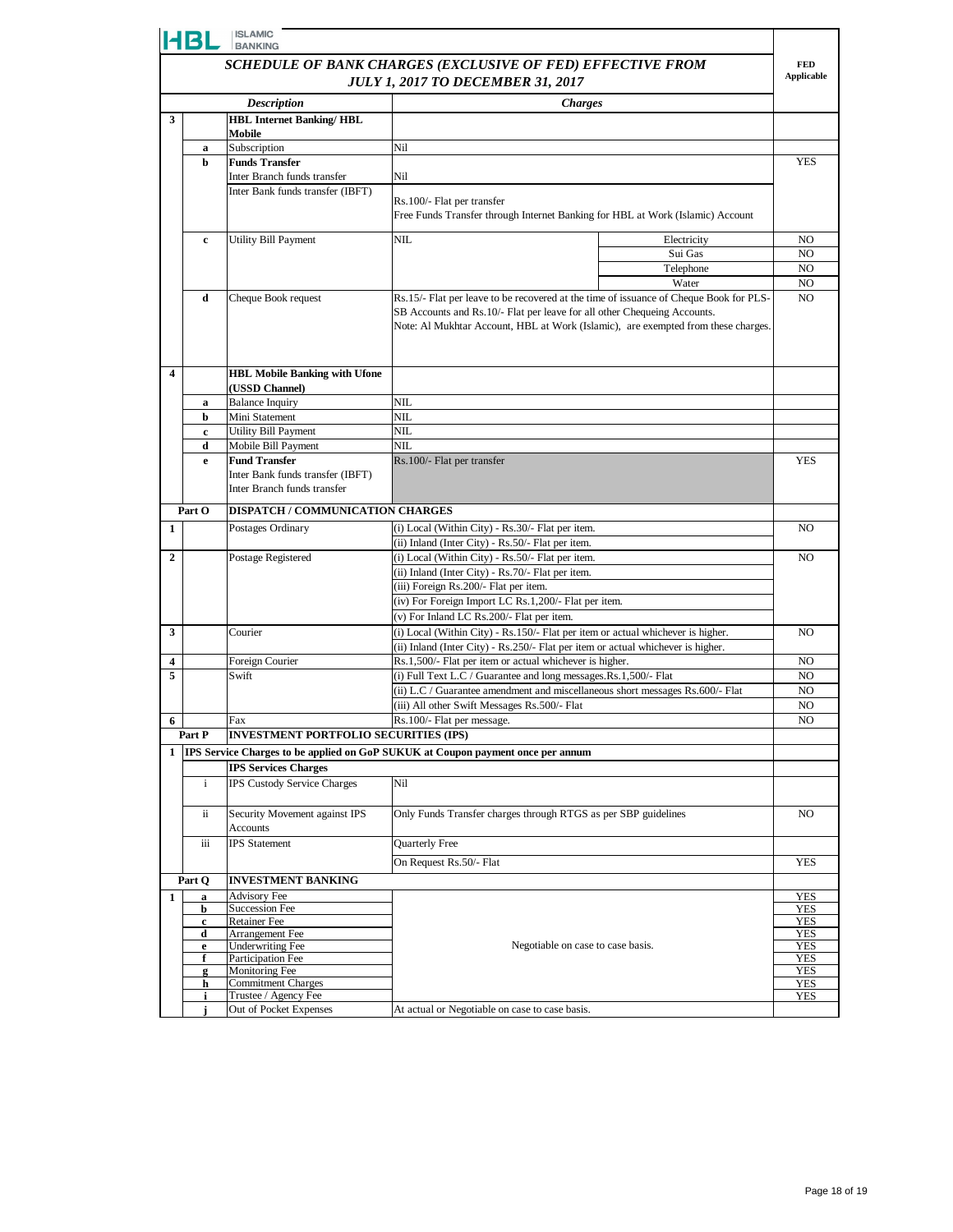|                | <b>HBL</b>                                                                                             | <b>ISLAMIC</b><br><b>BANKING</b>                                       |                                                                                                                                                                                                                                                         |                          |  |
|----------------|--------------------------------------------------------------------------------------------------------|------------------------------------------------------------------------|---------------------------------------------------------------------------------------------------------------------------------------------------------------------------------------------------------------------------------------------------------|--------------------------|--|
|                | SCHEDULE OF BANK CHARGES (EXCLUSIVE OF FED) EFFECTIVE FROM<br><b>JULY 1, 2017 TO DECEMBER 31, 2017</b> |                                                                        |                                                                                                                                                                                                                                                         |                          |  |
|                |                                                                                                        | <b>Description</b>                                                     | <b>Charges</b>                                                                                                                                                                                                                                          |                          |  |
| 3              |                                                                                                        | <b>HBL Internet Banking/HBL</b>                                        |                                                                                                                                                                                                                                                         |                          |  |
|                | $\bf a$                                                                                                | Mobile<br>Subscription                                                 | Nil                                                                                                                                                                                                                                                     |                          |  |
|                | b                                                                                                      | <b>Funds Transfer</b>                                                  |                                                                                                                                                                                                                                                         | YES                      |  |
|                |                                                                                                        | Inter Branch funds transfer                                            | Nil                                                                                                                                                                                                                                                     |                          |  |
|                |                                                                                                        | Inter Bank funds transfer (IBFT)                                       | Rs.100/- Flat per transfer<br>Free Funds Transfer through Internet Banking for HBL at Work (Islamic) Account                                                                                                                                            |                          |  |
|                | c                                                                                                      | Utility Bill Payment                                                   | <b>NIL</b><br>Electricity                                                                                                                                                                                                                               | NO                       |  |
|                |                                                                                                        |                                                                        | Sui Gas                                                                                                                                                                                                                                                 | NO.                      |  |
|                |                                                                                                        |                                                                        | Telephone<br>Water                                                                                                                                                                                                                                      | NO                       |  |
|                | d                                                                                                      | Cheque Book request                                                    | Rs.15/- Flat per leave to be recovered at the time of issuance of Cheque Book for PLS-<br>SB Accounts and Rs.10/- Flat per leave for all other Chequeing Accounts.<br>Note: Al Mukhtar Account, HBL at Work (Islamic), are exempted from these charges. | NO.<br>NO.               |  |
| 4              |                                                                                                        | <b>HBL Mobile Banking with Ufone</b><br>(USSD Channel)                 |                                                                                                                                                                                                                                                         |                          |  |
|                | a                                                                                                      | <b>Balance Inquiry</b>                                                 | NIL                                                                                                                                                                                                                                                     |                          |  |
|                | b                                                                                                      | Mini Statement                                                         | NIL                                                                                                                                                                                                                                                     |                          |  |
|                | c<br>d                                                                                                 | Utility Bill Payment                                                   | <b>NIL</b><br>NIL                                                                                                                                                                                                                                       |                          |  |
|                | e                                                                                                      | Mobile Bill Payment<br><b>Fund Transfer</b>                            | Rs.100/- Flat per transfer                                                                                                                                                                                                                              | <b>YES</b>               |  |
|                |                                                                                                        | Inter Bank funds transfer (IBFT)<br>Inter Branch funds transfer        |                                                                                                                                                                                                                                                         |                          |  |
|                | Part O                                                                                                 | DISPATCH / COMMUNICATION CHARGES                                       |                                                                                                                                                                                                                                                         |                          |  |
| 1              |                                                                                                        | Postages Ordinary                                                      | (i) Local (Within City) - Rs.30/- Flat per item.                                                                                                                                                                                                        |                          |  |
|                |                                                                                                        |                                                                        | (ii) Inland (Inter City) - Rs.50/- Flat per item.                                                                                                                                                                                                       |                          |  |
| $\overline{2}$ |                                                                                                        | (i) Local (Within City) - Rs.50/- Flat per item.<br>Postage Registered |                                                                                                                                                                                                                                                         |                          |  |
|                |                                                                                                        |                                                                        | (ii) Inland (Inter City) - Rs.70/- Flat per item.<br>(iii) Foreign Rs.200/- Flat per item.                                                                                                                                                              |                          |  |
|                |                                                                                                        |                                                                        | (iv) For Foreign Import LC Rs.1,200/- Flat per item.                                                                                                                                                                                                    |                          |  |
|                |                                                                                                        |                                                                        | (v) For Inland LC Rs.200/- Flat per item.                                                                                                                                                                                                               |                          |  |
| 3              |                                                                                                        | Courier                                                                | (i) Local (Within City) - Rs.150/- Flat per item or actual whichever is higher.                                                                                                                                                                         | N <sub>O</sub>           |  |
|                |                                                                                                        |                                                                        | (ii) Inland (Inter City) - Rs.250/- Flat per item or actual whichever is higher.                                                                                                                                                                        |                          |  |
| 4              |                                                                                                        | Foreign Courier                                                        | Rs.1,500/- Flat per item or actual whichever is higher.                                                                                                                                                                                                 | NO                       |  |
| 5              |                                                                                                        | Swift                                                                  | (i) Full Text L.C / Guarantee and long messages.Rs.1,500/- Flat                                                                                                                                                                                         | NO                       |  |
|                |                                                                                                        |                                                                        | (ii) L.C / Guarantee amendment and miscellaneous short messages Rs.600/- Flat                                                                                                                                                                           | NO.                      |  |
|                |                                                                                                        |                                                                        | (iii) All other Swift Messages Rs.500/- Flat                                                                                                                                                                                                            | NO.                      |  |
| 6              |                                                                                                        | Fax                                                                    | Rs.100/- Flat per message.                                                                                                                                                                                                                              | NO                       |  |
|                | Part P                                                                                                 | <b>INVESTMENT PORTFOLIO SECURITIES (IPS)</b>                           |                                                                                                                                                                                                                                                         |                          |  |
| 1              |                                                                                                        |                                                                        | IPS Service Charges to be applied on GoP SUKUK at Coupon payment once per annum                                                                                                                                                                         |                          |  |
|                | i                                                                                                      | <b>IPS Services Charges</b><br>IPS Custody Service Charges             | Nil                                                                                                                                                                                                                                                     |                          |  |
|                | ii                                                                                                     | Security Movement against IPS<br>Accounts                              | Only Funds Transfer charges through RTGS as per SBP guidelines                                                                                                                                                                                          | NO                       |  |
|                | iii                                                                                                    | <b>IPS</b> Statement                                                   | Quarterly Free                                                                                                                                                                                                                                          |                          |  |
|                |                                                                                                        |                                                                        | On Request Rs.50/- Flat                                                                                                                                                                                                                                 | <b>YES</b>               |  |
|                | Part Q                                                                                                 | <b>INVESTMENT BANKING</b>                                              |                                                                                                                                                                                                                                                         |                          |  |
| $\mathbf{1}$   | a                                                                                                      | <b>Advisory Fee</b>                                                    |                                                                                                                                                                                                                                                         | <b>YES</b>               |  |
|                | b                                                                                                      | <b>Succession Fee</b>                                                  |                                                                                                                                                                                                                                                         | <b>YES</b>               |  |
|                | c                                                                                                      | <b>Retainer Fee</b>                                                    |                                                                                                                                                                                                                                                         | YES                      |  |
|                | d                                                                                                      | Arrangement Fee                                                        |                                                                                                                                                                                                                                                         | <b>YES</b>               |  |
|                | e                                                                                                      | <b>Underwriting Fee</b>                                                | Negotiable on case to case basis.                                                                                                                                                                                                                       | <b>YES</b>               |  |
|                | f<br>g                                                                                                 | Participation Fee<br>Monitoring Fee                                    |                                                                                                                                                                                                                                                         | <b>YES</b><br><b>YES</b> |  |
|                | h                                                                                                      | <b>Commitment Charges</b>                                              |                                                                                                                                                                                                                                                         | YES                      |  |
|                | i                                                                                                      | Trustee / Agency Fee                                                   |                                                                                                                                                                                                                                                         | <b>YES</b>               |  |
|                |                                                                                                        | Out of Pocket Expenses                                                 | At actual or Negotiable on case to case basis.                                                                                                                                                                                                          |                          |  |